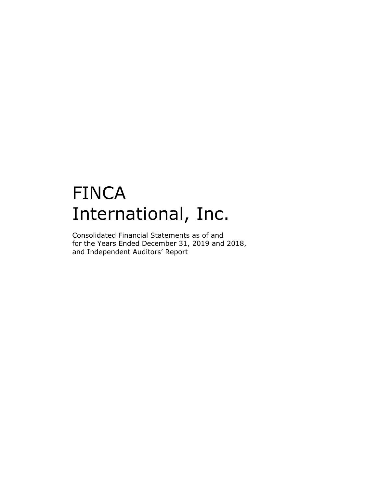# FINCA International, Inc.

Consolidated Financial Statements as of and for the Years Ended December 31, 2019 and 2018, and Independent Auditors' Report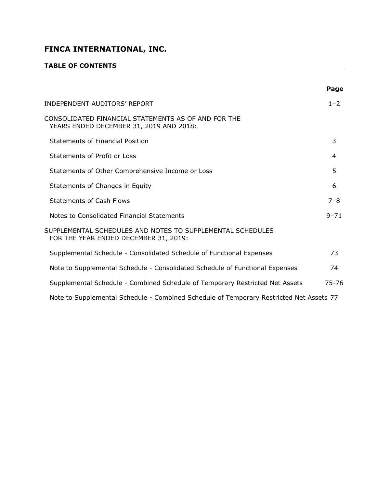# **TABLE OF CONTENTS**

|                                                                                                     | Page     |
|-----------------------------------------------------------------------------------------------------|----------|
| <b>INDEPENDENT AUDITORS' REPORT</b>                                                                 | $1 - 2$  |
| CONSOLIDATED FINANCIAL STATEMENTS AS OF AND FOR THE<br>YEARS ENDED DECEMBER 31, 2019 AND 2018:      |          |
| <b>Statements of Financial Position</b>                                                             | 3        |
| Statements of Profit or Loss                                                                        | 4        |
| Statements of Other Comprehensive Income or Loss                                                    | 5        |
| Statements of Changes in Equity                                                                     | 6        |
| <b>Statements of Cash Flows</b>                                                                     | $7 - 8$  |
| Notes to Consolidated Financial Statements                                                          | $9 - 71$ |
| SUPPLEMENTAL SCHEDULES AND NOTES TO SUPPLEMENTAL SCHEDULES<br>FOR THE YEAR ENDED DECEMBER 31, 2019: |          |
| Supplemental Schedule - Consolidated Schedule of Functional Expenses                                | 73       |
| Note to Supplemental Schedule - Consolidated Schedule of Functional Expenses                        | 74       |
| Supplemental Schedule - Combined Schedule of Temporary Restricted Net Assets                        | 75-76    |
| Note to Supplemental Schedule - Combined Schedule of Temporary Restricted Net Assets 77             |          |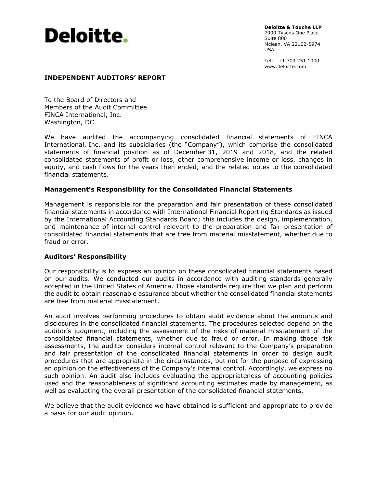

**Deloitte & Touche LLP** 7900 Tysons One Place Suite 800 Mclean, VA 22102-5974 USA

Tel: +1 703 251 1000 www.deloitte.com

#### **INDEPENDENT AUDITORS' REPORT**

To the Board of Directors and Members of the Audit Committee FINCA International, Inc. Washington, DC

We have audited the accompanying consolidated financial statements of FINCA International, Inc. and its subsidiaries (the "Company"), which comprise the consolidated statements of financial position as of December 31, 2019 and 2018, and the related consolidated statements of profit or loss, other comprehensive income or loss, changes in equity, and cash flows for the years then ended, and the related notes to the consolidated financial statements.

#### **Management's Responsibility for the Consolidated Financial Statements**

Management is responsible for the preparation and fair presentation of these consolidated financial statements in accordance with International Financial Reporting Standards as issued by the International Accounting Standards Board; this includes the design, implementation, and maintenance of internal control relevant to the preparation and fair presentation of consolidated financial statements that are free from material misstatement, whether due to fraud or error.

#### **Auditors' Responsibility**

Our responsibility is to express an opinion on these consolidated financial statements based on our audits. We conducted our audits in accordance with auditing standards generally accepted in the United States of America. Those standards require that we plan and perform the audit to obtain reasonable assurance about whether the consolidated financial statements are free from material misstatement.

An audit involves performing procedures to obtain audit evidence about the amounts and disclosures in the consolidated financial statements. The procedures selected depend on the auditor's judgment, including the assessment of the risks of material misstatement of the consolidated financial statements, whether due to fraud or error. In making those risk assessments, the auditor considers internal control relevant to the Company's preparation and fair presentation of the consolidated financial statements in order to design audit procedures that are appropriate in the circumstances, but not for the purpose of expressing an opinion on the effectiveness of the Company's internal control. Accordingly, we express no such opinion. An audit also includes evaluating the appropriateness of accounting policies used and the reasonableness of significant accounting estimates made by management, as well as evaluating the overall presentation of the consolidated financial statements.

We believe that the audit evidence we have obtained is sufficient and appropriate to provide a basis for our audit opinion.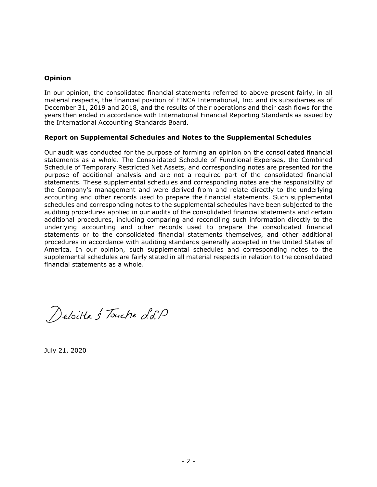#### **Opinion**

In our opinion, the consolidated financial statements referred to above present fairly, in all material respects, the financial position of FINCA International, Inc. and its subsidiaries as of December 31, 2019 and 2018, and the results of their operations and their cash flows for the years then ended in accordance with International Financial Reporting Standards as issued by the International Accounting Standards Board.

#### **Report on Supplemental Schedules and Notes to the Supplemental Schedules**

Our audit was conducted for the purpose of forming an opinion on the consolidated financial statements as a whole. The Consolidated Schedule of Functional Expenses, the Combined Schedule of Temporary Restricted Net Assets, and corresponding notes are presented for the purpose of additional analysis and are not a required part of the consolidated financial statements. These supplemental schedules and corresponding notes are the responsibility of the Company's management and were derived from and relate directly to the underlying accounting and other records used to prepare the financial statements. Such supplemental schedules and corresponding notes to the supplemental schedules have been subjected to the auditing procedures applied in our audits of the consolidated financial statements and certain additional procedures, including comparing and reconciling such information directly to the underlying accounting and other records used to prepare the consolidated financial statements or to the consolidated financial statements themselves, and other additional procedures in accordance with auditing standards generally accepted in the United States of America. In our opinion, such supplemental schedules and corresponding notes to the supplemental schedules are fairly stated in all material respects in relation to the consolidated financial statements as a whole.

Deloitte & Touche daP

July 21, 2020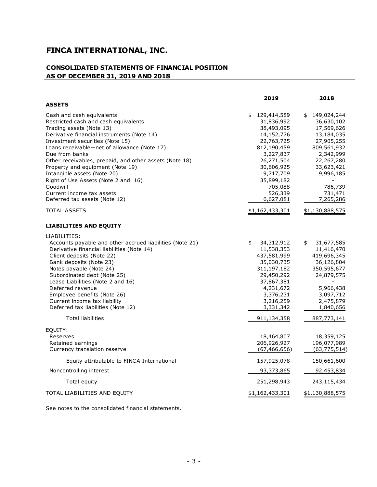# **CONSOLIDATED STATEMENTS OF FINANCIAL POSITION AS OF DECEMBER 31, 2019 AND 2018**

|                                                                                                                                                                                                                                                                                                                                                                                                                                                                                               | 2019                                                                                                                                                                                            | 2018                                                                                                                                                                              |
|-----------------------------------------------------------------------------------------------------------------------------------------------------------------------------------------------------------------------------------------------------------------------------------------------------------------------------------------------------------------------------------------------------------------------------------------------------------------------------------------------|-------------------------------------------------------------------------------------------------------------------------------------------------------------------------------------------------|-----------------------------------------------------------------------------------------------------------------------------------------------------------------------------------|
| <b>ASSETS</b>                                                                                                                                                                                                                                                                                                                                                                                                                                                                                 |                                                                                                                                                                                                 |                                                                                                                                                                                   |
| Cash and cash equivalents<br>Restricted cash and cash equivalents<br>Trading assets (Note 13)<br>Derivative financial instruments (Note 14)<br>Investment securities (Note 15)<br>Loans receivable—net of allowance (Note 17)<br>Due from banks<br>Other receivables, prepaid, and other assets (Note 18)<br>Property and equipment (Note 19)<br>Intangible assets (Note 20)<br>Right of Use Assets (Note 2 and 16)<br>Goodwill<br>Current income tax assets<br>Deferred tax assets (Note 12) | 129,414,589<br>\$<br>31,836,992<br>38,493,095<br>14,152,776<br>22,763,725<br>812,190,459<br>3,227,837<br>26,271,504<br>30,606,925<br>9,717,709<br>35,899,182<br>705,088<br>526,339<br>6,627,081 | 149,024,244<br>\$<br>36,630,102<br>17,569,626<br>13,184,035<br>27,905,255<br>809,561,932<br>2,342,999<br>22,267,280<br>33,623,421<br>9,996,185<br>786,739<br>731,471<br>7,265,286 |
| <b>TOTAL ASSETS</b>                                                                                                                                                                                                                                                                                                                                                                                                                                                                           | \$1,162,433,301                                                                                                                                                                                 | \$1,130,888,575                                                                                                                                                                   |
|                                                                                                                                                                                                                                                                                                                                                                                                                                                                                               |                                                                                                                                                                                                 |                                                                                                                                                                                   |
| <b>LIABILITIES AND EQUITY</b>                                                                                                                                                                                                                                                                                                                                                                                                                                                                 |                                                                                                                                                                                                 |                                                                                                                                                                                   |
| LIABILITIES:<br>Accounts payable and other accrued liabilities (Note 21)<br>Derivative financial liabilities (Note 14)<br>Client deposits (Note 22)<br>Bank deposits (Note 23)<br>Notes payable (Note 24)<br>Subordinated debt (Note 25)<br>Lease Liabilities (Note 2 and 16)<br>Deferred revenue<br>Employee benefits (Note 26)<br>Current income tax liability<br>Deferred tax liabilities (Note 12)                                                                                        | \$<br>34,312,912<br>11,538,353<br>437,581,999<br>35,030,735<br>311,197,182<br>29,450,292<br>37,867,381<br>4,231,672<br>3,376,231<br>3,216,259<br>3,331,342                                      | \$<br>31,677,585<br>11,416,470<br>419,696,345<br>36,126,804<br>350,595,677<br>24,879,575<br>5,966,438<br>3,097,712<br>2,475,879<br>1,840,656                                      |
| <b>Total liabilities</b>                                                                                                                                                                                                                                                                                                                                                                                                                                                                      | 911,134,358                                                                                                                                                                                     | 887,773,141                                                                                                                                                                       |
| EQUITY:<br>Reserves<br>Retained earnings<br>Currency translation reserve                                                                                                                                                                                                                                                                                                                                                                                                                      | 18,464,807<br>206,926,927<br>(67, 466, 656)                                                                                                                                                     | 18,359,125<br>196,077,989<br>(63, 775, 514)                                                                                                                                       |
| Equity attributable to FINCA International                                                                                                                                                                                                                                                                                                                                                                                                                                                    | 157,925,078                                                                                                                                                                                     | 150,661,600                                                                                                                                                                       |
| Noncontrolling interest                                                                                                                                                                                                                                                                                                                                                                                                                                                                       | 93,373,865                                                                                                                                                                                      | 92,453,834                                                                                                                                                                        |
| Total equity                                                                                                                                                                                                                                                                                                                                                                                                                                                                                  | 251,298,943                                                                                                                                                                                     | 243,115,434                                                                                                                                                                       |
| TOTAL LIABILITIES AND EQUITY                                                                                                                                                                                                                                                                                                                                                                                                                                                                  | \$1,162,433,301                                                                                                                                                                                 | \$1,130,888,575                                                                                                                                                                   |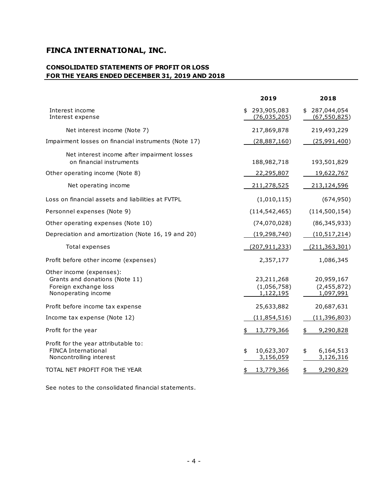# **CONSOLIDATED STATEMENTS OF PROFIT OR LOSS FOR THE YEARS ENDED DECEMBER 31, 2019 AND 2018**

|                                                                                                            | 2019                                   | 2018                                   |
|------------------------------------------------------------------------------------------------------------|----------------------------------------|----------------------------------------|
| Interest income<br>Interest expense                                                                        | 293,905,083<br>\$<br>(76, 035, 205)    | 287,044,054<br>\$<br>(67, 550, 825)    |
| Net interest income (Note 7)                                                                               | 217,869,878                            | 219,493,229                            |
| Impairment losses on financial instruments (Note 17)                                                       | (28,887,160)                           | (25,991,400)                           |
| Net interest income after impairment losses<br>on financial instruments                                    | 188,982,718                            | 193,501,829                            |
| Other operating income (Note 8)                                                                            | 22,295,807                             | 19,622,767                             |
| Net operating income                                                                                       | 211,278,525                            | 213,124,596                            |
| Loss on financial assets and liabilities at FVTPL                                                          | (1,010,115)                            | (674, 950)                             |
| Personnel expenses (Note 9)                                                                                | (114, 542, 465)                        | (114, 500, 154)                        |
| Other operating expenses (Note 10)                                                                         | (74,070,028)                           | (86, 345, 933)                         |
| Depreciation and amortization (Note 16, 19 and 20)                                                         | (19, 298, 740)                         | (10, 517, 214)                         |
| Total expenses                                                                                             | (207, 911, 233)                        | (211, 363, 301)                        |
| Profit before other income (expenses)                                                                      | 2,357,177                              | 1,086,345                              |
| Other income (expenses):<br>Grants and donations (Note 11)<br>Foreign exchange loss<br>Nonoperating income | 23,211,268<br>(1,056,758)<br>1,122,195 | 20,959,167<br>(2,455,872)<br>1,097,991 |
| Profit before income tax expense                                                                           | 25,633,882                             | 20,687,631                             |
| Income tax expense (Note 12)                                                                               | (11,854,516)                           | (11, 396, 803)                         |
| Profit for the year                                                                                        | 13,779,366                             | 9,290,828<br>\$                        |
| Profit for the year attributable to:<br><b>FINCA International</b><br>Noncontrolling interest              | 10,623,307<br>\$<br>3,156,059          | \$<br>6,164,513<br>3,126,316           |
| TOTAL NET PROFIT FOR THE YEAR                                                                              | 13,779,366<br>\$                       | 9,290,829<br>\$                        |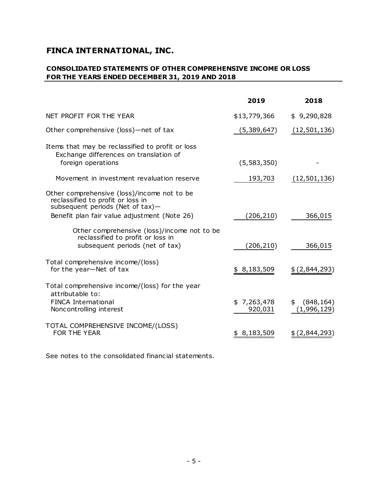# **CONSOLIDATED STATEMENTS OF OTHER COMPREHENSIVE INCOME OR LOSS FOR THE YEARS ENDED DECEMBER 31, 2019 AND 2018**

|                                                                                                                      | 2019         | 2018           |
|----------------------------------------------------------------------------------------------------------------------|--------------|----------------|
| NET PROFIT FOR THE YEAR                                                                                              | \$13,779,366 | \$9,290,828    |
| Other comprehensive (loss)—net of tax                                                                                | (5,389,647)  | (12, 501, 136) |
| Items that may be reclassified to profit or loss<br>Exchange differences on translation of<br>foreign operations     | (5,583,350)  |                |
| Movement in investment revaluation reserve                                                                           | 193,703      | (12, 501, 136) |
| Other comprehensive (loss)/income not to be<br>reclassified to profit or loss in<br>subsequent periods (Net of tax)- |              |                |
| Benefit plan fair value adjustment (Note 26)                                                                         | (206,210)    | 366,015        |
| Other comprehensive (loss)/income not to be<br>reclassified to profit or loss in<br>subsequent periods (net of tax)  | (206, 210)   | 366,015        |
| Total comprehensive income/(loss)<br>for the year-Net of tax                                                         | 8,183,509    | \$(2,844,293)  |
| Total comprehensive income/(loss) for the year<br>attributable to:<br><b>FINCA International</b>                     | \$7,263,478  | (848, 164)     |
| Noncontrolling interest                                                                                              | 920,031      | (1,996,129)    |
| TOTAL COMPREHENSIVE INCOME/(LOSS)<br>FOR THE YEAR                                                                    | 8,183,509    | (2,844,293)    |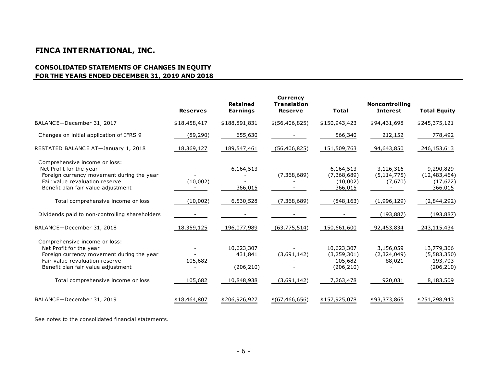# **CONSOLIDATED STATEMENTS OF CHANGES IN EQUITY FOR THE YEARS ENDED DECEMBER 31, 2019 AND 2018**

|                                                                                                                                                                                                                     | <b>Reserves</b>    | Retained<br><b>Earnings</b>                       | <b>Currency</b><br><b>Translation</b><br><b>Reserve</b> | Total                                                             | Noncontrolling<br><b>Interest</b>                           | <b>Total Equity</b>                                            |
|---------------------------------------------------------------------------------------------------------------------------------------------------------------------------------------------------------------------|--------------------|---------------------------------------------------|---------------------------------------------------------|-------------------------------------------------------------------|-------------------------------------------------------------|----------------------------------------------------------------|
| BALANCE-December 31, 2017                                                                                                                                                                                           | \$18,458,417       | \$188,891,831                                     | \$(56, 406, 825)                                        | \$150,943,423                                                     | \$94,431,698                                                | \$245,375,121                                                  |
| Changes on initial application of IFRS 9                                                                                                                                                                            | (89, 290)          | 655,630                                           |                                                         | 566,340                                                           | 212,152                                                     | 778,492                                                        |
| RESTATED BALANCE AT-January 1, 2018                                                                                                                                                                                 | 18,369,127         | 189,547,461                                       | (56, 406, 825)                                          | 151,509,763                                                       | 94,643,850                                                  | 246,153,613                                                    |
| Comprehensive income or loss:<br>Net Profit for the year<br>Foreign currency movement during the year<br>Fair value revaluation reserve<br>Benefit plan fair value adjustment                                       | (10,002)           | 6,164,513<br>366,015                              | (7,368,689)                                             | 6,164,513<br>(7,368,689)<br>(10,002)<br>366,015                   | 3,126,316<br>(5, 114, 775)<br>(7,670)                       | 9,290,829<br>(12, 483, 464)<br>(17, 672)<br>366,015            |
| Total comprehensive income or loss                                                                                                                                                                                  | (10,002)           | 6,530,528                                         | (7,368,689)                                             | (848, 163)                                                        | (1,996,129)                                                 | (2,844,292)                                                    |
| Dividends paid to non-controlling shareholders                                                                                                                                                                      |                    |                                                   |                                                         |                                                                   | (193, 887)                                                  | (193, 887)                                                     |
| BALANCE-December 31, 2018                                                                                                                                                                                           | 18,359,125         | 196,077,989                                       | (63, 775, 514)                                          | 150,661,600                                                       | 92,453,834                                                  | 243,115,434                                                    |
| Comprehensive income or loss:<br>Net Profit for the year<br>Foreign currency movement during the year<br>Fair value revaluation reserve<br>Benefit plan fair value adjustment<br>Total comprehensive income or loss | 105,682<br>105,682 | 10,623,307<br>431,841<br>(206, 210)<br>10,848,938 | (3,691,142)<br>(3,691,142)                              | 10,623,307<br>(3, 259, 301)<br>105,682<br>(206, 210)<br>7,263,478 | 3,156,059<br>(2,324,049)<br>88,021<br>$\sim$ $-$<br>920,031 | 13,779,366<br>(5,583,350)<br>193,703<br>(206,210)<br>8,183,509 |
| BALANCE-December 31, 2019                                                                                                                                                                                           | \$18,464,807       | \$206,926,927                                     | \$(67, 466, 656)                                        | \$157,925,078                                                     | \$93,373,865                                                | \$251,298,943                                                  |
|                                                                                                                                                                                                                     |                    |                                                   |                                                         |                                                                   |                                                             |                                                                |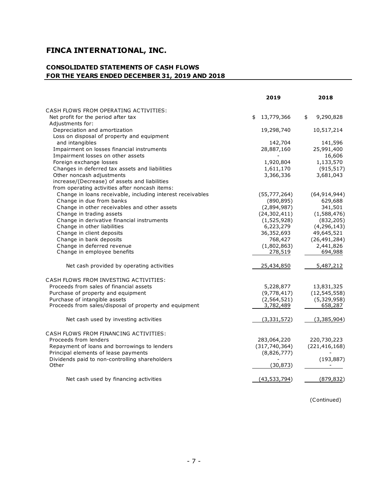# **CONSOLIDATED STATEMENTS OF CASH FLOWS FOR THE YEARS ENDED DECEMBER 31, 2019 AND 2018**

|                                                            | 2019                     | 2018                         |
|------------------------------------------------------------|--------------------------|------------------------------|
| CASH FLOWS FROM OPERATING ACTIVITIES:                      |                          |                              |
| Net profit for the period after tax                        | 13,779,366<br>\$         | 9,290,828<br>\$              |
| Adjustments for:                                           |                          |                              |
| Depreciation and amortization                              | 19,298,740               | 10,517,214                   |
| Loss on disposal of property and equipment                 |                          |                              |
| and intangibles                                            | 142,704                  | 141,596                      |
| Impairment on losses financial instruments                 | 28,887,160               | 25,991,400                   |
| Impairment losses on other assets                          |                          | 16,606                       |
| Foreign exchange losses                                    | 1,920,804                | 1,133,570                    |
| Changes in deferred tax assets and liabilities             | 1,611,170                | (915, 517)                   |
| Other noncash adjustments                                  | 3,366,336                | 3,681,043                    |
| increase/(Decrease) of assets and liabilities              |                          |                              |
| from operating activities after noncash items:             |                          |                              |
| Change in loans receivable, including interest receivables | (55, 777, 264)           | (64, 914, 944)               |
| Change in due from banks                                   | (890, 895)               | 629,688                      |
| Change in other receivables and other assets               | (2,894,987)              | 341,501                      |
| Change in trading assets                                   | (24, 302, 411)           | (1,588,476)                  |
| Change in derivative financial instruments                 | (1,525,928)              | (832, 205)                   |
| Change in other liabilities                                | 6,223,279                | (4, 296, 143)                |
| Change in client deposits                                  | 36,352,693               | 49,645,521                   |
| Change in bank deposits                                    | 768,427                  | (26, 491, 284)               |
| Change in deferred revenue<br>Change in employee benefits  | (1,802,863)<br>278,519   | 2,441,826<br>694,988         |
|                                                            |                          |                              |
| Net cash provided by operating activities                  | 25,434,850               | 5,487,212                    |
| CASH FLOWS FROM INVESTING ACTIVITIES:                      |                          |                              |
| Proceeds from sales of financial assets                    |                          |                              |
| Purchase of property and equipment                         | 5,228,877<br>(9,778,417) | 13,831,325<br>(12, 545, 558) |
| Purchase of intangible assets                              | (2, 564, 521)            | (5,329,958)                  |
| Proceeds from sales/disposal of property and equipment     | 3,782,489                | 658,287                      |
|                                                            |                          |                              |
| Net cash used by investing activities                      | (3,331,572)              | (3,385,904)                  |
| CASH FLOWS FROM FINANCING ACTIVITIES:                      |                          |                              |
| Proceeds from lenders                                      | 283,064,220              | 220,730,223                  |
| Repayment of loans and borrowings to lenders               | (317, 740, 364)          | (221, 416, 168)              |
| Principal elements of lease payments                       | (8,826,777)              |                              |
| Dividends paid to non-controlling shareholders             |                          | (193, 887)                   |
| Other                                                      | (30, 873)                |                              |
|                                                            |                          |                              |
| Net cash used by financing activities                      | (43, 533, 794)           | (879, 832)                   |

(Continued)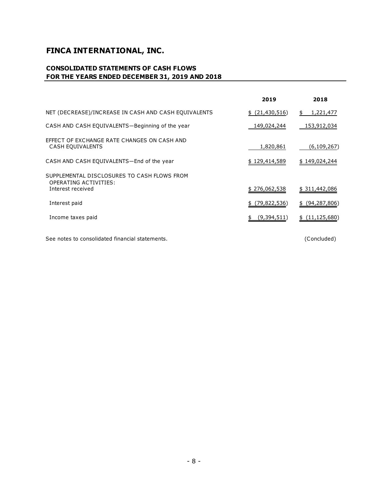# **CONSOLIDATED STATEMENTS OF CASH FLOWS FOR THE YEARS ENDED DECEMBER 31, 2019 AND 2018**

|                                                                                                  | 2019              | 2018                 |
|--------------------------------------------------------------------------------------------------|-------------------|----------------------|
| NET (DECREASE)/INCREASE IN CASH AND CASH EQUIVALENTS                                             | \$ (21, 430, 516) | 1,221,477<br>\$      |
| CASH AND CASH EQUIVALENTS-Beginning of the year                                                  | 149,024,244       | 153,912,034          |
| EFFECT OF EXCHANGE RATE CHANGES ON CASH AND<br><b>CASH EQUIVALENTS</b>                           | 1,820,861         | (6, 109, 267)        |
| CASH AND CASH EQUIVALENTS-End of the year                                                        | \$129,414,589     | \$149,024,244        |
| SUPPLEMENTAL DISCLOSURES TO CASH FLOWS FROM<br><b>OPERATING ACTIVITIES:</b><br>Interest received | \$276,062,538     | \$311,442,086        |
|                                                                                                  |                   |                      |
| Interest paid                                                                                    | \$(79,822,536)    | \$ (94, 287, 806)    |
| Income taxes paid                                                                                | (9,394,511)       | (11, 125, 680)<br>\$ |
| See notes to consolidated financial statements.                                                  |                   | (Concluded)          |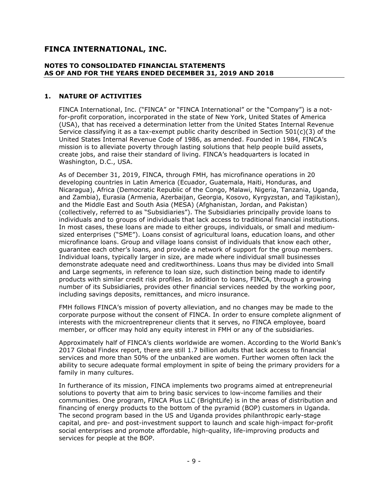#### **NOTES TO CONSOLIDATED FINANCIAL STATEMENTS AS OF AND FOR THE YEARS ENDED DECEMBER 31, 2019 AND 2018**

## **1. NATURE OF ACTIVITIES**

FINCA International, Inc. ("FINCA" or "FINCA International" or the "Company") is a notfor-profit corporation, incorporated in the state of New York, United States of America (USA), that has received a determination letter from the United States Internal Revenue Service classifying it as a tax-exempt public charity described in Section  $501(c)(3)$  of the United States Internal Revenue Code of 1986, as amended. Founded in 1984, FINCA's mission is to alleviate poverty through lasting solutions that help people build assets, create jobs, and raise their standard of living. FINCA's headquarters is located in Washington, D.C., USA.

As of December 31, 2019, FINCA, through FMH, has microfinance operations in 20 developing countries in Latin America (Ecuador, Guatemala, Haiti, Honduras, and Nicaragua), Africa (Democratic Republic of the Congo, Malawi, Nigeria, Tanzania, Uganda, and Zambia), Eurasia (Armenia, Azerbaijan, Georgia, Kosovo, Kyrgyzstan, and Tajikistan), and the Middle East and South Asia (MESA) (Afghanistan, Jordan, and Pakistan) (collectively, referred to as "Subsidiaries"). The Subsidiaries principally provide loans to individuals and to groups of individuals that lack access to traditional financial institutions. In most cases, these loans are made to either groups, individuals, or small and mediumsized enterprises ("SME"). Loans consist of agricultural loans, education loans, and other microfinance loans. Group and village loans consist of individuals that know each other, guarantee each other's loans, and provide a network of support for the group members. Individual loans, typically larger in size, are made where individual small businesses demonstrate adequate need and creditworthiness. Loans thus may be divided into Small and Large segments, in reference to loan size, such distinction being made to identify products with similar credit risk profiles. In addition to loans, FINCA, through a growing number of its Subsidiaries, provides other financial services needed by the working poor, including savings deposits, remittances, and micro insurance.

FMH follows FINCA's mission of poverty alleviation, and no changes may be made to the corporate purpose without the consent of FINCA. In order to ensure complete alignment of interests with the microentrepreneur clients that it serves, no FINCA employee, board member, or officer may hold any equity interest in FMH or any of the subsidiaries.

Approximately half of FINCA's clients worldwide are women. According to the World Bank's 2017 Global Findex report, there are still 1.7 billion adults that lack access to financial services and more than 50% of the unbanked are women. Further women often lack the ability to secure adequate formal employment in spite of being the primary providers for a family in many cultures.

In furtherance of its mission, FINCA implements two programs aimed at entrepreneurial solutions to poverty that aim to bring basic services to low-income families and their communities. One program, FINCA Plus LLC (BrightLife) is in the areas of distribution and financing of energy products to the bottom of the pyramid (BOP) customers in Uganda. The second program based in the US and Uganda provides philanthropic early-stage capital, and pre- and post-investment support to launch and scale high-impact for-profit social enterprises and promote affordable, high-quality, life-improving products and services for people at the BOP.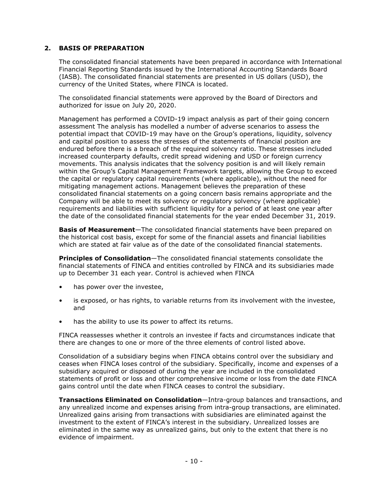## **2. BASIS OF PREPARATION**

The consolidated financial statements have been prepared in accordance with International Financial Reporting Standards issued by the International Accounting Standards Board (IASB). The consolidated financial statements are presented in US dollars (USD), the currency of the United States, where FINCA is located.

The consolidated financial statements were approved by the Board of Directors and authorized for issue on July 20, 2020.

Management has performed a COVID-19 impact analysis as part of their going concern assessment The analysis has modelled a number of adverse scenarios to assess the potential impact that COVID-19 may have on the Group's operations, liquidity, solvency and capital position to assess the stresses of the statements of financial position are endured before there is a breach of the required solvency ratio. These stresses included increased counterparty defaults, credit spread widening and USD or foreign currency movements. This analysis indicates that the solvency position is and will likely remain within the Group's Capital Management Framework targets, allowing the Group to exceed the capital or regulatory capital requirements (where applicable), without the need for mitigating management actions. Management believes the preparation of these consolidated financial statements on a going concern basis remains appropriate and the Company will be able to meet its solvency or regulatory solvency (where applicable) requirements and liabilities with sufficient liquidity for a period of at least one year after the date of the consolidated financial statements for the year ended December 31, 2019.

**Basis of Measurement**—The consolidated financial statements have been prepared on the historical cost basis, except for some of the financial assets and financial liabilities which are stated at fair value as of the date of the consolidated financial statements.

**Principles of Consolidation**—The consolidated financial statements consolidate the financial statements of FINCA and entities controlled by FINCA and its subsidiaries made up to December 31 each year. Control is achieved when FINCA

- has power over the investee,
- is exposed, or has rights, to variable returns from its involvement with the investee, and
- has the ability to use its power to affect its returns.

FINCA reassesses whether it controls an investee if facts and circumstances indicate that there are changes to one or more of the three elements of control listed above.

Consolidation of a subsidiary begins when FINCA obtains control over the subsidiary and ceases when FINCA loses control of the subsidiary. Specifically, income and expenses of a subsidiary acquired or disposed of during the year are included in the consolidated statements of profit or loss and other comprehensive income or loss from the date FINCA gains control until the date when FINCA ceases to control the subsidiary.

**Transactions Eliminated on Consolidation**—Intra-group balances and transactions, and any unrealized income and expenses arising from intra-group transactions, are eliminated. Unrealized gains arising from transactions with subsidiaries are eliminated against the investment to the extent of FINCA's interest in the subsidiary. Unrealized losses are eliminated in the same way as unrealized gains, but only to the extent that there is no evidence of impairment.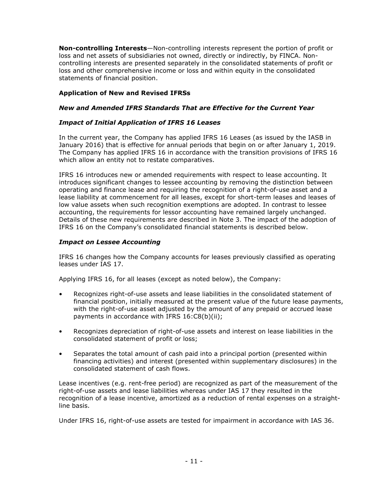**Non-controlling Interests**—Non-controlling interests represent the portion of profit or loss and net assets of subsidiaries not owned, directly or indirectly, by FINCA. Noncontrolling interests are presented separately in the consolidated statements of profit or loss and other comprehensive income or loss and within equity in the consolidated statements of financial position.

# **Application of New and Revised IFRSs**

# *New and Amended IFRS Standards That are Effective for the Current Year*

# *Impact of Initial Application of IFRS 16 Leases*

In the current year, the Company has applied IFRS 16 Leases (as issued by the IASB in January 2016) that is effective for annual periods that begin on or after January 1, 2019. The Company has applied IFRS 16 in accordance with the transition provisions of IFRS 16 which allow an entity not to restate comparatives.

IFRS 16 introduces new or amended requirements with respect to lease accounting. It introduces significant changes to lessee accounting by removing the distinction between operating and finance lease and requiring the recognition of a right-of-use asset and a lease liability at commencement for all leases, except for short-term leases and leases of low value assets when such recognition exemptions are adopted. In contrast to lessee accounting, the requirements for lessor accounting have remained largely unchanged. Details of these new requirements are described in Note 3. The impact of the adoption of IFRS 16 on the Company's consolidated financial statements is described below.

# *Impact on Lessee Accounting*

IFRS 16 changes how the Company accounts for leases previously classified as operating leases under IAS 17.

Applying IFRS 16, for all leases (except as noted below), the Company:

- Recognizes right-of-use assets and lease liabilities in the consolidated statement of financial position, initially measured at the present value of the future lease payments, with the right-of-use asset adjusted by the amount of any prepaid or accrued lease payments in accordance with IFRS 16:C8(b)(ii);
- Recognizes depreciation of right-of-use assets and interest on lease liabilities in the consolidated statement of profit or loss;
- Separates the total amount of cash paid into a principal portion (presented within financing activities) and interest (presented within supplementary disclosures) in the consolidated statement of cash flows.

Lease incentives (e.g. rent-free period) are recognized as part of the measurement of the right-of-use assets and lease liabilities whereas under IAS 17 they resulted in the recognition of a lease incentive, amortized as a reduction of rental expenses on a straightline basis.

Under IFRS 16, right-of-use assets are tested for impairment in accordance with IAS 36.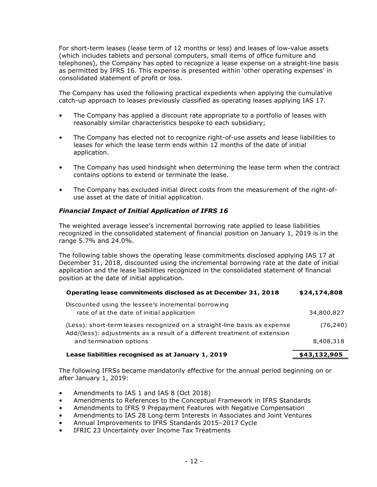For short-term leases (lease term of 12 months or less) and leases of low-value assets (which includes tablets and personal computers, small items of office furniture and telephones), the Company has opted to recognize a lease expense on a straight-line basis as permitted by IFRS 16. This expense is presented within 'other operating expenses' in consolidated statement of profit or loss.

The Company has used the following practical expedients when applying the cumulative catch-up approach to leases previously classified as operating leases applying IAS 17.

- The Company has applied a discount rate appropriate to a portfolio of leases with reasonably similar characteristics bespoke to each subsidiary;
- The Company has elected not to recognize right-of-use assets and lease liabilities to leases for which the lease term ends within 12 months of the date of initial application.
- The Company has used hindsight when determining the lease term when the contract contains options to extend or terminate the lease.
- The Company has excluded initial direct costs from the measurement of the right-ofuse asset at the date of initial application.

# *Financial Impact of Initial Application of IFRS 16*

The weighted average lessee's incremental borrowing rate applied to lease liabilities recognized in the consolidated statement of financial position on January 1, 2019 is in the range 5.7% and 24.0%.

The following table shows the operating lease commitments disclosed applying IAS 17 at December 31, 2018, discounted using the incremental borrowing rate at the date of initial application and the lease liabilities recognized in the consolidated statement of financial position at the date of initial application.

| Operating lease commitments disclosed as at December 31, 2018                                                                                         | \$24,174,808 |
|-------------------------------------------------------------------------------------------------------------------------------------------------------|--------------|
| Discounted using the lessee's incremental borrowing<br>rate of at the date of initial application                                                     | 34,800,827   |
| (Less): short-term leases recognized on a straight-line basis as expense<br>Add/(less): adjustments as a result of a different treatment of extension | (76, 240)    |
| and termination options                                                                                                                               | 8,408,318    |
| Lease liabilities recognised as at January 1, 2019                                                                                                    | \$43,132,905 |

The following IFRSs became mandatorily effective for the annual period beginning on or after January 1, 2019:

- Amendments to IAS 1 and IAS 8 (Oct 2018)
- Amendments to References to the Conceptual Framework in IFRS Standards
- Amendments to IFRS 9 Prepayment Features with Negative Compensation
- Amendments to IAS 28 Long‑term Interests in Associates and Joint Ventures
- Annual Improvements to IFRS Standards 2015–2017 Cycle
- IFRIC 23 Uncertainty over Income Tax Treatments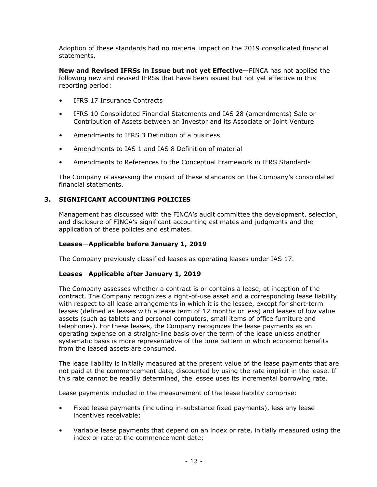Adoption of these standards had no material impact on the 2019 consolidated financial statements.

**New and Revised IFRSs in Issue but not yet Effective**—FINCA has not applied the following new and revised IFRSs that have been issued but not yet effective in this reporting period:

- IFRS 17 Insurance Contracts
- IFRS 10 Consolidated Financial Statements and IAS 28 (amendments) Sale or Contribution of Assets between an Investor and its Associate or Joint Venture
- Amendments to IFRS 3 Definition of a business
- Amendments to IAS 1 and IAS 8 Definition of material
- Amendments to References to the Conceptual Framework in IFRS Standards

The Company is assessing the impact of these standards on the Company's consolidated financial statements.

# **3. SIGNIFICANT ACCOUNTING POLICIES**

Management has discussed with the FINCA's audit committee the development, selection, and disclosure of FINCA's significant accounting estimates and judgments and the application of these policies and estimates.

#### **Leases**—**Applicable before January 1, 2019**

The Company previously classified leases as operating leases under IAS 17.

#### **Leases**—**Applicable after January 1, 2019**

The Company assesses whether a contract is or contains a lease, at inception of the contract. The Company recognizes a right-of-use asset and a corresponding lease liability with respect to all lease arrangements in which it is the lessee, except for short-term leases (defined as leases with a lease term of 12 months or less) and leases of low value assets (such as tablets and personal computers, small items of office furniture and telephones). For these leases, the Company recognizes the lease payments as an operating expense on a straight-line basis over the term of the lease unless another systematic basis is more representative of the time pattern in which economic benefits from the leased assets are consumed.

The lease liability is initially measured at the present value of the lease payments that are not paid at the commencement date, discounted by using the rate implicit in the lease. If this rate cannot be readily determined, the lessee uses its incremental borrowing rate.

Lease payments included in the measurement of the lease liability comprise:

- Fixed lease payments (including in-substance fixed payments), less any lease incentives receivable;
- Variable lease payments that depend on an index or rate, initially measured using the index or rate at the commencement date;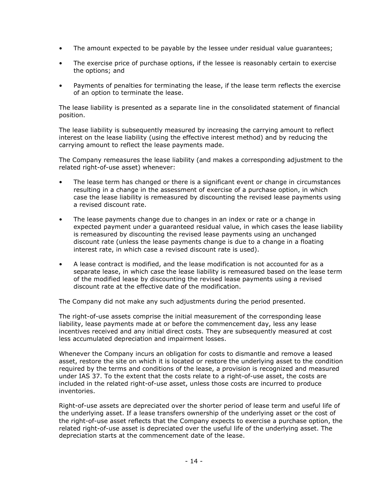- The amount expected to be payable by the lessee under residual value guarantees;
- The exercise price of purchase options, if the lessee is reasonably certain to exercise the options; and
- Payments of penalties for terminating the lease, if the lease term reflects the exercise of an option to terminate the lease.

The lease liability is presented as a separate line in the consolidated statement of financial position.

The lease liability is subsequently measured by increasing the carrying amount to reflect interest on the lease liability (using the effective interest method) and by reducing the carrying amount to reflect the lease payments made.

The Company remeasures the lease liability (and makes a corresponding adjustment to the related right-of-use asset) whenever:

- The lease term has changed or there is a significant event or change in circumstances resulting in a change in the assessment of exercise of a purchase option, in which case the lease liability is remeasured by discounting the revised lease payments using a revised discount rate.
- The lease payments change due to changes in an index or rate or a change in expected payment under a guaranteed residual value, in which cases the lease liability is remeasured by discounting the revised lease payments using an unchanged discount rate (unless the lease payments change is due to a change in a floating interest rate, in which case a revised discount rate is used).
- A lease contract is modified, and the lease modification is not accounted for as a separate lease, in which case the lease liability is remeasured based on the lease term of the modified lease by discounting the revised lease payments using a revised discount rate at the effective date of the modification.

The Company did not make any such adjustments during the period presented.

The right-of-use assets comprise the initial measurement of the corresponding lease liability, lease payments made at or before the commencement day, less any lease incentives received and any initial direct costs. They are subsequently measured at cost less accumulated depreciation and impairment losses.

Whenever the Company incurs an obligation for costs to dismantle and remove a leased asset, restore the site on which it is located or restore the underlying asset to the condition required by the terms and conditions of the lease, a provision is recognized and measured under IAS 37. To the extent that the costs relate to a right-of-use asset, the costs are included in the related right-of-use asset, unless those costs are incurred to produce inventories.

Right-of-use assets are depreciated over the shorter period of lease term and useful life of the underlying asset. If a lease transfers ownership of the underlying asset or the cost of the right-of-use asset reflects that the Company expects to exercise a purchase option, the related right-of-use asset is depreciated over the useful life of the underlying asset. The depreciation starts at the commencement date of the lease.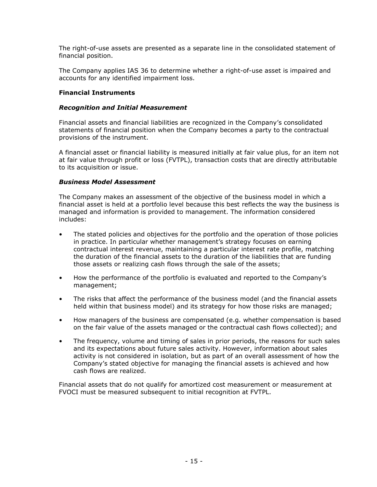The right-of-use assets are presented as a separate line in the consolidated statement of financial position.

The Company applies IAS 36 to determine whether a right-of-use asset is impaired and accounts for any identified impairment loss.

## **Financial Instruments**

#### *Recognition and Initial Measurement*

Financial assets and financial liabilities are recognized in the Company's consolidated statements of financial position when the Company becomes a party to the contractual provisions of the instrument.

A financial asset or financial liability is measured initially at fair value plus, for an item not at fair value through profit or loss (FVTPL), transaction costs that are directly attributable to its acquisition or issue.

#### *Business Model Assessment*

The Company makes an assessment of the objective of the business model in which a financial asset is held at a portfolio level because this best reflects the way the business is managed and information is provided to management. The information considered includes:

- The stated policies and objectives for the portfolio and the operation of those policies in practice. In particular whether management's strategy focuses on earning contractual interest revenue, maintaining a particular interest rate profile, matching the duration of the financial assets to the duration of the liabilities that are funding those assets or realizing cash flows through the sale of the assets;
- How the performance of the portfolio is evaluated and reported to the Company's management;
- The risks that affect the performance of the business model (and the financial assets held within that business model) and its strategy for how those risks are managed;
- How managers of the business are compensated (e.g. whether compensation is based on the fair value of the assets managed or the contractual cash flows collected); and
- The frequency, volume and timing of sales in prior periods, the reasons for such sales and its expectations about future sales activity. However, information about sales activity is not considered in isolation, but as part of an overall assessment of how the Company's stated objective for managing the financial assets is achieved and how cash flows are realized.

Financial assets that do not qualify for amortized cost measurement or measurement at FVOCI must be measured subsequent to initial recognition at FVTPL.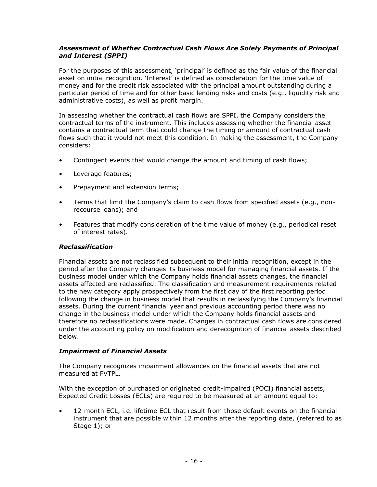# *Assessment of Whether Contractual Cash Flows Are Solely Payments of Principal and Interest (SPPI)*

For the purposes of this assessment, 'principal' is defined as the fair value of the financial asset on initial recognition. 'Interest' is defined as consideration for the time value of money and for the credit risk associated with the principal amount outstanding during a particular period of time and for other basic lending risks and costs (e.g., liquidity risk and administrative costs), as well as profit margin.

In assessing whether the contractual cash flows are SPPI, the Company considers the contractual terms of the instrument. This includes assessing whether the financial asset contains a contractual term that could change the timing or amount of contractual cash flows such that it would not meet this condition. In making the assessment, the Company considers:

- Contingent events that would change the amount and timing of cash flows;
- Leverage features;
- Prepayment and extension terms;
- Terms that limit the Company's claim to cash flows from specified assets (e.g., nonrecourse loans); and
- Features that modify consideration of the time value of money (e.g., periodical reset of interest rates).

#### *Reclassification*

Financial assets are not reclassified subsequent to their initial recognition, except in the period after the Company changes its business model for managing financial assets. If the business model under which the Company holds financial assets changes, the financial assets affected are reclassified. The classification and measurement requirements related to the new category apply prospectively from the first day of the first reporting period following the change in business model that results in reclassifying the Company's financial assets. During the current financial year and previous accounting period there was no change in the business model under which the Company holds financial assets and therefore no reclassifications were made. Changes in contractual cash flows are considered under the accounting policy on modification and derecognition of financial assets described below.

#### *Impairment of Financial Assets*

The Company recognizes impairment allowances on the financial assets that are not measured at FVTPL.

With the exception of purchased or originated credit-impaired (POCI) financial assets, Expected Credit Losses (ECLs) are required to be measured at an amount equal to:

• 12-month ECL, i.e. lifetime ECL that result from those default events on the financial instrument that are possible within 12 months after the reporting date, (referred to as Stage 1); or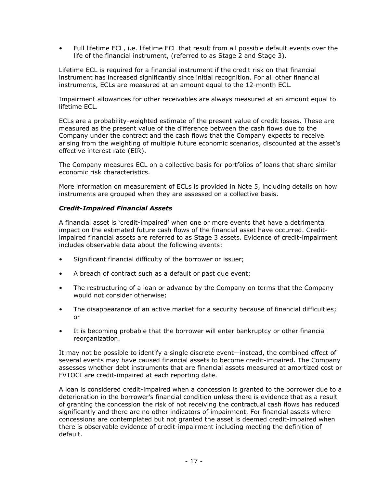• Full lifetime ECL, i.e. lifetime ECL that result from all possible default events over the life of the financial instrument, (referred to as Stage 2 and Stage 3).

Lifetime ECL is required for a financial instrument if the credit risk on that financial instrument has increased significantly since initial recognition. For all other financial instruments, ECLs are measured at an amount equal to the 12-month ECL.

Impairment allowances for other receivables are always measured at an amount equal to lifetime ECL.

ECLs are a probability-weighted estimate of the present value of credit losses. These are measured as the present value of the difference between the cash flows due to the Company under the contract and the cash flows that the Company expects to receive arising from the weighting of multiple future economic scenarios, discounted at the asset's effective interest rate (EIR).

The Company measures ECL on a collective basis for portfolios of loans that share similar economic risk characteristics.

More information on measurement of ECLs is provided in Note 5, including details on how instruments are grouped when they are assessed on a collective basis.

# *Credit-Impaired Financial Assets*

A financial asset is 'credit-impaired' when one or more events that have a detrimental impact on the estimated future cash flows of the financial asset have occurred. Creditimpaired financial assets are referred to as Stage 3 assets. Evidence of credit-impairment includes observable data about the following events:

- Significant financial difficulty of the borrower or issuer;
- A breach of contract such as a default or past due event;
- The restructuring of a loan or advance by the Company on terms that the Company would not consider otherwise;
- The disappearance of an active market for a security because of financial difficulties; or
- It is becoming probable that the borrower will enter bankruptcy or other financial reorganization.

It may not be possible to identify a single discrete event—instead, the combined effect of several events may have caused financial assets to become credit-impaired. The Company assesses whether debt instruments that are financial assets measured at amortized cost or FVTOCI are credit-impaired at each reporting date.

A loan is considered credit-impaired when a concession is granted to the borrower due to a deterioration in the borrower's financial condition unless there is evidence that as a result of granting the concession the risk of not receiving the contractual cash flows has reduced significantly and there are no other indicators of impairment. For financial assets where concessions are contemplated but not granted the asset is deemed credit-impaired when there is observable evidence of credit-impairment including meeting the definition of default.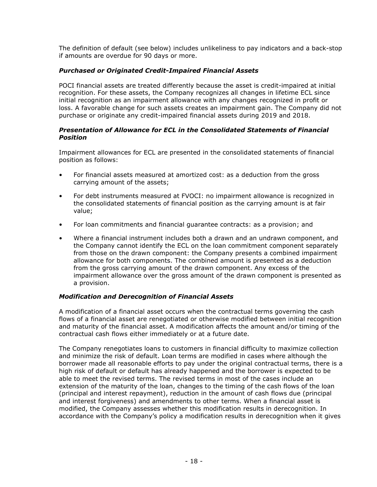The definition of default (see below) includes unlikeliness to pay indicators and a back-stop if amounts are overdue for 90 days or more.

# *Purchased or Originated Credit-Impaired Financial Assets*

POCI financial assets are treated differently because the asset is credit-impaired at initial recognition. For these assets, the Company recognizes all changes in lifetime ECL since initial recognition as an impairment allowance with any changes recognized in profit or loss. A favorable change for such assets creates an impairment gain. The Company did not purchase or originate any credit-impaired financial assets during 2019 and 2018.

## *Presentation of Allowance for ECL in the Consolidated Statements of Financial Position*

Impairment allowances for ECL are presented in the consolidated statements of financial position as follows:

- For financial assets measured at amortized cost: as a deduction from the gross carrying amount of the assets;
- For debt instruments measured at FVOCI: no impairment allowance is recognized in the consolidated statements of financial position as the carrying amount is at fair value;
- For loan commitments and financial guarantee contracts: as a provision; and
- Where a financial instrument includes both a drawn and an undrawn component, and the Company cannot identify the ECL on the loan commitment component separately from those on the drawn component: the Company presents a combined impairment allowance for both components. The combined amount is presented as a deduction from the gross carrying amount of the drawn component. Any excess of the impairment allowance over the gross amount of the drawn component is presented as a provision.

# *Modification and Derecognition of Financial Assets*

A modification of a financial asset occurs when the contractual terms governing the cash flows of a financial asset are renegotiated or otherwise modified between initial recognition and maturity of the financial asset. A modification affects the amount and/or timing of the contractual cash flows either immediately or at a future date.

The Company renegotiates loans to customers in financial difficulty to maximize collection and minimize the risk of default. Loan terms are modified in cases where although the borrower made all reasonable efforts to pay under the original contractual terms, there is a high risk of default or default has already happened and the borrower is expected to be able to meet the revised terms. The revised terms in most of the cases include an extension of the maturity of the loan, changes to the timing of the cash flows of the loan (principal and interest repayment), reduction in the amount of cash flows due (principal and interest forgiveness) and amendments to other terms. When a financial asset is modified, the Company assesses whether this modification results in derecognition. In accordance with the Company's policy a modification results in derecognition when it gives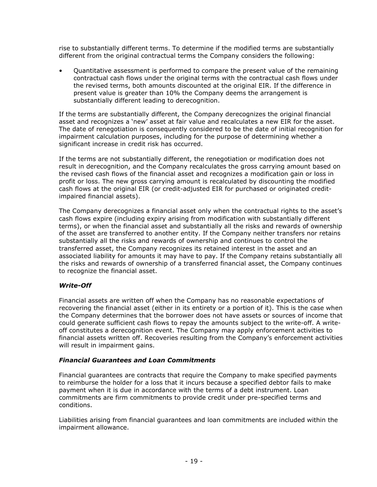rise to substantially different terms. To determine if the modified terms are substantially different from the original contractual terms the Company considers the following:

• Quantitative assessment is performed to compare the present value of the remaining contractual cash flows under the original terms with the contractual cash flows under the revised terms, both amounts discounted at the original EIR. If the difference in present value is greater than 10% the Company deems the arrangement is substantially different leading to derecognition.

If the terms are substantially different, the Company derecognizes the original financial asset and recognizes a 'new' asset at fair value and recalculates a new EIR for the asset. The date of renegotiation is consequently considered to be the date of initial recognition for impairment calculation purposes, including for the purpose of determining whether a significant increase in credit risk has occurred.

If the terms are not substantially different, the renegotiation or modification does not result in derecognition, and the Company recalculates the gross carrying amount based on the revised cash flows of the financial asset and recognizes a modification gain or loss in profit or loss. The new gross carrying amount is recalculated by discounting the modified cash flows at the original EIR (or credit-adjusted EIR for purchased or originated creditimpaired financial assets).

The Company derecognizes a financial asset only when the contractual rights to the asset's cash flows expire (including expiry arising from modification with substantially different terms), or when the financial asset and substantially all the risks and rewards of ownership of the asset are transferred to another entity. If the Company neither transfers nor retains substantially all the risks and rewards of ownership and continues to control the transferred asset, the Company recognizes its retained interest in the asset and an associated liability for amounts it may have to pay. If the Company retains substantially all the risks and rewards of ownership of a transferred financial asset, the Company continues to recognize the financial asset.

# *Write-Off*

Financial assets are written off when the Company has no reasonable expectations of recovering the financial asset (either in its entirety or a portion of it). This is the case when the Company determines that the borrower does not have assets or sources of income that could generate sufficient cash flows to repay the amounts subject to the write-off. A writeoff constitutes a derecognition event. The Company may apply enforcement activities to financial assets written off. Recoveries resulting from the Company's enforcement activities will result in impairment gains.

# *Financial Guarantees and Loan Commitments*

Financial guarantees are contracts that require the Company to make specified payments to reimburse the holder for a loss that it incurs because a specified debtor fails to make payment when it is due in accordance with the terms of a debt instrument. Loan commitments are firm commitments to provide credit under pre-specified terms and conditions.

Liabilities arising from financial guarantees and loan commitments are included within the impairment allowance.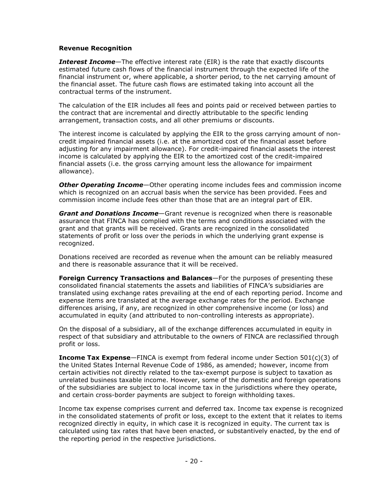#### **Revenue Recognition**

*Interest Income*—The effective interest rate (EIR) is the rate that exactly discounts estimated future cash flows of the financial instrument through the expected life of the financial instrument or, where applicable, a shorter period, to the net carrying amount of the financial asset. The future cash flows are estimated taking into account all the contractual terms of the instrument.

The calculation of the EIR includes all fees and points paid or received between parties to the contract that are incremental and directly attributable to the specific lending arrangement, transaction costs, and all other premiums or discounts.

The interest income is calculated by applying the EIR to the gross carrying amount of noncredit impaired financial assets (i.e. at the amortized cost of the financial asset before adjusting for any impairment allowance). For credit-impaired financial assets the interest income is calculated by applying the EIR to the amortized cost of the credit-impaired financial assets (i.e. the gross carrying amount less the allowance for impairment allowance).

*Other Operating Income*—Other operating income includes fees and commission income which is recognized on an accrual basis when the service has been provided. Fees and commission income include fees other than those that are an integral part of EIR.

*Grant and Donations Income*—Grant revenue is recognized when there is reasonable assurance that FINCA has complied with the terms and conditions associated with the grant and that grants will be received. Grants are recognized in the consolidated statements of profit or loss over the periods in which the underlying grant expense is recognized.

Donations received are recorded as revenue when the amount can be reliably measured and there is reasonable assurance that it will be received.

**Foreign Currency Transactions and Balances**—For the purposes of presenting these consolidated financial statements the assets and liabilities of FINCA's subsidiaries are translated using exchange rates prevailing at the end of each reporting period. Income and expense items are translated at the average exchange rates for the period. Exchange differences arising, if any, are recognized in other comprehensive income (or loss) and accumulated in equity (and attributed to non-controlling interests as appropriate).

On the disposal of a subsidiary, all of the exchange differences accumulated in equity in respect of that subsidiary and attributable to the owners of FINCA are reclassified through profit or loss.

**Income Tax Expense**—FINCA is exempt from federal income under Section 501(c)(3) of the United States Internal Revenue Code of 1986, as amended; however, income from certain activities not directly related to the tax-exempt purpose is subject to taxation as unrelated business taxable income. However, some of the domestic and foreign operations of the subsidiaries are subject to local income tax in the jurisdictions where they operate, and certain cross-border payments are subject to foreign withholding taxes.

Income tax expense comprises current and deferred tax. Income tax expense is recognized in the consolidated statements of profit or loss, except to the extent that it relates to items recognized directly in equity, in which case it is recognized in equity. The current tax is calculated using tax rates that have been enacted, or substantively enacted, by the end of the reporting period in the respective jurisdictions.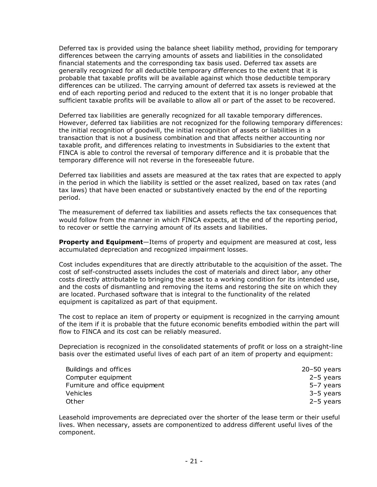Deferred tax is provided using the balance sheet liability method, providing for temporary differences between the carrying amounts of assets and liabilities in the consolidated financial statements and the corresponding tax basis used. Deferred tax assets are generally recognized for all deductible temporary differences to the extent that it is probable that taxable profits will be available against which those deductible temporary differences can be utilized. The carrying amount of deferred tax assets is reviewed at the end of each reporting period and reduced to the extent that it is no longer probable that sufficient taxable profits will be available to allow all or part of the asset to be recovered.

Deferred tax liabilities are generally recognized for all taxable temporary differences. However, deferred tax liabilities are not recognized for the following temporary differences: the initial recognition of goodwill, the initial recognition of assets or liabilities in a transaction that is not a business combination and that affects neither accounting nor taxable profit, and differences relating to investments in Subsidiaries to the extent that FINCA is able to control the reversal of temporary difference and it is probable that the temporary difference will not reverse in the foreseeable future.

Deferred tax liabilities and assets are measured at the tax rates that are expected to apply in the period in which the liability is settled or the asset realized, based on tax rates (and tax laws) that have been enacted or substantively enacted by the end of the reporting period.

The measurement of deferred tax liabilities and assets reflects the tax consequences that would follow from the manner in which FINCA expects, at the end of the reporting period, to recover or settle the carrying amount of its assets and liabilities.

**Property and Equipment**—Items of property and equipment are measured at cost, less accumulated depreciation and recognized impairment losses.

Cost includes expenditures that are directly attributable to the acquisition of the asset. The cost of self-constructed assets includes the cost of materials and direct labor, any other costs directly attributable to bringing the asset to a working condition for its intended use, and the costs of dismantling and removing the items and restoring the site on which they are located. Purchased software that is integral to the functionality of the related equipment is capitalized as part of that equipment.

The cost to replace an item of property or equipment is recognized in the carrying amount of the item if it is probable that the future economic benefits embodied within the part will flow to FINCA and its cost can be reliably measured.

Depreciation is recognized in the consolidated statements of profit or loss on a straight-line basis over the estimated useful lives of each part of an item of property and equipment:

| Buildings and offices          | $20 - 50$ years |
|--------------------------------|-----------------|
| Computer equipment             | $2-5$ years     |
| Furniture and office equipment | 5-7 years       |
| Vehicles                       | 3-5 years       |
| Other                          | $2-5$ years     |

Leasehold improvements are depreciated over the shorter of the lease term or their useful lives. When necessary, assets are componentized to address different useful lives of the component.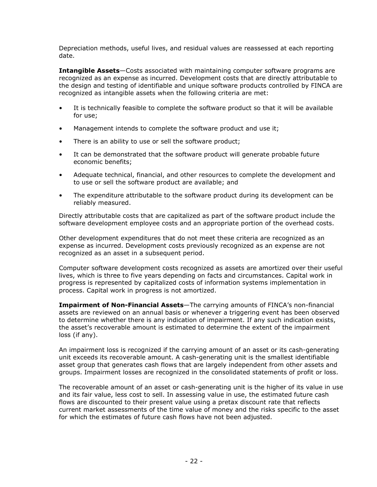Depreciation methods, useful lives, and residual values are reassessed at each reporting date.

**Intangible Assets**—Costs associated with maintaining computer software programs are recognized as an expense as incurred. Development costs that are directly attributable to the design and testing of identifiable and unique software products controlled by FINCA are recognized as intangible assets when the following criteria are met:

- It is technically feasible to complete the software product so that it will be available for use;
- Management intends to complete the software product and use it;
- There is an ability to use or sell the software product;
- It can be demonstrated that the software product will generate probable future economic benefits;
- Adequate technical, financial, and other resources to complete the development and to use or sell the software product are available; and
- The expenditure attributable to the software product during its development can be reliably measured.

Directly attributable costs that are capitalized as part of the software product include the software development employee costs and an appropriate portion of the overhead costs.

Other development expenditures that do not meet these criteria are recognized as an expense as incurred. Development costs previously recognized as an expense are not recognized as an asset in a subsequent period.

Computer software development costs recognized as assets are amortized over their useful lives, which is three to five years depending on facts and circumstances. Capital work in progress is represented by capitalized costs of information systems implementation in process. Capital work in progress is not amortized.

**Impairment of Non-Financial Assets**—The carrying amounts of FINCA's non-financial assets are reviewed on an annual basis or whenever a triggering event has been observed to determine whether there is any indication of impairment. If any such indication exists, the asset's recoverable amount is estimated to determine the extent of the impairment loss (if any).

An impairment loss is recognized if the carrying amount of an asset or its cash-generating unit exceeds its recoverable amount. A cash-generating unit is the smallest identifiable asset group that generates cash flows that are largely independent from other assets and groups. Impairment losses are recognized in the consolidated statements of profit or loss.

The recoverable amount of an asset or cash-generating unit is the higher of its value in use and its fair value, less cost to sell. In assessing value in use, the estimated future cash flows are discounted to their present value using a pretax discount rate that reflects current market assessments of the time value of money and the risks specific to the asset for which the estimates of future cash flows have not been adjusted.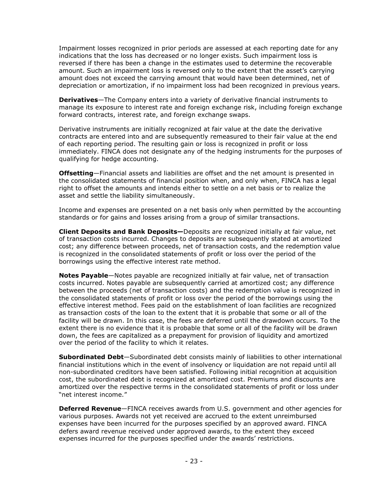Impairment losses recognized in prior periods are assessed at each reporting date for any indications that the loss has decreased or no longer exists. Such impairment loss is reversed if there has been a change in the estimates used to determine the recoverable amount. Such an impairment loss is reversed only to the extent that the asset's carrying amount does not exceed the carrying amount that would have been determined, net of depreciation or amortization, if no impairment loss had been recognized in previous years.

**Derivatives**—The Company enters into a variety of derivative financial instruments to manage its exposure to interest rate and foreign exchange risk, including foreign exchange forward contracts, interest rate, and foreign exchange swaps.

Derivative instruments are initially recognized at fair value at the date the derivative contracts are entered into and are subsequently remeasured to their fair value at the end of each reporting period. The resulting gain or loss is recognized in profit or loss immediately. FINCA does not designate any of the hedging instruments for the purposes of qualifying for hedge accounting.

**Offsetting**—Financial assets and liabilities are offset and the net amount is presented in the consolidated statements of financial position when, and only when, FINCA has a legal right to offset the amounts and intends either to settle on a net basis or to realize the asset and settle the liability simultaneously.

Income and expenses are presented on a net basis only when permitted by the accounting standards or for gains and losses arising from a group of similar transactions.

**Client Deposits and Bank Deposits—**Deposits are recognized initially at fair value, net of transaction costs incurred. Changes to deposits are subsequently stated at amortized cost; any difference between proceeds, net of transaction costs, and the redemption value is recognized in the consolidated statements of profit or loss over the period of the borrowings using the effective interest rate method.

**Notes Payable**—Notes payable are recognized initially at fair value, net of transaction costs incurred. Notes payable are subsequently carried at amortized cost; any difference between the proceeds (net of transaction costs) and the redemption value is recognized in the consolidated statements of profit or loss over the period of the borrowings using the effective interest method. Fees paid on the establishment of loan facilities are recognized as transaction costs of the loan to the extent that it is probable that some or all of the facility will be drawn. In this case, the fees are deferred until the drawdown occurs. To the extent there is no evidence that it is probable that some or all of the facility will be drawn down, the fees are capitalized as a prepayment for provision of liquidity and amortized over the period of the facility to which it relates.

**Subordinated Debt**—Subordinated debt consists mainly of liabilities to other international financial institutions which in the event of insolvency or liquidation are not repaid until all non-subordinated creditors have been satisfied. Following initial recognition at acquisition cost, the subordinated debt is recognized at amortized cost. Premiums and discounts are amortized over the respective terms in the consolidated statements of profit or loss under "net interest income."

**Deferred Revenue**—FINCA receives awards from U.S. government and other agencies for various purposes. Awards not yet received are accrued to the extent unreimbursed expenses have been incurred for the purposes specified by an approved award. FINCA defers award revenue received under approved awards, to the extent they exceed expenses incurred for the purposes specified under the awards' restrictions.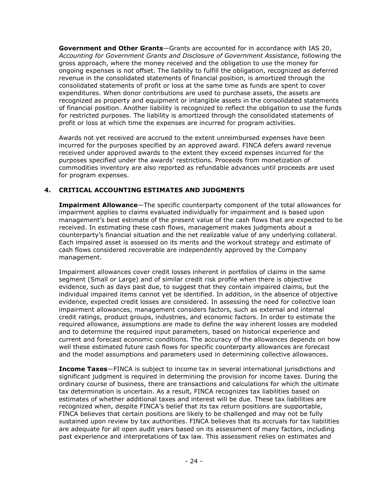**Government and Other Grants**—Grants are accounted for in accordance with IAS 20, *Accounting for Government Grants and Disclosure of Government Assistance*, following the gross approach, where the money received and the obligation to use the money for ongoing expenses is not offset. The liability to fulfill the obligation, recognized as deferred revenue in the consolidated statements of financial position, is amortized through the consolidated statements of profit or loss at the same time as funds are spent to cover expenditures. When donor contributions are used to purchase assets, the assets are recognized as property and equipment or intangible assets in the consolidated statements of financial position. Another liability is recognized to reflect the obligation to use the funds for restricted purposes. The liability is amortized through the consolidated statements of profit or loss at which time the expenses are incurred for program activities.

Awards not yet received are accrued to the extent unreimbursed expenses have been incurred for the purposes specified by an approved award. FINCA defers award revenue received under approved awards to the extent they exceed expenses incurred for the purposes specified under the awards' restrictions. Proceeds from monetization of commodities inventory are also reported as refundable advances until proceeds are used for program expenses.

# **4. CRITICAL ACCOUNTING ESTIMATES AND JUDGMENTS**

**Impairment Allowance**—The specific counterparty component of the total allowances for impairment applies to claims evaluated individually for impairment and is based upon management's best estimate of the present value of the cash flows that are expected to be received. In estimating these cash flows, management makes judgments about a counterparty's financial situation and the net realizable value of any underlying collateral. Each impaired asset is assessed on its merits and the workout strategy and estimate of cash flows considered recoverable are independently approved by the Company management.

Impairment allowances cover credit losses inherent in portfolios of claims in the same segment (Small or Large) and of similar credit risk profile when there is objective evidence, such as days past due, to suggest that they contain impaired claims, but the individual impaired items cannot yet be identified. In addition, in the absence of objective evidence, expected credit losses are considered. In assessing the need for collective loan impairment allowances, management considers factors, such as external and internal credit ratings, product groups, industries, and economic factors. In order to estimate the required allowance, assumptions are made to define the way inherent losses are modeled and to determine the required input parameters, based on historical experience and current and forecast economic conditions. The accuracy of the allowances depends on how well these estimated future cash flows for specific counterparty allowances are forecast and the model assumptions and parameters used in determining collective allowances.

**Income Taxes**—FINCA is subject to income tax in several international jurisdictions and significant judgment is required in determining the provision for income taxes. During the ordinary course of business, there are transactions and calculations for which the ultimate tax determination is uncertain. As a result, FINCA recognizes tax liabilities based on estimates of whether additional taxes and interest will be due. These tax liabilities are recognized when, despite FINCA's belief that its tax return positions are supportable, FINCA believes that certain positions are likely to be challenged and may not be fully sustained upon review by tax authorities. FINCA believes that its accruals for tax liabilities are adequate for all open audit years based on its assessment of many factors, including past experience and interpretations of tax law. This assessment relies on estimates and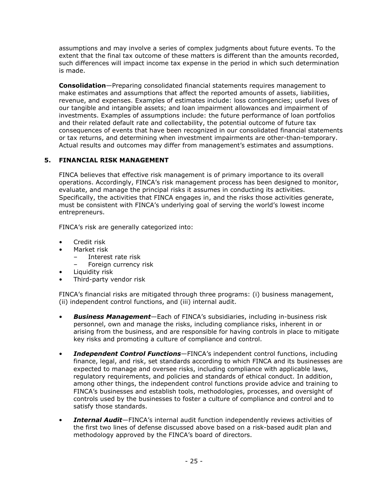assumptions and may involve a series of complex judgments about future events. To the extent that the final tax outcome of these matters is different than the amounts recorded, such differences will impact income tax expense in the period in which such determination is made.

**Consolidation**—Preparing consolidated financial statements requires management to make estimates and assumptions that affect the reported amounts of assets, liabilities, revenue, and expenses. Examples of estimates include: loss contingencies; useful lives of our tangible and intangible assets; and loan impairment allowances and impairment of investments. Examples of assumptions include: the future performance of loan portfolios and their related default rate and collectability, the potential outcome of future tax consequences of events that have been recognized in our consolidated financial statements or tax returns, and determining when investment impairments are other-than-temporary. Actual results and outcomes may differ from management's estimates and assumptions.

# **5. FINANCIAL RISK MANAGEMENT**

FINCA believes that effective risk management is of primary importance to its overall operations. Accordingly, FINCA's risk management process has been designed to monitor, evaluate, and manage the principal risks it assumes in conducting its activities. Specifically, the activities that FINCA engages in, and the risks those activities generate, must be consistent with FINCA's underlying goal of serving the world's lowest income entrepreneurs.

FINCA's risk are generally categorized into:

- Credit risk
- Market risk
	- Interest rate risk
	- Foreign currency risk
- Liquidity risk
- Third-party vendor risk

FINCA's financial risks are mitigated through three programs: (i) business management, (ii) independent control functions, and (iii) internal audit.

- *Business Management*—Each of FINCA's subsidiaries, including in-business risk personnel, own and manage the risks, including compliance risks, inherent in or arising from the business, and are responsible for having controls in place to mitigate key risks and promoting a culture of compliance and control.
- *Independent Control Functions*—FINCA's independent control functions, including finance, legal, and risk, set standards according to which FINCA and its businesses are expected to manage and oversee risks, including compliance with applicable laws, regulatory requirements, and policies and standards of ethical conduct. In addition, among other things, the independent control functions provide advice and training to FINCA's businesses and establish tools, methodologies, processes, and oversight of controls used by the businesses to foster a culture of compliance and control and to satisfy those standards.
- *Internal Audit*—FINCA's internal audit function independently reviews activities of the first two lines of defense discussed above based on a risk-based audit plan and methodology approved by the FINCA's board of directors.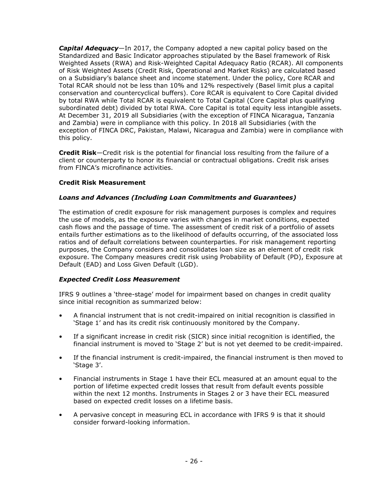*Capital Adequacy*—In 2017, the Company adopted a new capital policy based on the Standardized and Basic Indicator approaches stipulated by the Basel framework of Risk Weighted Assets (RWA) and Risk-Weighted Capital Adequacy Ratio (RCAR). All components of Risk Weighted Assets (Credit Risk, Operational and Market Risks) are calculated based on a Subsidiary's balance sheet and income statement. Under the policy, Core RCAR and Total RCAR should not be less than 10% and 12% respectively (Basel limit plus a capital conservation and countercyclical buffers). Core RCAR is equivalent to Core Capital divided by total RWA while Total RCAR is equivalent to Total Capital (Core Capital plus qualifying subordinated debt) divided by total RWA. Core Capital is total equity less intangible assets. At December 31, 2019 all Subsidiaries (with the exception of FINCA Nicaragua, Tanzania and Zambia) were in compliance with this policy. In 2018 all Subsidiaries (with the exception of FINCA DRC, Pakistan, Malawi, Nicaragua and Zambia) were in compliance with this policy.

**Credit Risk**—Credit risk is the potential for financial loss resulting from the failure of a client or counterparty to honor its financial or contractual obligations. Credit risk arises from FINCA's microfinance activities.

# **Credit Risk Measurement**

#### *Loans and Advances (Including Loan Commitments and Guarantees)*

The estimation of credit exposure for risk management purposes is complex and requires the use of models, as the exposure varies with changes in market conditions, expected cash flows and the passage of time. The assessment of credit risk of a portfolio of assets entails further estimations as to the likelihood of defaults occurring, of the associated loss ratios and of default correlations between counterparties. For risk management reporting purposes, the Company considers and consolidates loan size as an element of credit risk exposure. The Company measures credit risk using Probability of Default (PD), Exposure at Default (EAD) and Loss Given Default (LGD).

#### *Expected Credit Loss Measurement*

IFRS 9 outlines a 'three-stage' model for impairment based on changes in credit quality since initial recognition as summarized below:

- A financial instrument that is not credit-impaired on initial recognition is classified in 'Stage 1' and has its credit risk continuously monitored by the Company.
- If a significant increase in credit risk (SICR) since initial recognition is identified, the financial instrument is moved to 'Stage 2' but is not yet deemed to be credit-impaired.
- If the financial instrument is credit-impaired, the financial instrument is then moved to 'Stage 3'.
- Financial instruments in Stage 1 have their ECL measured at an amount equal to the portion of lifetime expected credit losses that result from default events possible within the next 12 months. Instruments in Stages 2 or 3 have their ECL measured based on expected credit losses on a lifetime basis.
- A pervasive concept in measuring ECL in accordance with IFRS 9 is that it should consider forward-looking information.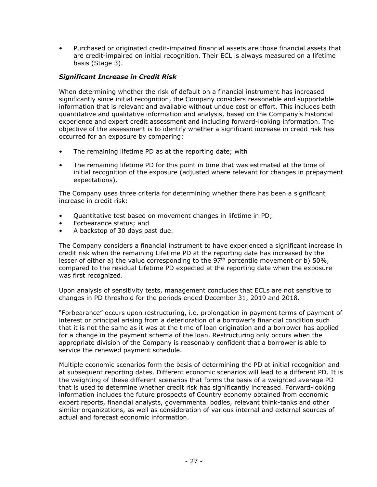• Purchased or originated credit-impaired financial assets are those financial assets that are credit-impaired on initial recognition. Their ECL is always measured on a lifetime basis (Stage 3).

# *Significant Increase in Credit Risk*

When determining whether the risk of default on a financial instrument has increased significantly since initial recognition, the Company considers reasonable and supportable information that is relevant and available without undue cost or effort. This includes both quantitative and qualitative information and analysis, based on the Company's historical experience and expert credit assessment and including forward-looking information. The objective of the assessment is to identify whether a significant increase in credit risk has occurred for an exposure by comparing:

- The remaining lifetime PD as at the reporting date; with
- The remaining lifetime PD for this point in time that was estimated at the time of initial recognition of the exposure (adjusted where relevant for changes in prepayment expectations).

The Company uses three criteria for determining whether there has been a significant increase in credit risk:

- Quantitative test based on movement changes in lifetime in PD;
- Forbearance status; and
- A backstop of 30 days past due.

The Company considers a financial instrument to have experienced a significant increase in credit risk when the remaining Lifetime PD at the reporting date has increased by the lesser of either a) the value corresponding to the  $97<sup>th</sup>$  percentile movement or b) 50%, compared to the residual Lifetime PD expected at the reporting date when the exposure was first recognized.

Upon analysis of sensitivity tests, management concludes that ECLs are not sensitive to changes in PD threshold for the periods ended December 31, 2019 and 2018.

"Forbearance" occurs upon restructuring, i.e. prolongation in payment terms of payment of interest or principal arising from a deterioration of a borrower's financial condition such that it is not the same as it was at the time of loan origination and a borrower has applied for a change in the payment schema of the loan. Restructuring only occurs when the appropriate division of the Company is reasonably confident that a borrower is able to service the renewed payment schedule.

Multiple economic scenarios form the basis of determining the PD at initial recognition and at subsequent reporting dates. Different economic scenarios will lead to a different PD. It is the weighting of these different scenarios that forms the basis of a weighted average PD that is used to determine whether credit risk has significantly increased. Forward-looking information includes the future prospects of Country economy obtained from economic expert reports, financial analysts, governmental bodies, relevant think-tanks and other similar organizations, as well as consideration of various internal and external sources of actual and forecast economic information.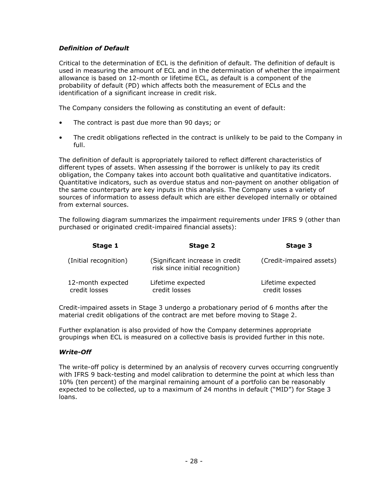# *Definition of Default*

Critical to the determination of ECL is the definition of default. The definition of default is used in measuring the amount of ECL and in the determination of whether the impairment allowance is based on 12-month or lifetime ECL, as default is a component of the probability of default (PD) which affects both the measurement of ECLs and the identification of a significant increase in credit risk.

The Company considers the following as constituting an event of default:

- The contract is past due more than 90 days; or
- The credit obligations reflected in the contract is unlikely to be paid to the Company in full.

The definition of default is appropriately tailored to reflect different characteristics of different types of assets. When assessing if the borrower is unlikely to pay its credit obligation, the Company takes into account both qualitative and quantitative indicators. Quantitative indicators, such as overdue status and non-payment on another obligation of the same counterparty are key inputs in this analysis. The Company uses a variety of sources of information to assess default which are either developed internally or obtained from external sources.

The following diagram summarizes the impairment requirements under IFRS 9 (other than purchased or originated credit-impaired financial assets):

| Stage 1                            | Stage 2                                                            | Stage 3                            |
|------------------------------------|--------------------------------------------------------------------|------------------------------------|
| (Initial recognition)              | (Significant increase in credit<br>risk since initial recognition) | (Credit-impaired assets)           |
| 12-month expected<br>credit losses | Lifetime expected<br>credit losses                                 | Lifetime expected<br>credit losses |

Credit-impaired assets in Stage 3 undergo a probationary period of 6 months after the material credit obligations of the contract are met before moving to Stage 2.

Further explanation is also provided of how the Company determines appropriate groupings when ECL is measured on a collective basis is provided further in this note.

#### *Write-Off*

The write-off policy is determined by an analysis of recovery curves occurring congruently with IFRS 9 back-testing and model calibration to determine the point at which less than 10% (ten percent) of the marginal remaining amount of a portfolio can be reasonably expected to be collected, up to a maximum of 24 months in default ("MID") for Stage 3 loans.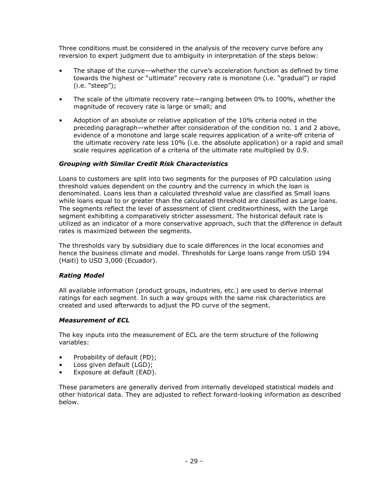Three conditions must be considered in the analysis of the recovery curve before any reversion to expert judgment due to ambiguity in interpretation of the steps below:

- The shape of the curve—whether the curve's acceleration function as defined by time towards the highest or "ultimate" recovery rate is monotone (i.e. "gradual") or rapid (i.e. "steep");
- The scale of the ultimate recovery rate—ranging between 0% to 100%, whether the magnitude of recovery rate is large or small; and
- Adoption of an absolute or relative application of the 10% criteria noted in the preceding paragraph—whether after consideration of the condition no. 1 and 2 above, evidence of a monotone and large scale requires application of a write-off criteria of the ultimate recovery rate less 10% (i.e. the absolute application) or a rapid and small scale requires application of a criteria of the ultimate rate multiplied by 0.9.

# *Grouping with Similar Credit Risk Characteristics*

Loans to customers are split into two segments for the purposes of PD calculation using threshold values dependent on the country and the currency in which the loan is denominated. Loans less than a calculated threshold value are classified as Small loans while loans equal to or greater than the calculated threshold are classified as Large loans. The segments reflect the level of assessment of client creditworthiness, with the Large segment exhibiting a comparatively stricter assessment. The historical default rate is utilized as an indicator of a more conservative approach, such that the difference in default rates is maximized between the segments.

The thresholds vary by subsidiary due to scale differences in the local economies and hence the business climate and model. Thresholds for Large loans range from USD 194 (Haiti) to USD 3,000 (Ecuador).

# *Rating Model*

All available information (product groups, industries, etc.) are used to derive internal ratings for each segment. In such a way groups with the same risk characteristics are created and used afterwards to adjust the PD curve of the segment.

#### *Measurement of ECL*

The key inputs into the measurement of ECL are the term structure of the following variables:

- Probability of default (PD);
- Loss given default (LGD);
- Exposure at default (EAD).

These parameters are generally derived from internally developed statistical models and other historical data. They are adjusted to reflect forward-looking information as described below.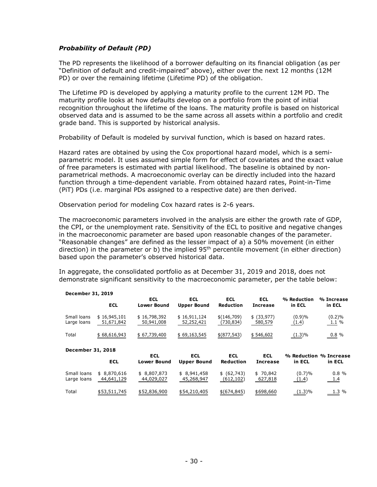## *Probability of Default (PD)*

The PD represents the likelihood of a borrower defaulting on its financial obligation (as per "Definition of default and credit-impaired" above), either over the next 12 months (12M PD) or over the remaining lifetime (Lifetime PD) of the obligation.

The Lifetime PD is developed by applying a maturity profile to the current 12M PD. The maturity profile looks at how defaults develop on a portfolio from the point of initial recognition throughout the lifetime of the loans. The maturity profile is based on historical observed data and is assumed to be the same across all assets within a portfolio and credit grade band. This is supported by historical analysis.

Probability of Default is modeled by survival function, which is based on hazard rates.

Hazard rates are obtained by using the Cox proportional hazard model, which is a semiparametric model. It uses assumed simple form for effect of covariates and the exact value of free parameters is estimated with partial likelihood. The baseline is obtained by nonparametrical methods. A macroeconomic overlay can be directly included into the hazard function through a time-dependent variable. From obtained hazard rates, Point-in-Time (PiT) PDs (i.e. marginal PDs assigned to a respective date) are then derived.

Observation period for modeling Cox hazard rates is 2-6 years.

The macroeconomic parameters involved in the analysis are either the growth rate of GDP, the CPI, or the unemployment rate. Sensitivity of the ECL to positive and negative changes in the macroeconomic parameter are based upon reasonable changes of the parameter. "Reasonable changes" are defined as the lesser impact of a) a 50% movement (in either direction) in the parameter or b) the implied  $95<sup>th</sup>$  percentile movement (in either direction) based upon the parameter's observed historical data.

In aggregate, the consolidated portfolio as at December 31, 2019 and 2018, does not demonstrate significant sensitivity to the macroeconomic parameter, per the table below:

| December 31, 2019          |                            |                                  |                                  |                                |                               |                        |                      |
|----------------------------|----------------------------|----------------------------------|----------------------------------|--------------------------------|-------------------------------|------------------------|----------------------|
|                            | <b>ECL</b>                 | <b>ECL</b><br><b>Lower Bound</b> | <b>ECL</b><br><b>Upper Bound</b> | <b>ECL</b><br><b>Reduction</b> | <b>ECL</b><br><b>Increase</b> | % Reduction<br>in ECL  | % Increase<br>in ECL |
| Small loans<br>Large loans | \$16,945,101<br>51,671,842 | \$16,798,392<br>50,941,008       | \$16,911,124<br>52,252,421       | \$(146,709)<br>(730, 834)      | \$ (33,977)<br>580,579        | (0.9)%<br>(1.4)        | (0.2)%<br>1.1 %      |
| Total                      | \$68,616,943               | \$67,739,400                     | \$69,163,545                     | \$ (877, 543)                  | \$546,602                     | $(1.3)\%$              | $0.8\%$              |
| <b>December 31, 2018</b>   |                            | <b>ECL</b>                       | <b>ECL</b>                       | <b>ECL</b>                     | <b>ECL</b>                    | % Reduction % Increase |                      |
|                            | <b>ECL</b>                 | <b>Lower Bound</b>               | <b>Upper Bound</b>               | <b>Reduction</b>               | Increase                      | in ECL                 | in ECL               |
| Small loans<br>Large loans | \$8.870.616<br>44,641,129  | \$8,807,873<br>44,029,027        | \$8,941,458<br>45,268,947        | \$ (62, 743)<br>(612, 102)     | \$70,842<br>627,818           | (0.7)%<br>(1.4)        | 0.8%<br>1.4          |
| Total                      | \$53,511,745               | \$52,836,900                     | \$54,210,405                     | \$ (674, 845)                  | \$698,660                     | $(1.3)\%$              | 1.3%                 |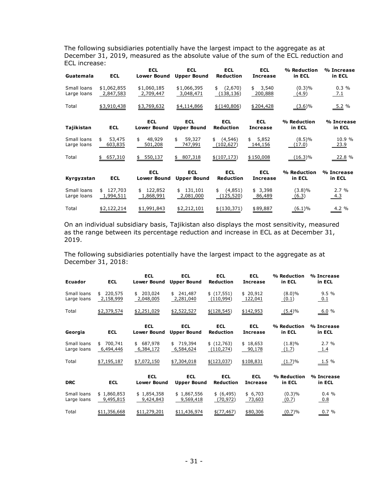The following subsidiaries potentially have the largest impact to the aggregate as at December 31, 2019, measured as the absolute value of the sum of the ECL reduction and ECL increase:

| Guatemala                  | <b>ECL</b>               | <b>ECL</b><br><b>Lower Bound</b> | <b>ECL</b><br><b>Upper Bound</b> | <b>ECL</b><br>Reduction        | <b>ECL</b><br><b>Increase</b>    | % Reduction<br>in ECL | % Increase<br>in ECL |
|----------------------------|--------------------------|----------------------------------|----------------------------------|--------------------------------|----------------------------------|-----------------------|----------------------|
| Small loans<br>Large loans | \$1,062,855<br>2,847,583 | \$1,060,185<br>2,709,447         | \$1,066,395<br>3,048,471         | (2,670)<br>\$<br>(138, 136)    | \$3,540<br>200,888               | (0.3)%<br>(4.9)       | 0.3%<br>7.1          |
| Total                      | \$3,910,438              | \$3,769,632                      | \$4,114,866                      | \$ (140, 806)                  | \$204,428                        | $(3.6)\%$             | $\frac{5.2}{ }$ %    |
| Tajikistan                 | <b>ECL</b>               | <b>ECL</b><br>Lower Bound        | <b>ECL</b><br><b>Upper Bound</b> | <b>ECL</b><br><b>Reduction</b> | <b>ECL</b><br><b>Increase</b>    | % Reduction<br>in ECL | % Increase<br>in ECL |
| Small loans<br>Large loans | 53,475<br>\$<br>603,835  | 48,929<br>\$<br>501,208          | \$<br>59,327<br>747,991          | \$ (4,546)<br>(102, 627)       | 5,852<br>$\mathsf{s}$<br>144,156 | $(8.5)\%$<br>(17.0)   | 10.9 %<br>23.9       |
| Total                      | <u>657,310</u>           | 550,137<br>\$                    | \$807,318                        | <u>\$(107,173)</u>             | \$150,008                        | <u>(16.3</u> )%       | 22.8%                |
| Kyrgyzstan                 | <b>ECL</b>               | <b>ECL</b><br><b>Lower Bound</b> | <b>ECL</b><br><b>Upper Bound</b> | <b>ECL</b><br><b>Reduction</b> | <b>ECL</b><br><b>Increase</b>    | % Reduction<br>in ECL | % Increase<br>in ECL |
| Small loans<br>Large loans | \$127,703<br>1,994,511   | 122,852<br>\$<br>1,868,991       | 131,101<br>\$<br>2,081,000       | (4,851)<br>\$<br>(125,520)     | \$3,398<br>86,489                | (3.8)%<br>(6.3)       | 2.7%<br>4.3          |
| Total                      | \$2,122,214              | \$1,991,843                      | \$2,212,101                      | \$(130, 371)                   | \$89,887                         | (6.1)%                | 4.2 %                |

On an individual subsidiary basis, Tajikistan also displays the most sensitivity, measured as the range between its percentage reduction and increase in ECL as at December 31, 2019.

The following subsidiaries potentially have the largest impact to the aggregate as at December 31, 2018:

| <b>Ecuador</b>             | <b>ECL</b>                 | <b>ECL</b><br><b>Lower Bound</b> | <b>ECL</b><br><b>Upper Bound</b> | <b>ECL</b><br><b>Reduction</b> | <b>ECL</b><br><b>Increase</b> | % Reduction<br>in ECL | % Increase<br>in ECL |
|----------------------------|----------------------------|----------------------------------|----------------------------------|--------------------------------|-------------------------------|-----------------------|----------------------|
| Small loans<br>Large loans | 220,575<br>\$<br>2,158,999 | 203,024<br>\$<br>2,048,005       | 241,487<br>\$<br>2,281,040       | \$(17,551)<br>(110, 994)       | \$20,912<br>122,041           | $(8.0)\%$<br>(0.1)    | 9.5%<br>0.1          |
| Total                      | \$2,379,574                | \$2,251,029                      | \$2,522,527                      | \$(128, 545)                   | \$142,953                     | $(5.4)\%$             | 6.0%                 |
| Georgia                    | <b>ECL</b>                 | <b>ECL</b><br><b>Lower Bound</b> | <b>ECL</b><br><b>Upper Bound</b> | <b>ECL</b><br>Reduction        | <b>ECL</b><br><b>Increase</b> | % Reduction<br>in ECL | % Increase<br>in ECL |
| Small loans<br>Large loans | 700,741<br>\$<br>6,494,446 | \$687,978<br>6,384,172           | \$ 719,394<br>6,584,624          | \$(12,763)<br>(110, 274)       | \$18,653<br>90,178            | (1.8)%<br>(1.7)       | 2.7%<br>1.4          |
| Total                      | \$7,195,187                | \$7,072,150                      | \$7,304,018                      | \$(123, 037)                   | \$108,831                     | (1.7)%                | 1.5%                 |
| <b>DRC</b>                 | <b>ECL</b>                 | <b>ECL</b><br><b>Lower Bound</b> | <b>ECL</b><br><b>Upper Bound</b> | <b>ECL</b><br><b>Reduction</b> | <b>ECL</b><br><b>Increase</b> | % Reduction<br>in ECL | % Increase<br>in ECL |
| Small loans<br>Large loans | \$1,860,853<br>9,495,815   | \$1,854,358<br>9,424,843         | \$1,867,556<br>9,569,418         | \$ (6,495)<br>(70, 972)        | \$6,703<br>73,603             | (0.3)%<br>(0.7)       | 0.4%<br>0.8          |
| Total                      | \$11,356,668               | \$11,279,201                     | \$11,436,974                     | \$(77,467)                     | \$80,306                      | (0.7)%                | 0.7%                 |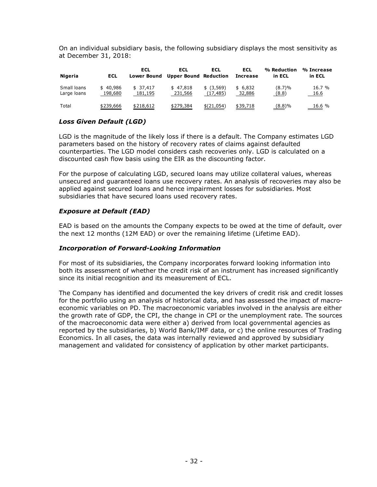On an individual subsidiary basis, the following subsidiary displays the most sensitivity as at December 31, 2018:

| Nigeria                    | ECL                 | ECL                 | ECL<br>Lower Bound Upper Bound Reduction | ECL                     | ECL<br><b>Increase</b> | % Reduction<br>in ECL | % Increase<br>in ECL |
|----------------------------|---------------------|---------------------|------------------------------------------|-------------------------|------------------------|-----------------------|----------------------|
| Small loans<br>Large loans | \$40.986<br>198,680 | \$37.417<br>181,195 | \$47.818<br>231,566                      | \$ (3,569)<br>(17, 485) | \$6,832<br>32,886      | (8.7)%<br>(8.8)       | 16.7%<br>16.6        |
| Total                      | \$239,666           | \$218,612           | \$279,384                                | \$(21,054)              | \$39,718               | $(8.8)\%$             | 16.6 %               |

# *Loss Given Default (LGD)*

LGD is the magnitude of the likely loss if there is a default. The Company estimates LGD parameters based on the history of recovery rates of claims against defaulted counterparties. The LGD model considers cash recoveries only. LGD is calculated on a discounted cash flow basis using the EIR as the discounting factor.

For the purpose of calculating LGD, secured loans may utilize collateral values, whereas unsecured and guaranteed loans use recovery rates. An analysis of recoveries may also be applied against secured loans and hence impairment losses for subsidiaries. Most subsidiaries that have secured loans used recovery rates.

# *Exposure at Default (EAD)*

EAD is based on the amounts the Company expects to be owed at the time of default, over the next 12 months (12M EAD) or over the remaining lifetime (Lifetime EAD).

#### *Incorporation of Forward-Looking Information*

For most of its subsidiaries, the Company incorporates forward looking information into both its assessment of whether the credit risk of an instrument has increased significantly since its initial recognition and its measurement of ECL.

The Company has identified and documented the key drivers of credit risk and credit losses for the portfolio using an analysis of historical data, and has assessed the impact of macroeconomic variables on PD. The macroeconomic variables involved in the analysis are either the growth rate of GDP, the CPI, the change in CPI or the unemployment rate. The sources of the macroeconomic data were either a) derived from local governmental agencies as reported by the subsidiaries, b) World Bank/IMF data, or c) the online resources of Trading Economics. In all cases, the data was internally reviewed and approved by subsidiary management and validated for consistency of application by other market participants.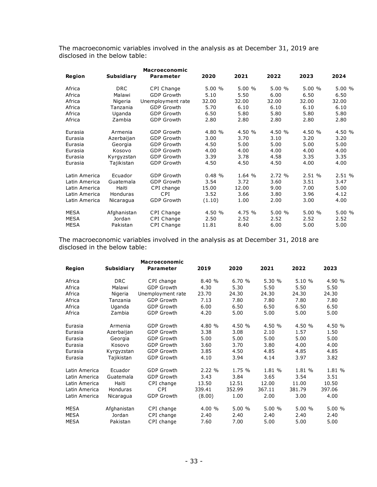The macroeconomic variables involved in the analysis as at December 31, 2019 are disclosed in the below table:

|               |                 | Macroeconomic     |        |        |        |        |        |
|---------------|-----------------|-------------------|--------|--------|--------|--------|--------|
| Region        | Subsidiary      | <b>Parameter</b>  | 2020   | 2021   | 2022   | 2023   | 2024   |
| Africa        | DRC             | CPI Change        | 5.00 % | 5.00%  | 5.00 % | 5.00%  | 5.00 % |
| Africa        | Malawi          | <b>GDP Growth</b> | 5.10   | 5.50   | 6.00   | 6.50   | 6.50   |
| Africa        | Nigeria         | Unemployment rate | 32.00  | 32.00  | 32.00  | 32.00  | 32.00  |
| Africa        | Tanzania        | <b>GDP Growth</b> | 5.70   | 6.10   | 6.10   | 6.10   | 6.10   |
| Africa        | Uganda          | <b>GDP Growth</b> | 6.50   | 5.80   | 5.80   | 5.80   | 5.80   |
| Africa        | Zambia          | <b>GDP Growth</b> | 2.80   | 2.80   | 2.80   | 2.80   | 2.80   |
| Eurasia       | Armenia         | <b>GDP Growth</b> | 4.80 % | 4.50 % | 4.50 % | 4.50 % | 4.50 % |
| Eurasia       | Azerbaijan      | <b>GDP Growth</b> | 3.00   | 3.70   | 3.10   | 3.20   | 3.20   |
| Eurasia       | Georgia         | <b>GDP Growth</b> | 4.50   | 5.00   | 5.00   | 5.00   | 5.00   |
| Eurasia       | Kosovo          | <b>GDP Growth</b> | 4.00   | 4.00   | 4.00   | 4.00   | 4.00   |
| Eurasia       | Kyrgyzstan      | <b>GDP Growth</b> | 3.39   | 3.78   | 4.58   | 3.35   | 3.35   |
| Eurasia       | Tajikistan      | <b>GDP Growth</b> | 4.50   | 4.50   | 4.50   | 4.00   | 4.00   |
| Latin America | Ecuador         | <b>GDP Growth</b> | 0.48%  | 1.64 % | 2.72%  | 2.51%  | 2.51 % |
| Latin America | Guatemala       | <b>GDP Growth</b> | 3.54   | 3.72   | 3.60   | 3.51   | 3.47   |
| Latin America | Haiti           | CPI change        | 15.00  | 12.00  | 9.00   | 7.00   | 5.00   |
| Latin America | <b>Honduras</b> | <b>CPI</b>        | 3.52   | 3.66   | 3.80   | 3.96   | 4.12   |
| Latin America | Nicaragua       | <b>GDP Growth</b> | (1.10) | 1.00   | 2.00   | 3.00   | 4.00   |
| <b>MESA</b>   | Afghanistan     | CPI Change        | 4.50 % | 4.75 % | 5.00%  | 5.00 % | 5.00 % |
| <b>MESA</b>   | Jordan          | CPI Change        | 2.50   | 2.52   | 2.52   | 2.52   | 2.52   |
| <b>MESA</b>   | Pakistan        | CPI Change        | 11.81  | 8.40   | 6.00   | 5.00   | 5.00   |

The macroeconomic variables involved in the analysis as at December 31, 2018 are disclosed in the below table:

| Region        | <b>Subsidiary</b> | Macroeconomic<br><b>Parameter</b> | 2019   | 2020   | 2021   | 2022   | 2023   |
|---------------|-------------------|-----------------------------------|--------|--------|--------|--------|--------|
|               |                   |                                   |        |        |        |        |        |
| Africa        | <b>DRC</b>        | CPI change                        | 8.40 % | 6.70%  | 5.30 % | 5.10 % | 4.90 % |
| Africa        | Malawi            | <b>GDP Growth</b>                 | 4.30   | 5.30   | 5.50   | 5.50   | 5.50   |
| Africa        | Nigeria           | Unemployment rate                 | 23.70  | 24.30  | 24.30  | 24.30  | 24.30  |
| Africa        | Tanzania          | <b>GDP Growth</b>                 | 7.13   | 7.80   | 7.80   | 7.80   | 7.80   |
| Africa        | Uganda            | <b>GDP Growth</b>                 | 6.00   | 6.50   | 6.50   | 6.50   | 6.50   |
| Africa        | Zambia            | <b>GDP Growth</b>                 | 4.20   | 5.00   | 5.00   | 5.00   | 5.00   |
| Eurasia       | Armenia           | <b>GDP Growth</b>                 | 4.80 % | 4.50 % | 4.50 % | 4.50 % | 4.50 % |
| Eurasia       | Azerbaijan        | <b>GDP Growth</b>                 | 3.38   | 3.08   | 2.10   | 1.57   | 1.50   |
| Eurasia       | Georgia           | <b>GDP Growth</b>                 | 5.00   | 5.00   | 5.00   | 5.00   | 5.00   |
| Eurasia       | Kosovo            | <b>GDP Growth</b>                 | 3.60   | 3.70   | 3.80   | 4.00   | 4.00   |
| Eurasia       | Kyrgyzstan        | <b>GDP Growth</b>                 | 3.85   | 4.50   | 4.85   | 4.85   | 4.85   |
| Eurasia       | Tajikistan        | <b>GDP Growth</b>                 | 4.10   | 3.94   | 4.14   | 3.97   | 3.82   |
| Latin America | Ecuador           | <b>GDP Growth</b>                 | 2.22 % | 1.75 % | 1.81 % | 1.81 % | 1.81 % |
| Latin America | Guatemala         | <b>GDP Growth</b>                 | 3.43   | 3.84   | 3.65   | 3.54   | 3.51   |
| Latin America | Haiti             | CPI change                        | 13.50  | 12.51  | 12.00  | 11.00  | 10.50  |
| Latin America | <b>Honduras</b>   | CPI.                              | 339.41 | 352.99 | 367.11 | 381.79 | 397.06 |
| Latin America | Nicaragua         | <b>GDP Growth</b>                 | (8.00) | 1.00   | 2.00   | 3.00   | 4.00   |
| <b>MESA</b>   | Afghanistan       | CPI change                        | 4.00 % | 5.00 % | 5.00 % | 5.00 % | 5.00 % |
| <b>MESA</b>   | Jordan            | CPI change                        | 2.40   | 2.40   | 2.40   | 2.40   | 2.40   |
| <b>MESA</b>   | Pakistan          | CPI change                        | 7.60   | 7.00   | 5.00   | 5.00   | 5.00   |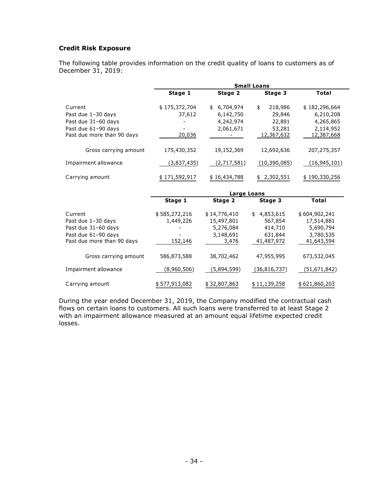# **Credit Risk Exposure**

The following table provides information on the credit quality of loans to customers as of December 31, 2019:

|                            | <b>Small Loans</b> |                 |                 |                |  |  |  |
|----------------------------|--------------------|-----------------|-----------------|----------------|--|--|--|
|                            | Stage 1            | Stage 2         | Stage 3         | <b>Total</b>   |  |  |  |
| Current                    | \$175,372,704      | 6,704,974<br>\$ | \$<br>218,986   | \$182,296,664  |  |  |  |
| Past due 1-30 days         | 37,612             | 6,142,750       | 29,846          | 6,210,208      |  |  |  |
| Past due 31-60 days        |                    | 4,242,974       | 22,891          | 4,265,865      |  |  |  |
| Past due 61-90 days        |                    | 2,061,671       | 53,281          | 2,114,952      |  |  |  |
| Past due more than 90 days | 20,036             |                 | 12,367,632      | 12,387,668     |  |  |  |
| Gross carrying amount      | 175,430,352        | 19,152,369      | 12,692,636      | 207,275,357    |  |  |  |
| Impairment allowance       | (3,837,435)        | (2,717,581)     | (10, 390, 085)  | (16, 945, 101) |  |  |  |
| Carrying amount            | \$171,592,917      | \$16,434,788    | \$2,302,551     | \$190,330,256  |  |  |  |
|                            | <b>Large Loans</b> |                 |                 |                |  |  |  |
|                            | Stage 1            | Stage 2         | Stage 3         | <b>Total</b>   |  |  |  |
| Current                    | \$585,272,216      | \$14,776,410    | \$<br>4,853,615 | \$604,902,241  |  |  |  |
| Past due 1-30 days         | 1,449,226          | 15,497,801      | 567,854         | 17,514,881     |  |  |  |
| Past due 31-60 days        |                    | 5,276,084       | 414,710         | 5,690,794      |  |  |  |
| Past due 61-90 days        |                    | 3,148,691       | 631,844         | 3,780,535      |  |  |  |
| Past due more than 90 days | 152,146            | 3,476           | 41,487,972      | 41,643,594     |  |  |  |
| Gross carrying amount      | 586,873,588        | 38,702,462      | 47,955,995      | 673,532,045    |  |  |  |
| Impairment allowance       | (8,960,506)        | (5,894,599)     | (36, 816, 737)  | (51, 671, 842) |  |  |  |
| Carrying amount            | \$577,913,082      | \$32,807,863    | \$11,139,258    | \$621,860,203  |  |  |  |

During the year ended December 31, 2019, the Company modified the contractual cash flows on certain loans to customers. All such loans were transferred to at least Stage 2 with an impairment allowance measured at an amount equal lifetime expected credit losses.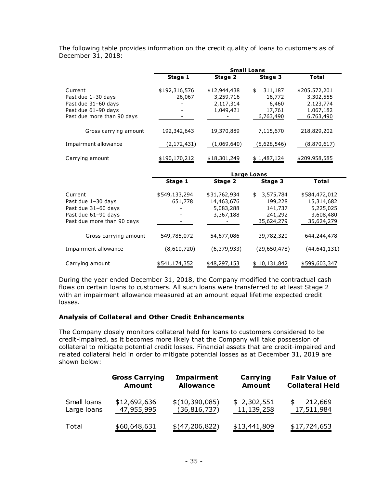|                            | <b>Small Loans</b> |               |                 |                |  |  |  |
|----------------------------|--------------------|---------------|-----------------|----------------|--|--|--|
|                            | Stage 1            | Stage 2       | Stage 3         | Total          |  |  |  |
| Current                    | \$192,316,576      | \$12,944,438  | \$<br>311,187   | \$205,572,201  |  |  |  |
| Past due 1-30 days         | 26,067             | 3,259,716     | 16,772          | 3,302,555      |  |  |  |
| Past due 31-60 days        |                    | 2,117,314     | 6,460           | 2,123,774      |  |  |  |
| Past due 61-90 days        |                    | 1,049,421     | 17,761          | 1,067,182      |  |  |  |
| Past due more than 90 days |                    |               | 6,763,490       | 6,763,490      |  |  |  |
| Gross carrying amount      | 192,342,643        | 19,370,889    | 7,115,670       | 218,829,202    |  |  |  |
| Impairment allowance       | <u>(2,172,431)</u> | (1,069,640)   | (5,628,546)     | (8,870,617)    |  |  |  |
| Carrying amount            | \$190,170,212      | \$18,301,249  | \$1,487,124     | \$209,958,585  |  |  |  |
|                            | <b>Large Loans</b> |               |                 |                |  |  |  |
|                            | Stage 1            | Stage 2       | Stage 3         | <b>Total</b>   |  |  |  |
| Current                    | \$549,133,294      | \$31,762,934  | 3,575,784<br>\$ | \$584,472,012  |  |  |  |
| Past due 1-30 days         | 651,778            | 14,463,676    | 199,228         | 15,314,682     |  |  |  |
| Past due 31-60 days        |                    | 5,083,288     | 141,737         | 5,225,025      |  |  |  |
| Past due 61-90 days        |                    | 3,367,188     | 241,292         | 3,608,480      |  |  |  |
| Past due more than 90 days |                    |               | 35,624,279      | 35,624,279     |  |  |  |
| Gross carrying amount      | 549,785,072        | 54,677,086    | 39,782,320      | 644,244,478    |  |  |  |
| Impairment allowance       | (8,610,720)        | (6, 379, 933) | (29,650,478)    | (44, 641, 131) |  |  |  |
| Carrying amount            | \$541,174,352      | \$48,297,153  | \$10,131,842    | \$599,603,347  |  |  |  |

The following table provides information on the credit quality of loans to customers as of December 31, 2018:

During the year ended December 31, 2018, the Company modified the contractual cash flows on certain loans to customers. All such loans were transferred to at least Stage 2 with an impairment allowance measured at an amount equal lifetime expected credit losses.

#### **Analysis of Collateral and Other Credit Enhancements**

The Company closely monitors collateral held for loans to customers considered to be credit-impaired, as it becomes more likely that the Company will take possession of collateral to mitigate potential credit losses. Financial assets that are credit-impaired and related collateral held in order to mitigate potential losses as at December 31, 2019 are shown below:

|             | <b>Gross Carrying</b> | <b>Impairment</b> | Carrying      | <b>Fair Value of</b>   |
|-------------|-----------------------|-------------------|---------------|------------------------|
|             | <b>Amount</b>         | <b>Allowance</b>  | <b>Amount</b> | <b>Collateral Held</b> |
| Small loans | \$12,692,636          | \$(10, 390, 085)  | \$2,302,551   | 212,669                |
| Large loans | 47,955,995            | (36, 816, 737)    | 11,139,258    | 17,511,984             |
| Total       | \$60,648,631          | \$(47, 206, 822)  | \$13,441,809  | \$17,724,653           |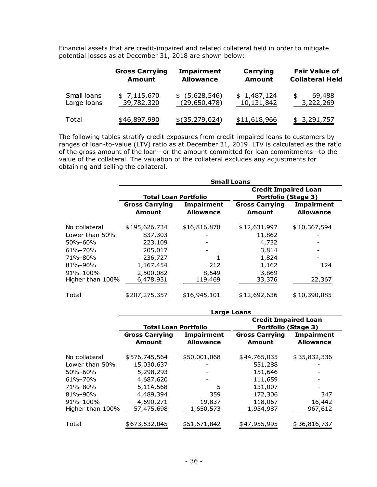Financial assets that are credit-impaired and related collateral held in order to mitigate potential losses as at December 31, 2018 are shown below:

|             | <b>Gross Carrying</b> | Impairment       | Carrying      | <b>Fair Value of</b>   |
|-------------|-----------------------|------------------|---------------|------------------------|
|             | <b>Amount</b>         | <b>Allowance</b> | <b>Amount</b> | <b>Collateral Held</b> |
| Small loans | \$7,115,670           | \$ (5,628,546)   | \$1,487,124   | 69,488                 |
| Large loans | 39,782,320            | (29,650,478)     | 10,131,842    | 3,222,269              |
| Total       | \$46,897,990          | $$$ (35,279,024) | \$11,618,966  | \$3,291,757            |

The following tables stratify credit exposures from credit-impaired loans to customers by ranges of loan-to-value (LTV) ratio as at December 31, 2019. LTV is calculated as the ratio of the gross amount of the loan—or the amount committed for loan commitments—to the value of the collateral. The valuation of the collateral excludes any adjustments for obtaining and selling the collateral.

|                  | <b>Small Loans</b>                     |                                |                                                           |                                |  |  |
|------------------|----------------------------------------|--------------------------------|-----------------------------------------------------------|--------------------------------|--|--|
|                  | <b>Total Loan Portfolio</b>            |                                | <b>Credit Impaired Loan</b><br><b>Portfolio (Stage 3)</b> |                                |  |  |
|                  | <b>Gross Carrying</b><br><b>Amount</b> | Impairment<br><b>Allowance</b> | <b>Gross Carrying</b><br><b>Amount</b>                    | Impairment<br><b>Allowance</b> |  |  |
| No collateral    | \$195,626,734                          | \$16,816,870                   | \$12,631,997                                              | \$10,367,594                   |  |  |
| Lower than 50%   | 837,303                                |                                | 11,862                                                    |                                |  |  |
| 50%-60%          | 223,109                                |                                | 4,732                                                     |                                |  |  |
| 61%-70%          | 205,017                                |                                | 3,814                                                     |                                |  |  |
| 71%-80%          | 236,727                                |                                | 1,824                                                     |                                |  |  |
| 81%-90%          | 1,167,454                              | 212                            | 1,162                                                     | 124                            |  |  |
| 91%-100%         | 2,500,082                              | 8,549                          | 3,869                                                     |                                |  |  |
| Higher than 100% | 6,478,931                              | 119,469                        | 33,376                                                    | 22,367                         |  |  |
| Total            | \$207,275,357                          | \$16,945,101                   | \$12,692,636                                              | \$10,390,085                   |  |  |

|                  |                                     |                  | Large Loans                |                   |  |  |
|------------------|-------------------------------------|------------------|----------------------------|-------------------|--|--|
|                  | <b>Credit Impaired Loan</b>         |                  |                            |                   |  |  |
|                  | <b>Total Loan Portfolio</b>         |                  | <b>Portfolio (Stage 3)</b> |                   |  |  |
|                  | <b>Gross Carrying</b><br>Impairment |                  | <b>Gross Carrying</b>      | <b>Impairment</b> |  |  |
|                  | Amount                              | <b>Allowance</b> | Amount                     | <b>Allowance</b>  |  |  |
| No collateral    | \$576,745,564                       | \$50,001,068     | \$44,765,035               | \$35,832,336      |  |  |
| Lower than 50%   | 15,030,637                          |                  | 551,288                    |                   |  |  |
| 50%-60%          | 5,298,293                           |                  | 151,646                    |                   |  |  |
| 61%-70%          | 4,687,620                           |                  | 111,659                    |                   |  |  |
| 71%-80%          | 5,114,568                           | 5                | 131,007                    |                   |  |  |
| 81%-90%          | 4,489,394                           | 359              | 172,306                    | 347               |  |  |
| 91%-100%         | 4,690,271                           | 19,837           | 118,067                    | 16,442            |  |  |
| Higher than 100% | 57,475,698                          | 1,650,573        | 1,954,987                  | 967,612           |  |  |
| Total            | \$673,532,045                       | \$51,671,842     | \$47,955,995               | \$36,816,737      |  |  |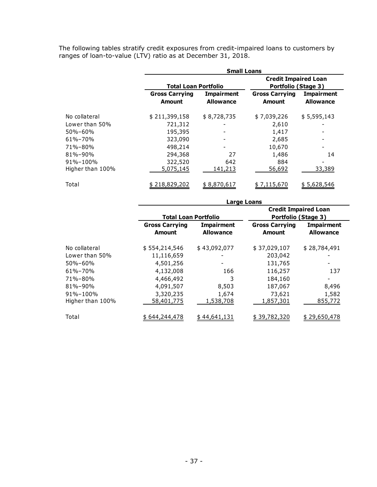The following tables stratify credit exposures from credit-impaired loans to customers by ranges of loan-to-value (LTV) ratio as at December 31, 2018.

|                  |                                 | <b>Small Loans</b>                    |                                                    |                                       |  |  |
|------------------|---------------------------------|---------------------------------------|----------------------------------------------------|---------------------------------------|--|--|
|                  | <b>Total Loan Portfolio</b>     |                                       | <b>Credit Impaired Loan</b><br>Portfolio (Stage 3) |                                       |  |  |
|                  | <b>Gross Carrying</b><br>Amount | <b>Impairment</b><br><b>Allowance</b> | <b>Gross Carrying</b><br><b>Amount</b>             | <b>Impairment</b><br><b>Allowance</b> |  |  |
| No collateral    | \$211,399,158                   | \$8,728,735                           | \$7,039,226                                        | \$5,595,143                           |  |  |
| Lower than 50%   | 721,312                         |                                       | 2,610                                              |                                       |  |  |
| $50\% - 60\%$    | 195,395                         |                                       | 1,417                                              |                                       |  |  |
| $61\% - 70\%$    | 323,090                         |                                       | 2,685                                              |                                       |  |  |
| 71%-80%          | 498,214                         |                                       | 10,670                                             |                                       |  |  |
| $81\% - 90\%$    | 294,368                         | 27                                    | 1,486                                              | 14                                    |  |  |
| $91\% - 100\%$   | 322,520                         | 642                                   | 884                                                |                                       |  |  |
| Higher than 100% | 5,075,145                       | 141,213                               | 56,692                                             | 33,389                                |  |  |
| Total            | \$218,829,202                   | \$8,870,617                           | \$7,115,670                                        | \$5,628,546                           |  |  |

|                  |                                        | <b>Large Loans</b>                    |                                                    |                                       |  |  |  |
|------------------|----------------------------------------|---------------------------------------|----------------------------------------------------|---------------------------------------|--|--|--|
|                  | <b>Total Loan Portfolio</b>            |                                       | <b>Credit Impaired Loan</b><br>Portfolio (Stage 3) |                                       |  |  |  |
|                  | <b>Gross Carrying</b><br><b>Amount</b> | <b>Impairment</b><br><b>Allowance</b> | <b>Gross Carrying</b><br><b>Amount</b>             | <b>Impairment</b><br><b>Allowance</b> |  |  |  |
| No collateral    | \$554,214,546                          | \$43,092,077                          | \$37,029,107                                       | \$28,784,491                          |  |  |  |
| Lower than 50%   | 11,116,659                             |                                       | 203,042                                            |                                       |  |  |  |
| 50%-60%          | 4,501,256                              |                                       | 131,765                                            |                                       |  |  |  |
| $61\% - 70\%$    | 4,132,008                              | 166                                   | 116,257                                            | 137                                   |  |  |  |
| 71%-80%          | 4,466,492                              | 3                                     | 184,160                                            |                                       |  |  |  |
| $81\% - 90\%$    | 4,091,507                              | 8,503                                 | 187,067                                            | 8,496                                 |  |  |  |
| $91\% - 100\%$   | 3,320,235                              | 1,674                                 | 73,621                                             | 1,582                                 |  |  |  |
| Higher than 100% | 58,401,775                             | 1,538,708                             | 1,857,301                                          | 855,772                               |  |  |  |
| Total            | \$ 644,244,478                         | \$44,641,131                          | \$39,782,320                                       | \$29,650,478                          |  |  |  |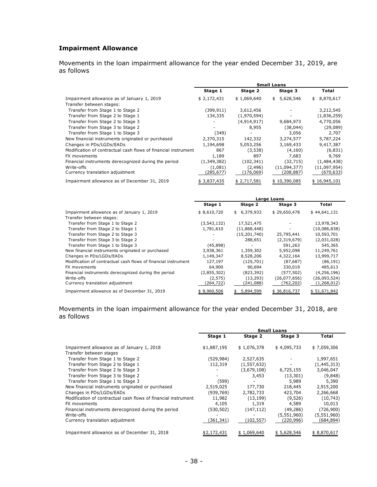## **Impairment Allowance**

Movements in the loan impairment allowance for the year ended December 31, 2019, are as follows

|                                                                | <b>Small Loans</b> |             |                 |                 |
|----------------------------------------------------------------|--------------------|-------------|-----------------|-----------------|
|                                                                | Stage 1            | Stage 2     | Stage 3         | Total           |
| Impairment allowance as of January 1, 2019                     | \$2,172,431        | \$1,069,640 | 5,628,546<br>\$ | 8,870,617<br>\$ |
| Transfer between stages:                                       |                    |             |                 |                 |
| Transfer from Stage 1 to Stage 2                               | (399,911)          | 3,612,456   |                 | 3,212,545       |
| Transfer from Stage 2 to Stage 1                               | 134,335            | (1,970,594) |                 | (1,836,259)     |
| Transfer from Stage 2 to Stage 3                               |                    | (4,914,917) | 9,684,973       | 4,770,056       |
| Transfer from Stage 3 to Stage 2                               |                    | 8,955       | (38,044)        | (29,089)        |
| Transfer from Stage 1 to Stage 3                               | (349)              |             | 3,056           | 2,707           |
| New financial instruments originated or purchased              | 2,370,315          | 142,332     | 3,274,577       | 5,787,224       |
| Changes in PDs/LGDs/EADs                                       | 1,194,698          | 5,053,256   | 3,169,433       | 9,417,387       |
| Modification of contractual cash flows of financial instrument | 867                | (3,538)     | (4,160)         | (6,831)         |
| FX movements                                                   | 1,189              | 897         | 7,683           | 9,769           |
| Financial instruments derecognized during the period           | (1,349,382)        | (102, 341)  | (32,715)        | (1,484,438)     |
| Write-offs                                                     | (1,081)            | (2, 496)    | (11,094,377)    | (11,097,954)    |
| Currency translation adjustment                                | (285,677)          | (176,069)   | (208, 887)      | (670,633)       |
| Impairment allowance as of December 31, 2019                   | \$3,837,435        | \$2,717,581 | \$10,390,085    | \$16,945,101    |

|                                                                | Large Loans |              |              |              |
|----------------------------------------------------------------|-------------|--------------|--------------|--------------|
|                                                                | Stage 1     | Stage 2      | Stage 3      | Total        |
| Impairment allowance as of January 1, 2019                     | \$8,610,720 | \$6,379,933  | \$29,650,478 | \$44,641,131 |
| Transfer between stages:                                       |             |              |              |              |
| Transfer from Stage 1 to Stage 2                               | (3,543,132) | 17,521,475   |              | 13,978,343   |
| Transfer from Stage 2 to Stage 1                               | 1,781,610   | (11,868,448) | -            | (10,086,838) |
| Transfer from Stage 2 to Stage 3                               |             | (15,201,740) | 25,795,441   | 10,593,701   |
| Transfer from Stage 3 to Stage 2                               |             | 288,651      | (2,319,679)  | (2,031,028)  |
| Transfer from Stage 1 to Stage 3                               | (45,898)    |              | 591,263      | 545,365      |
| New financial instruments originated or purchased              | 3,938,361   | 1,359,302    | 5,952,098    | 11,249,761   |
| Changes in PDs/LGDs/EADs                                       | 1,149,347   | 8,528,206    | 4,322,164    | 13,999,717   |
| Modification of contractual cash flows of financial instrument | 127,197     | (125,701)    | (87, 687)    | (86, 191)    |
| <b>FX</b> movements                                            | 64,900      | 90,694       | 330,019      | 485,613      |
| Financial instruments derecognized during the period           | (2,855,302) | (823, 392)   | (577,502)    | (4,256,196)  |
| Write-offs                                                     | (2, 575)    | (13, 293)    | (26,077,656) | (26,093,524) |
| Currency translation adjustment                                | (264,722)   | (241,088)    | (762,202)    | (1,268,012)  |
| Impairment allowance as of December 31, 2019                   | \$8,960,506 | 5,894,599    | \$36,816,737 | \$51,671,842 |

## Movements in the loan impairment allowance for the year ended December 31, 2018, are as follows

|                                                                       | <b>Small Loans</b> |               |             |               |
|-----------------------------------------------------------------------|--------------------|---------------|-------------|---------------|
|                                                                       | Stage 1            | Stage 2       | Stage 3     | Total         |
| Impairment allowance as of January 1, 2018<br>Transfer between stages | \$1,887,195        | \$1,076,378   | \$4,095,733 | \$7,059,306   |
| Transfer from Stage 1 to Stage 2                                      | (529, 984)         | 2,527,635     |             | 1,997,651     |
| Transfer from Stage 2 to Stage 1                                      | 112,319            | (1, 557, 632) |             | (1, 445, 313) |
| Transfer from Stage 2 to Stage 3                                      |                    | (3,679,108)   | 6,725,155   | 3,046,047     |
| Transfer from Stage 3 to Stage 2                                      |                    | 3,453         | (13, 301)   | (9,848)       |
| Transfer from Stage 1 to Stage 3                                      | (599)              |               | 5,989       | 5,390         |
| New financial instruments originated or purchased                     | 2,519,025          | 177,730       | 218,445     | 2,915,200     |
| Changes in PDs/LGDs/EADs                                              | (939, 769)         | 2,782,733     | 423,704     | 2,266,668     |
| Modification of contractual cash flows of financial instrument        | 11,982             | (13, 199)     | (9,526)     | (10, 743)     |
| <b>FX</b> movements                                                   | 4,105              | 1,319         | 4,589       | 10,013        |
| Financial instruments derecognized during the period                  | (530, 502)         | (147, 112)    | (49,286)    | (726,900)     |
| Write-offs                                                            |                    |               | (5,551,960) | (5,551,960)   |
| Currency translation adjustment                                       | (361,341)          | (102,557)     | (220,996)   | (684,894)     |
| Impairment allowance as of December 31, 2018                          | \$2,172,431        | \$1,069,640   | \$5,628,546 | \$8,870,617   |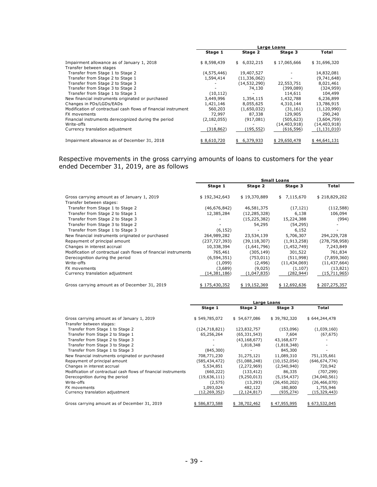|                                                                | Large Loans   |                |                |                |
|----------------------------------------------------------------|---------------|----------------|----------------|----------------|
|                                                                | Stage 1       | Stage 2        | Stage 3        | Total          |
| Impairment allowance as of January 1, 2018                     | \$8,598,439   | \$6,032,215    | \$17,065,666   | \$31,696,320   |
| Transfer between stages                                        |               |                |                |                |
| Transfer from Stage 1 to Stage 2                               | (4,575,446)   | 19,407,527     |                | 14,832,081     |
| Transfer from Stage 2 to Stage 1                               | 1,594,414     | (11, 336, 062) |                | (9,741,648)    |
| Transfer from Stage 2 to Stage 3                               |               | (14, 532, 290) | 22,553,751     | 8,021,461      |
| Transfer from Stage 3 to Stage 2                               |               | 74,130         | (399,089)      | (324, 959)     |
| Transfer from Stage 1 to Stage 3                               | (10, 112)     |                | 114,611        | 104,499        |
| New financial instruments originated or purchased              | 3,449,996     | 1,354,115      | 1,432,788      | 6,236,899      |
| Changes in PDs/LGDs/EADs                                       | 1,421,146     | 8,055,625      | 4,310,144      | 13,786,915     |
| Modification of contractual cash flows of financial instrument | 560,203       | (1,650,032)    | (31, 161)      | (1, 120, 990)  |
| <b>FX</b> movements                                            | 72,997        | 87,338         | 129,905        | 290,240        |
| Financial instruments derecognized during the period           | (2, 182, 055) | (917,081)      | (505,623)      | (3,604,759)    |
| Write-offs                                                     |               |                | (14, 403, 918) | (14, 403, 918) |
| Currency translation adjustment                                | (318, 862)    | (195,552)      | (616,596)      | (1, 131, 010)  |
| Impairment allowance as of December 31, 2018                   | \$8,610,720   | 6,379,933      | \$29,650,478   | \$44,641,131   |

Respective movements in the gross carrying amounts of loans to customers for the year ended December 31, 2019, are as follows

|                                                                 | <b>Small Loans</b> |                |                |                |
|-----------------------------------------------------------------|--------------------|----------------|----------------|----------------|
|                                                                 | Stage 1            | Stage 2        | Stage 3        | Total          |
| Gross carrying amount as of January 1, 2019                     | \$192,342,643      | \$19,370,889   | \$7,115,670    | \$218,829,202  |
| Transfer between stages:                                        |                    |                |                |                |
| Transfer from Stage 1 to Stage 2                                | (46,676,842)       | 46,581,375     | (17, 121)      | (112, 588)     |
| Transfer from Stage 2 to Stage 1                                | 12,385,284         | (12, 285, 328) | 6,138          | 106,094        |
| Transfer from Stage 2 to Stage 3                                |                    | (15, 225, 382) | 15,224,388     | (994)          |
| Transfer from Stage 3 to Stage 2                                |                    | 54,295         | (54, 295)      |                |
| Transfer from Stage 1 to Stage 3                                | (6, 152)           |                | 6,152          |                |
| New financial instruments originated or purchased               | 264,989,282        | 23,534,139     | 5,706,307      | 294,229,728    |
| Repayment of principal amount                                   | (237,727,393)      | (39,118,307)   | (1,913,258)    | (278,758,958)  |
| Changes in interest accrual                                     | 10,338,394         | (1,641,796)    | (1,452,749)    | 7,243,849      |
| Modification of contractual cash flows of financial instruments | 765,461            | (305, 149)     | 301,522        | 761,834        |
| Derecognition during the period                                 | (6, 594, 351)      | (753, 011)     | (511,998)      | (7,859,360)    |
| Write-offs                                                      | (1,099)            | (2, 496)       | (11, 434, 069) | (11, 437, 664) |
| <b>FX</b> movements                                             | (3,689)            | (9,025)        | (1,107)        | (13, 821)      |
| Currency translation adjustment                                 | (14,381,186)       | (1,047,835)    | (282,944)      | (15,711,965)   |
| Gross carrying amount as of December 31, 2019                   | 175,430,352        | \$19,152,369   | \$12,692,636   | \$207,275,357  |

|                                                                 | Large Loans     |              |                |                 |  |
|-----------------------------------------------------------------|-----------------|--------------|----------------|-----------------|--|
|                                                                 | Stage 1         | Stage 2      | Stage 3        | Total           |  |
| Gross carrying amount as of January 1, 2019                     | \$549,785,072   | \$54,677,086 | \$39,782,320   | \$644,244,478   |  |
| Transfer between stages:                                        |                 |              |                |                 |  |
| Transfer from Stage 1 to Stage 2                                | (124, 718, 821) | 123,832,757  | (153,096)      | (1,039,160)     |  |
| Transfer from Stage 2 to Stage 1                                | 65,256,264      | (65,331,543) | 7,604          | (67, 675)       |  |
| Transfer from Stage 2 to Stage 3                                |                 | (43,168,677) | 43,168,677     |                 |  |
| Transfer from Stage 3 to Stage 2                                |                 | 1,818,348    | (1,818,348)    |                 |  |
| Transfer from Stage 1 to Stage 3                                | (845, 300)      |              | 845,300        |                 |  |
| New financial instruments originated or purchased               | 708,771,230     | 31,275,121   | 11,089,310     | 751,135,661     |  |
| Repayment of principal amount                                   | (585,434,472)   | (51,088,248) | (10, 152, 054) | (646, 674, 774) |  |
| Changes in interest accrual                                     | 5,534,851       | (2,272,969)  | (2,540,940)    | 720,942         |  |
| Modification of contractual cash flows of financial instruments | (660,222)       | (133, 412)   | 86,335         | (707, 299)      |  |
| Derecognition during the period                                 | (19,636,111)    | (9,250,013)  | (5, 154, 437)  | (34,040,561)    |  |
| Write-offs                                                      | (2, 575)        | (13, 293)    | (26,450,202)   | (26,466,070)    |  |
| FX movements                                                    | 1,093,024       | 482,122      | 180,800        | 1,755,946       |  |
| Currency translation adjustment                                 | (12,269,352)    | (2,124,817)  | (935, 274)     | (15,329,443)    |  |
| Gross carrying amount as of December 31, 2019                   | \$586,873,588   | 38,702,462   | \$47,955,995   | \$673,532,045   |  |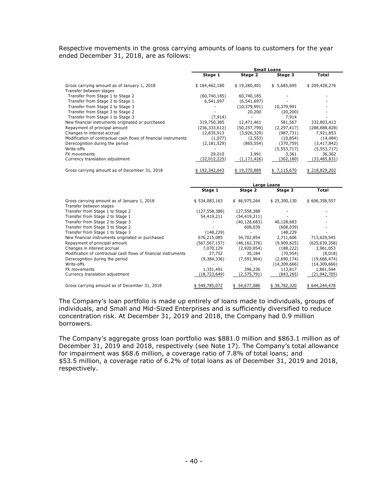Respective movements in the gross carrying amounts of loans to customers for the year ended December 31, 2018, are as follows:

|                                                                        | <b>Small Loans</b> |                |                    |                 |
|------------------------------------------------------------------------|--------------------|----------------|--------------------|-----------------|
|                                                                        | Stage 1            | Stage 2        | Stage 3            | <b>Total</b>    |
| Gross carrying amount as of January 1, 2018                            | \$184,462,180      | \$19,280,401   | \$5,685,695        | \$209,428,276   |
| Transfer between stages                                                |                    |                |                    |                 |
| Transfer from Stage 1 to Stage 2                                       | (60, 740, 185)     | 60,740,185     |                    |                 |
| Transfer from Stage 2 to Stage 1                                       | 6,541,697          | (6, 541, 697)  |                    |                 |
| Transfer from Stage 2 to Stage 3                                       |                    | (10, 379, 991) | 10,379,991         |                 |
| Transfer from Stage 3 to Stage 2                                       |                    | 20,200         | (20, 200)          |                 |
| Transfer from Stage 1 to Stage 3                                       | (7, 914)           |                | 7,914              |                 |
| New financial instruments originated or purchased                      | 319,750,385        | 12,471,461     | 581,567            | 332,803,413     |
| Repayment of principal amount                                          | (236, 333, 612)    | (50, 257, 799) | (2, 297, 417)      | (288, 888, 828) |
| Changes in interest accrual                                            | 12,835,913         | (3,926,329)    | (987, 731)         | 7,921,853       |
| Modification of contractual cash flows of financial instruments        | (1,077)            | (2, 553)       | (10, 854)          | (14, 484)       |
| Derecognition during the period                                        | (2, 181, 529)      | (865, 554)     | (370, 759)         | (3,417,842)     |
| Write-offs                                                             |                    |                | (5, 553, 717)      | (5, 553, 717)   |
| FX movements                                                           | 29,010             | 3,991          | 3,361              | 36,362          |
| Currency translation adjustment                                        | (32,012,225)       | (1, 171, 426)  | (302, 180)         | (33, 485, 831)  |
| Gross carrying amount as of December 31, 2018                          | \$192,342,643      | \$19,370,889   | \$7,115,670        | \$218,829,202   |
|                                                                        |                    |                | <b>Large Loans</b> |                 |
|                                                                        | Stage 1            | Stage 2        | Stage 3            | Total           |
| Gross carrying amount as of January 1, 2018<br>Transfer between stages | \$534,083,163      | \$46,975,264   | \$25,300,130       | \$606,358,557   |
| Transfer from Stage 1 to Stage 2                                       | (127, 558, 388)    | 127,558,388    |                    |                 |
| Transfer from Stage 2 to Stage 1                                       | 54,419,211         | (54, 419, 211) |                    |                 |
| Transfer from Stage 2 to Stage 3                                       |                    | (40, 128, 683) | 40,128,683         |                 |
| Transfer from Stage 3 to Stage 2                                       |                    | 608,039        | (608, 039)         |                 |
| Transfer from Stage 1 to Stage 3                                       | (148, 229)         |                | 148,229            |                 |
| New financial instruments originated or purchased                      | 676,215,085        | 34,702,854     | 2,711,606          | 713,629,545     |
| Repayment of principal amount                                          | (567, 567, 157)    | (48, 162, 376) | (9,909,825)        | (625, 639, 358) |
| Changes in interest accrual                                            | 7,070,129          | (2,920,854)    | (188, 222)         | 3,961,053       |
| Modification of contractual cash flows of financial instruments        | 27,752             | 35,184         | (70, 954)          | (8,018)         |

|                                                                        | Stage 1         | Stage 2        | Stage 3        | Total          |
|------------------------------------------------------------------------|-----------------|----------------|----------------|----------------|
| Gross carrying amount as of January 1, 2018<br>Transfer between stages | \$534,083,163   | \$46,975,264   | \$25,300,130   | \$606,358,557  |
| Transfer from Stage 1 to Stage 2                                       | (127, 558, 388) | 127,558,388    |                |                |
| Transfer from Stage 2 to Stage 1                                       | 54,419,211      | (54, 419, 211) |                |                |
| Transfer from Stage 2 to Stage 3                                       |                 | (40, 128, 683) | 40,128,683     |                |
| Transfer from Stage 3 to Stage 2                                       |                 | 608,039        | (608, 039)     |                |
| Transfer from Stage 1 to Stage 3                                       | (148, 229)      |                | 148,229        |                |
| New financial instruments originated or purchased                      | 676,215,085     | 34,702,854     | 2,711,606      | 713,629,545    |
| Repayment of principal amount                                          | (567, 567, 157) | (48, 162, 376) | (9,909,825)    | (625,639,358)  |
| Changes in interest accrual                                            | 7,070,129       | (2,920,854)    | (188, 222)     | 3,961,053      |
| Modification of contractual cash flows of financial instruments        | 27,752          | 35,184         | (70, 954)      | (8,018)        |
| Derecognition during the period                                        | (9,384,336)     | (7, 591, 964)  | (2,690,174)    | (19,666,474)   |
| Write-offs                                                             |                 |                | (14, 309, 666) | (14, 309, 666) |
| FX movements                                                           | 1,351,491       | 396,236        | 113,817        | 1,861,544      |
| Currency translation adjustment                                        | (18,723,649)    | (2,375,791)    | (843, 265)     | (21,942,705)   |
| Gross carrying amount as of December 31, 2018                          | \$549,785,072   | \$54,677,086   | \$39,782,320   | \$644,244,478  |

The Company's loan portfolio is made up entirely of loans made to individuals, groups of individuals, and Small and Mid-Sized Enterprises and is sufficiently diversified to reduce concentration risk. At December 31, 2019 and 2018, the Company had 0.9 million borrowers.

The Company's aggregate gross loan portfolio was \$881.0 million and \$863.1 million as of December 31, 2019 and 2018, respectively (see Note 17). The Company's total allowance for impairment was \$68.6 million, a coverage ratio of 7.8% of total loans; and \$53.5 million, a coverage ratio of 6.2% of total loans as of December 31, 2019 and 2018, respectively.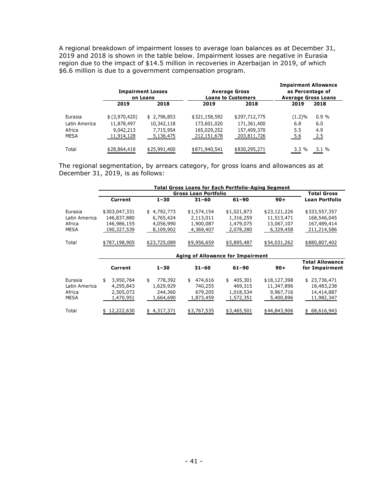A regional breakdown of impairment losses to average loan balances as at December 31, 2019 and 2018 is shown in the table below. Impairment losses are negative in Eurasia region due to the impact of \$14.5 million in recoveries in Azerbaijan in 2019, of which \$6.6 million is due to a government compensation program.

|               | <b>Impairment Losses</b><br>on Loans |              |               | <b>Average Gross</b><br><b>Loans to Customers</b> | <b>Impairment Allowance</b><br>as Percentage of<br><b>Average Gross Loans</b> |      |  |
|---------------|--------------------------------------|--------------|---------------|---------------------------------------------------|-------------------------------------------------------------------------------|------|--|
|               | 2019                                 | 2018         | 2019          | 2018                                              | 2019                                                                          | 2018 |  |
| Eurasia       | \$ (3,970,420)                       | \$2,796,853  | \$321,158,592 | \$297,712,775                                     | $(1.2)\%$                                                                     | 0.9% |  |
| Latin America | 11,878,497                           | 10,342,118   | 173,601,020   | 171,361,400                                       | 6.8                                                                           | 6.0  |  |
| Africa        | 9,042,213                            | 7,715,954    | 165,029,252   | 157,409,370                                       | 5.5                                                                           | 4.9  |  |
| MESA          | 11,914,128                           | 5,136,475    | 212,151,678   | 203,811,726                                       | 5.6                                                                           | 2.5  |  |
| Total         | \$28,864,418                         | \$25,991,400 | \$871,940,541 | \$830,295,271                                     | 3.3%                                                                          | 3.1% |  |

The regional segmentation, by arrears category, for gross loans and allowances as at December 31, 2019, is as follows:

|                                                   |                                                            |                                                    |                                                    | <b>Total Gross Loans for Each Portfolio-Aging Segment</b> |                                                       |                                                            |
|---------------------------------------------------|------------------------------------------------------------|----------------------------------------------------|----------------------------------------------------|-----------------------------------------------------------|-------------------------------------------------------|------------------------------------------------------------|
|                                                   |                                                            | <b>Total Gross</b>                                 |                                                    |                                                           |                                                       |                                                            |
|                                                   | Current                                                    | $1 - 30$                                           | $31 - 60$                                          | $61 - 90$                                                 | $90+$                                                 | <b>Loan Portfolio</b>                                      |
| Eurasia<br>Latin America<br>Africa<br><b>MESA</b> | \$303,047,331<br>146,837,880<br>146,986,155<br>190,327,539 | \$4,792,773<br>6,765,424<br>4,056,990<br>8,109,902 | \$1,574,154<br>2,113,011<br>1,900,087<br>4,369,407 | \$1,021,873<br>1,316,259<br>1,479,075<br>2,078,280        | \$23,121,226<br>11,513,471<br>13,067,107<br>6,329,458 | \$333,557,357<br>168,546,045<br>167,489,414<br>211,214,586 |
| Total                                             | \$787,198,905                                              | \$23,725,089                                       | \$9,956,659                                        | \$5,895,487                                               | \$54,031,262                                          | \$880,807,402                                              |
|                                                   |                                                            |                                                    |                                                    | <b>Aging of Allowance for Impairment</b>                  |                                                       |                                                            |
|                                                   | Current                                                    | $1 - 30$                                           | $31 - 60$                                          | $61 - 90$                                                 | $90+$                                                 | <b>Total Allowance</b><br>for Impairment                   |
| Eurasia<br>Latin America<br>Africa<br><b>MESA</b> | 3,950,764<br>\$<br>4,295,843<br>2,505,072<br>1,470,951     | \$<br>778,392<br>1,629,929<br>244,360<br>1,664,690 | 474,616<br>\$<br>740,255<br>679,205<br>1,873,459   | 405,301<br>\$<br>469,315<br>1,018,534<br>1,572,351        | \$18,127,398<br>11,347,896<br>9,967,716<br>5,400,896  | \$23,736,471<br>18,483,238<br>14,414,887<br>11,982,347     |
| Total                                             | 12,222,630                                                 | \$4,317,371                                        | \$3,767,535                                        | \$3,465,501                                               | \$44,843,906                                          | 68,616,943<br>\$                                           |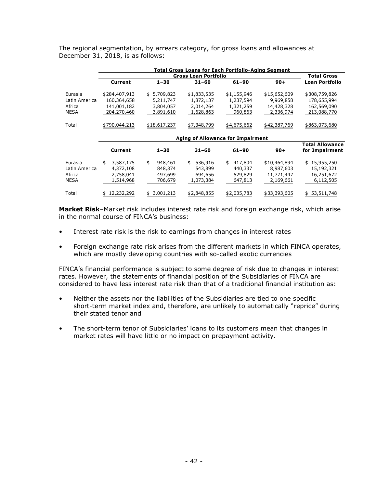|                                                   | <b>Total Gross Loans for Each Portfolio-Aging Segment</b>  |                                                    |                                                    |                                                  |                                                      |                                                            |  |  |
|---------------------------------------------------|------------------------------------------------------------|----------------------------------------------------|----------------------------------------------------|--------------------------------------------------|------------------------------------------------------|------------------------------------------------------------|--|--|
|                                                   |                                                            | <b>Total Gross</b>                                 |                                                    |                                                  |                                                      |                                                            |  |  |
|                                                   | Current                                                    | $1 - 30$                                           | $31 - 60$                                          | $61 - 90$                                        | $90+$                                                | <b>Loan Portfolio</b>                                      |  |  |
| Eurasia<br>Latin America<br>Africa<br><b>MESA</b> | \$284,407,913<br>160,364,658<br>141,001,182<br>204,270,460 | \$5,709,823<br>5,211,747<br>3,804,057<br>3,891,610 | \$1,833,535<br>1,872,137<br>2,014,264<br>1,628,863 | \$1,155,946<br>1,237,594<br>1,321,259<br>960,863 | \$15,652,609<br>9,969,858<br>14,428,328<br>2,336,974 | \$308,759,826<br>178,655,994<br>162,569,090<br>213,088,770 |  |  |
| Total                                             | \$790,044,213                                              | \$18,617,237                                       | \$7,348,799                                        | \$4,675,662                                      | \$42,387,769                                         | \$863,073,680                                              |  |  |
|                                                   | <b>Aging of Allowance for Impairment</b>                   |                                                    |                                                    |                                                  |                                                      |                                                            |  |  |
|                                                   | Current                                                    | $1 - 30$                                           | $31 - 60$                                          | $61 - 90$                                        | $90+$                                                | <b>Total Allowance</b><br>for Impairment                   |  |  |
| Eurasia<br>Latin America<br>Africa<br><b>MESA</b> | 3,587,175<br>\$<br>4,372,108<br>2,758,041<br>1,514,968     | \$<br>948,461<br>848,374<br>497,699<br>706,679     | 536,916<br>\$<br>543,899<br>694,656<br>1,073,384   | 417,804<br>\$<br>440,337<br>529,829<br>647,813   | \$10,464,894<br>8,987,603<br>11,771,447<br>2,169,661 | \$15,955,250<br>15,192,321<br>16,251,672<br>6,112,505      |  |  |
| Total                                             | 12,232,292                                                 | \$3,001,213                                        | \$2,848,855                                        | \$2,035,783                                      | \$33,393,605                                         | 53,511,748<br>\$                                           |  |  |

The regional segmentation, by arrears category, for gross loans and allowances at December 31, 2018, is as follows:

**Market Risk**–Market risk includes interest rate risk and foreign exchange risk, which arise in the normal course of FINCA's business:

- Interest rate risk is the risk to earnings from changes in interest rates
- Foreign exchange rate risk arises from the different markets in which FINCA operates, which are mostly developing countries with so-called exotic currencies

FINCA's financial performance is subject to some degree of risk due to changes in interest rates. However, the statements of financial position of the Subsidiaries of FINCA are considered to have less interest rate risk than that of a traditional financial institution as:

- Neither the assets nor the liabilities of the Subsidiaries are tied to one specific short-term market index and, therefore, are unlikely to automatically "reprice" during their stated tenor and
- The short-term tenor of Subsidiaries' loans to its customers mean that changes in market rates will have little or no impact on prepayment activity.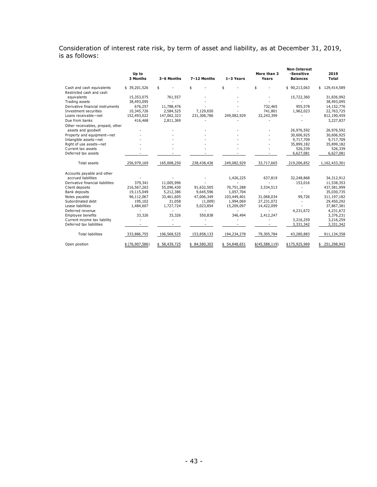Consideration of interest rate risk, by term of asset and liability, as at December 31, 2019, is as follows:

| \$<br>\$<br>\$<br>\$90,213,063<br>Cash and cash equivalents<br>\$39,201,526<br>\$<br>Restricted cash and cash<br>15,353,075<br>761,557<br>15,722,360<br>equivalents<br>Trading assets<br>38,493,095<br>٠<br>Derivative financial instruments<br>676,257<br>11,788,476<br>732,465<br>Investment securities<br>10,345,726<br>2,584,525<br>7,129,650<br>741,801<br>1,962,023 | \$129,414,589<br>31,836,992<br>38,493,095<br>955,578<br>14,152,776<br>22,763,725<br>812,190,459<br>3,227,837 |
|---------------------------------------------------------------------------------------------------------------------------------------------------------------------------------------------------------------------------------------------------------------------------------------------------------------------------------------------------------------------------|--------------------------------------------------------------------------------------------------------------|
|                                                                                                                                                                                                                                                                                                                                                                           |                                                                                                              |
|                                                                                                                                                                                                                                                                                                                                                                           |                                                                                                              |
|                                                                                                                                                                                                                                                                                                                                                                           |                                                                                                              |
|                                                                                                                                                                                                                                                                                                                                                                           |                                                                                                              |
|                                                                                                                                                                                                                                                                                                                                                                           |                                                                                                              |
|                                                                                                                                                                                                                                                                                                                                                                           |                                                                                                              |
| 152,493,022<br>147,062,323<br>231,308,786<br>249,082,929<br>32,243,399<br>Loans receivable-net                                                                                                                                                                                                                                                                            |                                                                                                              |
| Due from banks<br>416,468<br>2,811,369                                                                                                                                                                                                                                                                                                                                    |                                                                                                              |
| Other receivables, prepaid, other                                                                                                                                                                                                                                                                                                                                         |                                                                                                              |
| assets and goodwill<br>26,976,592                                                                                                                                                                                                                                                                                                                                         | 26,976,592                                                                                                   |
| 30,606,925<br>Property and equipment-net                                                                                                                                                                                                                                                                                                                                  | 30,606,925                                                                                                   |
| Intangible assets-net<br>9,717,709                                                                                                                                                                                                                                                                                                                                        | 9,717,709                                                                                                    |
| Right of use assets-net<br>35,899,182                                                                                                                                                                                                                                                                                                                                     | 35,899,182                                                                                                   |
| Current tax assets                                                                                                                                                                                                                                                                                                                                                        | 526,339<br>526,339                                                                                           |
| Deferred tax assets<br>6,627,081                                                                                                                                                                                                                                                                                                                                          | 6,627,081                                                                                                    |
|                                                                                                                                                                                                                                                                                                                                                                           |                                                                                                              |
| Total assets<br>256,979,169<br>165,008,250<br>238,438,436<br>249,082,929<br>33,717,665<br>219,206,852                                                                                                                                                                                                                                                                     | 1,162,433,301                                                                                                |
| Accounts payable and other                                                                                                                                                                                                                                                                                                                                                |                                                                                                              |
| accrued liabilities<br>1,426,225<br>637,819<br>32,248,868                                                                                                                                                                                                                                                                                                                 | 34,312,912                                                                                                   |
| Derivative financial liabilities<br>11,005,996<br>379,341                                                                                                                                                                                                                                                                                                                 | 11,538,353<br>153,016                                                                                        |
| Client deposits<br>216,567,263<br>91,632,505<br>70,751,288<br>3,534,513<br>55,096,430                                                                                                                                                                                                                                                                                     | 437,581,999                                                                                                  |
| Bank deposits<br>19,115,049<br>9,645,596<br>1,057,704<br>$\sim$                                                                                                                                                                                                                                                                                                           | 35,030,735                                                                                                   |
| 5,212,386                                                                                                                                                                                                                                                                                                                                                                 |                                                                                                              |
| 31,068,034<br>Notes payable<br>96,112,067<br>33,461,605<br>47,006,349<br>103,449,401<br>Subordinated debt<br>$\overline{\phantom{a}}$                                                                                                                                                                                                                                     | 99,726<br>311,197,182                                                                                        |
| 195,102<br>1,994,069<br>27,231,072<br>31,058<br>(1,009)                                                                                                                                                                                                                                                                                                                   | 29,450,292                                                                                                   |
| Lease liabilities<br>1,484,607<br>1,727,724<br>5,023,854<br>15,209,097<br>14,422,099                                                                                                                                                                                                                                                                                      | 37,867,381                                                                                                   |
| 4,231,672<br>Deferred revenue                                                                                                                                                                                                                                                                                                                                             | 4,231,672                                                                                                    |
| Employee benefits<br>33,326<br>33,326<br>550,838<br>346,494<br>2,412,247                                                                                                                                                                                                                                                                                                  | 3,376,231                                                                                                    |
| Current income tax liability<br>3,216,259                                                                                                                                                                                                                                                                                                                                 | 3,216,259                                                                                                    |
| Deferred tax liabilities<br>3,331,342                                                                                                                                                                                                                                                                                                                                     | 3,331,342                                                                                                    |
| <b>Total liabilities</b><br>153,858,133<br>79,305,784<br>43,280,883<br>333,886,755<br>106,568,525<br>194,234,278                                                                                                                                                                                                                                                          | 911,134,358                                                                                                  |
| \$ (76,907,586)<br>\$58,439,725<br>\$84,580,303<br>\$54,848,651<br>$$$ (45,588,119)<br>\$175,925,969<br>Open position                                                                                                                                                                                                                                                     | \$251,298,943                                                                                                |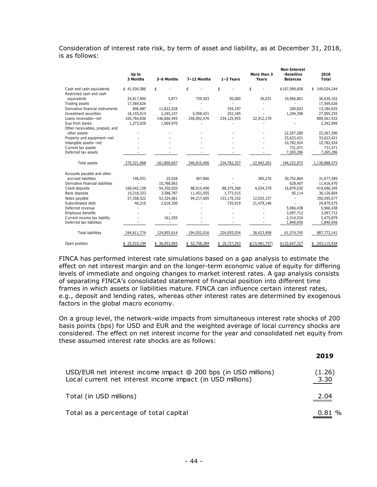Consideration of interest rate risk, by term of asset and liability, as at December 31, 2018, is as follows:

|                                  | Up to<br>3 Months | 3-6 Months   | 7-12 Months  | 1-3 Years            | More than 3<br>Years | <b>Non-Interest</b><br>-Sensitive<br><b>Balances</b> | 2018<br><b>Total</b> |
|----------------------------------|-------------------|--------------|--------------|----------------------|----------------------|------------------------------------------------------|----------------------|
| Cash and cash equivalents        | \$41,934,586      | \$           | \$           | \$                   | \$                   | \$107,089,658                                        | \$149,024,244        |
| Restricted cash and cash         |                   |              |              |                      |                      |                                                      |                      |
| equivalents                      | 24,817,890        | 5,877        | 759,503      | 50,000               | 30,031               | 10,966,801                                           | 36,630,102           |
| Trading assets                   | 17,569,626        |              |              | $\ddot{\phantom{1}}$ |                      |                                                      | 17,569,626           |
| Derivative financial instruments | 806,987           | 11,822,028   |              | 354,187              |                      | 200,833                                              | 13,184,035           |
| Investment securities            | 18,155,014        | 2,245,237    | 5,958,421    | 252,185              |                      | 1,294,398                                            | 27,905,255           |
| Loans receivable-net             | 165,764,836       | 146,666,495  | 240,092,476  | 234,125,955          | 22,912,170           |                                                      | 809,561,932          |
| Due from banks                   | 1,273,029         | 1,069,970    |              |                      |                      |                                                      | 2,342,999            |
| Other receivables, prepaid, and  |                   |              |              |                      |                      |                                                      |                      |
| other assets                     |                   |              |              |                      |                      | 22,267,280                                           | 22,267,280           |
| Property and equipment-net       |                   |              |              |                      |                      | 33,623,421                                           | 33,623,421           |
| Intangible assets-net            |                   |              |              |                      |                      | 10,782,924                                           | 10,782,924           |
| Current tax assets               |                   |              |              |                      |                      | 731,471                                              | 731,471              |
| Deferred tax assets              |                   |              |              |                      |                      | 7,265,286                                            | 7,265,286            |
| Total assets                     | 270,321,968       | 161,809,607  | 246,810,400  | 234,782,327          | 22,942,201           | 194,222,072                                          | 1,130,888,575        |
| Accounts payable and other       |                   |              |              |                      |                      |                                                      |                      |
| accrued liabilities              | 146,551           | 25,028       | 367,866      |                      | 385,276              | 30,752,864                                           | 31,677,585           |
| Derivative financial liabilities |                   | 10,788,063   |              |                      |                      | 628,407                                              | 11,416,470           |
| Client deposits                  | 168,042,158       | 54,350,020   | 88,015,490   | 88,375,268           | 4,034,379            | 16,879,030                                           | 419,696,345          |
| Bank deposits                    | 19,218,333        | 3,588,787    | 11,451,055   | 1,773,515            |                      | 95,114                                               | 36,126,804           |
| Notes payable                    | 57,358,522        | 53,324,061   | 94,217,605   | 133,170,332          | 12,525,157           | $\blacksquare$                                       | 350,595,677          |
| Subordinated debt                | 46,210            | 2,618,300    |              | 735,919              | 21,479,146           | $\sim$                                               | 24,879,575           |
| Deferred revenue                 |                   |              |              |                      |                      | 5,966,438                                            | 5,966,438            |
| Employee benefits                |                   |              |              |                      |                      | 3,097,712                                            | 3,097,712            |
| Current income tax liability     |                   | 161,355      |              |                      |                      | 2,314,524                                            | 2,475,879            |
| Deferred tax liabilities         |                   |              |              |                      |                      | 1,840,656                                            | 1,840,656            |
| <b>Total liabilities</b>         | 244,811,774       | 124,855,614  | 194,052,016  | 224,055,034          | 38,423,958           | 61,574,745                                           | 887,773,141          |
| Open position                    | 25,510,194<br>\$  | \$36,953,993 | \$52,758,384 | \$10,727,293         | \$(15, 481, 757)     | \$132,647,327                                        | \$243,115,434        |

FINCA has performed interest rate simulations based on a gap analysis to estimate the effect on net interest margin and on the longer-term economic value of equity for differing levels of immediate and ongoing changes to market interest rates. A gap analysis consists of separating FINCA's consolidated statement of financial position into different time frames in which assets or liabilities mature. FINCA can influence certain interest rates, e.g., deposit and lending rates, whereas other interest rates are determined by exogenous factors in the global macro economy.

On a group level, the network-wide impacts from simultaneous interest rate shocks of 200 basis points (bps) for USD and EUR and the weighted average of local currency shocks are considered. The effect on net interest income for the year and consolidated net equity from these assumed interest rate shocks are as follows:

|                                                                                                                              | 2019           |
|------------------------------------------------------------------------------------------------------------------------------|----------------|
| USD/EUR net interest income impact @ 200 bps (in USD millions)<br>Local current net interest income impact (in USD millions) | (1.26)<br>3.30 |
| Total (in USD millions)                                                                                                      | 2.04           |
| Total as a percentage of total capital                                                                                       | 0.81%          |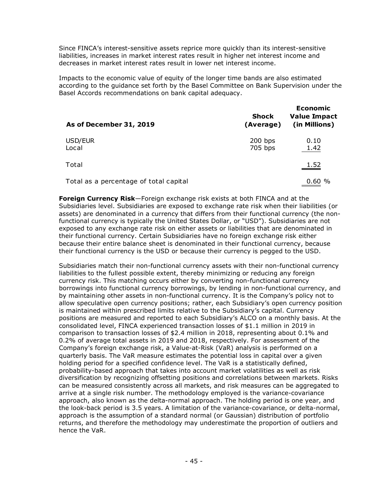Since FINCA's interest-sensitive assets reprice more quickly than its interest-sensitive liabilities, increases in market interest rates result in higher net interest income and decreases in market interest rates result in lower net interest income.

Impacts to the economic value of equity of the longer time bands are also estimated according to the guidance set forth by the Basel Committee on Bank Supervision under the Basel Accords recommendations on bank capital adequacy.

| As of December 31, 2019                | <b>Shock</b><br>(Average) | <b>Economic</b><br><b>Value Impact</b><br>(in Millions) |
|----------------------------------------|---------------------------|---------------------------------------------------------|
| USD/EUR<br>Local                       | $200$ bps<br>705 bps      | 0.10<br>1.42                                            |
| Total                                  |                           | 1.52                                                    |
| Total as a percentage of total capital |                           | 0.60%                                                   |

**Foreign Currency Risk**—Foreign exchange risk exists at both FINCA and at the Subsidiaries level. Subsidiaries are exposed to exchange rate risk when their liabilities (or assets) are denominated in a currency that differs from their functional currency (the nonfunctional currency is typically the United States Dollar, or "USD"). Subsidiaries are not exposed to any exchange rate risk on either assets or liabilities that are denominated in their functional currency. Certain Subsidiaries have no foreign exchange risk either because their entire balance sheet is denominated in their functional currency, because their functional currency is the USD or because their currency is pegged to the USD.

Subsidiaries match their non-functional currency assets with their non-functional currency liabilities to the fullest possible extent, thereby minimizing or reducing any foreign currency risk. This matching occurs either by converting non-functional currency borrowings into functional currency borrowings, by lending in non-functional currency, and by maintaining other assets in non-functional currency. It is the Company's policy not to allow speculative open currency positions; rather, each Subsidiary's open currency position is maintained within prescribed limits relative to the Subsidiary's capital. Currency positions are measured and reported to each Subsidiary's ALCO on a monthly basis. At the consolidated level, FINCA experienced transaction losses of \$1.1 million in 2019 in comparison to transaction losses of \$2.4 million in 2018, representing about 0.1% and 0.2% of average total assets in 2019 and 2018, respectively. For assessment of the Company's foreign exchange risk, a Value-at-Risk (VaR) analysis is performed on a quarterly basis. The VaR measure estimates the potential loss in capital over a given holding period for a specified confidence level. The VaR is a statistically defined, probability-based approach that takes into account market volatilities as well as risk diversification by recognizing offsetting positions and correlations between markets. Risks can be measured consistently across all markets, and risk measures can be aggregated to arrive at a single risk number. The methodology employed is the variance-covariance approach, also known as the delta-normal approach. The holding period is one year, and the look-back period is 3.5 years. A limitation of the variance-covariance, or delta-normal, approach is the assumption of a standard normal (or Gaussian) distribution of portfolio returns, and therefore the methodology may underestimate the proportion of outliers and hence the VaR.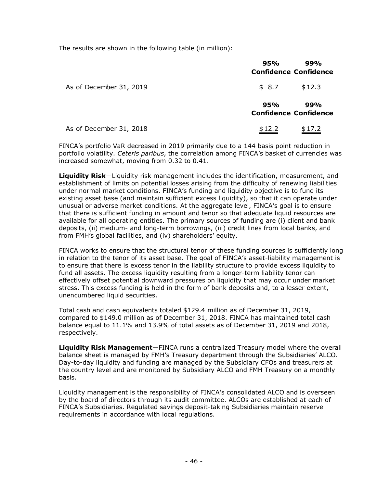The results are shown in the following table (in million):

|                         | 99%<br>95%<br><b>Confidence Confidence</b> |
|-------------------------|--------------------------------------------|
| As of December 31, 2019 | \$12.3<br>\$8.7                            |
|                         | 99%<br>95%<br><b>Confidence Confidence</b> |
| As of December 31, 2018 | \$12.2<br>\$17.2                           |

FINCA's portfolio VaR decreased in 2019 primarily due to a 144 basis point reduction in portfolio volatility. *Ceteris paribus*, the correlation among FINCA's basket of currencies was increased somewhat, moving from 0.32 to 0.41.

**Liquidity Risk**—Liquidity risk management includes the identification, measurement, and establishment of limits on potential losses arising from the difficulty of renewing liabilities under normal market conditions. FINCA's funding and liquidity objective is to fund its existing asset base (and maintain sufficient excess liquidity), so that it can operate under unusual or adverse market conditions. At the aggregate level, FINCA's goal is to ensure that there is sufficient funding in amount and tenor so that adequate liquid resources are available for all operating entities. The primary sources of funding are (i) client and bank deposits, (ii) medium- and long-term borrowings, (iii) credit lines from local banks, and from FMH's global facilities, and (iv) shareholders' equity.

FINCA works to ensure that the structural tenor of these funding sources is sufficiently long in relation to the tenor of its asset base. The goal of FINCA's asset-liability management is to ensure that there is excess tenor in the liability structure to provide excess liquidity to fund all assets. The excess liquidity resulting from a longer-term liability tenor can effectively offset potential downward pressures on liquidity that may occur under market stress. This excess funding is held in the form of bank deposits and, to a lesser extent, unencumbered liquid securities.

Total cash and cash equivalents totaled \$129.4 million as of December 31, 2019, compared to \$149.0 million as of December 31, 2018. FINCA has maintained total cash balance equal to 11.1% and 13.9% of total assets as of December 31, 2019 and 2018, respectively.

**Liquidity Risk Management**—FINCA runs a centralized Treasury model where the overall balance sheet is managed by FMH's Treasury department through the Subsidiaries' ALCO. Day-to-day liquidity and funding are managed by the Subsidiary CFOs and treasurers at the country level and are monitored by Subsidiary ALCO and FMH Treasury on a monthly basis.

Liquidity management is the responsibility of FINCA's consolidated ALCO and is overseen by the board of directors through its audit committee. ALCOs are established at each of FINCA's Subsidiaries. Regulated savings deposit-taking Subsidiaries maintain reserve requirements in accordance with local regulations.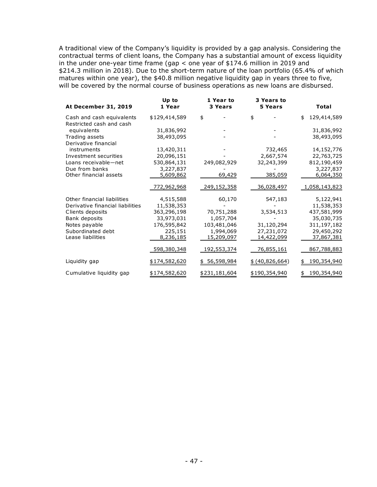A traditional view of the Company's liquidity is provided by a gap analysis. Considering the contractual terms of client loans, the Company has a substantial amount of excess liquidity in the under one-year time frame (gap < one year of \$174.6 million in 2019 and \$214.3 million in 2018). Due to the short-term nature of the loan portfolio (65.4% of which matures within one year), the \$40.8 million negative liquidity gap in years three to five, will be covered by the normal course of business operations as new loans are disbursed.

| <b>At December 31, 2019</b>                           | Up to<br>1 Year | 1 Year to<br>3 Years | 3 Years to<br>5 Years | <b>Total</b>       |
|-------------------------------------------------------|-----------------|----------------------|-----------------------|--------------------|
| Cash and cash equivalents<br>Restricted cash and cash | \$129,414,589   | \$                   | \$                    | 129,414,589<br>\$  |
| equivalents                                           | 31,836,992      |                      |                       | 31,836,992         |
| Trading assets<br>Derivative financial                | 38,493,095      |                      |                       | 38,493,095         |
| instruments                                           | 13,420,311      |                      | 732,465               | 14,152,776         |
| Investment securities                                 | 20,096,151      |                      | 2,667,574             | 22,763,725         |
| Loans receivable-net                                  | 530,864,131     | 249,082,929          | 32,243,399            | 812,190,459        |
| Due from banks                                        | 3,227,837       |                      |                       | 3,227,837          |
| Other financial assets                                | 5,609,862       | 69,429               | 385,059               | 6,064,350          |
|                                                       | 772,962,968     | 249,152,358          | <u>36,028,497</u>     | 1,058,143,823      |
| Other financial liabilities                           | 4,515,588       | 60,170               | 547,183               | 5,122,941          |
| Derivative financial liabilities                      | 11,538,353      |                      |                       | 11,538,353         |
| Clients deposits                                      | 363,296,198     | 70,751,288           | 3,534,513             | 437,581,999        |
| Bank deposits                                         | 33,973,031      | 1,057,704            |                       | 35,030,735         |
| Notes payable                                         | 176,595,842     | 103,481,046          | 31,120,294            | 311,197,182        |
| Subordinated debt                                     | 225,151         | 1,994,069            | 27,231,072            | 29,450,292         |
| Lease liabilities                                     | 8,236,185       | 15,209,097           | 14,422,099            | 37,867,381         |
|                                                       | 598,380,348     | 192,553,374          | 76,855,161            | 867,788,883        |
| Liquidity gap                                         | \$174,582,620   | \$56,598,984         | \$ (40,826,664)       | <u>190,354,940</u> |
| Cumulative liquidity gap                              | \$174,582,620   | <u>\$231,181,604</u> | <u>\$190,354,940</u>  | 190,354,940        |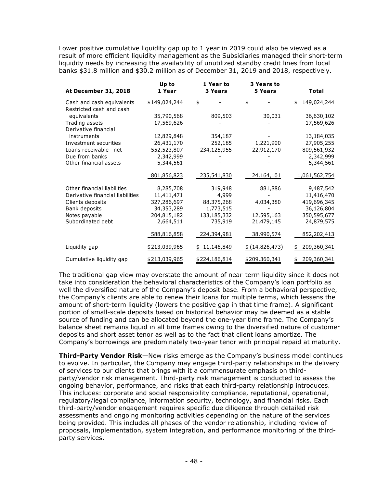Lower positive cumulative liquidity gap up to 1 year in 2019 could also be viewed as a result of more efficient liquidity management as the Subsidiaries managed their short-term liquidity needs by increasing the availability of unutilized standby credit lines from local banks \$31.8 million and \$30.2 million as of December 31, 2019 and 2018, respectively.

| <b>At December 31, 2018</b>                           | Up to<br>1 Year      | 1 Year to<br>3 Years | 3 Years to<br>5 Years | <b>Total</b>       |
|-------------------------------------------------------|----------------------|----------------------|-----------------------|--------------------|
| Cash and cash equivalents<br>Restricted cash and cash | \$149,024,244        | \$                   | \$                    | 149,024,244<br>\$  |
| equivalents                                           | 35,790,568           | 809,503              | 30,031                | 36,630,102         |
| Trading assets                                        | 17,569,626           |                      |                       | 17,569,626         |
| Derivative financial                                  |                      |                      |                       |                    |
| instruments                                           | 12,829,848           | 354,187              |                       | 13,184,035         |
| Investment securities                                 | 26,431,170           | 252,185              | 1,221,900             | 27,905,255         |
| Loans receivable-net                                  | 552,523,807          | 234,125,955          | 22,912,170            | 809,561,932        |
| Due from banks                                        | 2,342,999            |                      |                       | 2,342,999          |
| Other financial assets                                | <u>5,344,561</u>     |                      |                       | 5,344,561          |
|                                                       | 801,856,823          | 235,541,830          | 24,164,101            | 1,061,562,754      |
| Other financial liabilities                           | 8,285,708            | 319,948              | 881,886               | 9,487,542          |
| Derivative financial liabilities                      | 11,411,471           | 4,999                |                       | 11,416,470         |
| Clients deposits                                      | 327,286,697          | 88,375,268           | 4,034,380             | 419,696,345        |
| Bank deposits                                         | 34,353,289           | 1,773,515            |                       | 36,126,804         |
| Notes payable                                         | 204,815,182          | 133,185,332          | 12,595,163            | 350,595,677        |
| Subordinated debt                                     | 2,664,511            | 735,919              | 21,479,145            | 24,879,575         |
|                                                       | 588,816,858          | <u>224,394,981</u>   | 38,990,574            | <u>852,202,413</u> |
| Liquidity gap                                         | <u>\$213,039,965</u> | \$11,146,849         | \$ (14,826,473)       | 209,360,341        |
| Cumulative liquidity gap                              | \$213,039,965        | \$224,186,814        | \$209,360,341         | 209,360,341        |

The traditional gap view may overstate the amount of near-term liquidity since it does not take into consideration the behavioral characteristics of the Company's loan portfolio as well the diversified nature of the Company's deposit base. From a behavioral perspective, the Company's clients are able to renew their loans for multiple terms, which lessens the amount of short-term liquidity (lowers the positive gap in that time frame). A significant portion of small-scale deposits based on historical behavior may be deemed as a stable source of funding and can be allocated beyond the one-year time frame. The Company's balance sheet remains liquid in all time frames owing to the diversified nature of customer deposits and short asset tenor as well as to the fact that client loans amortize. The Company's borrowings are predominately two-year tenor with principal repaid at maturity.

**Third-Party Vendor Risk**—New risks emerge as the Company's business model continues to evolve. In particular, the Company may engage third-party relationships in the delivery of services to our clients that brings with it a commensurate emphasis on thirdparty/vendor risk management. Third-party risk management is conducted to assess the ongoing behavior, performance, and risks that each third-party relationship introduces. This includes: corporate and social responsibility compliance, reputational, operational, regulatory/legal compliance, information security, technology, and financial risks. Each third-party/vendor engagement requires specific due diligence through detailed risk assessments and ongoing monitoring activities depending on the nature of the services being provided. This includes all phases of the vendor relationship, including review of proposals, implementation, system integration, and performance monitoring of the thirdparty services.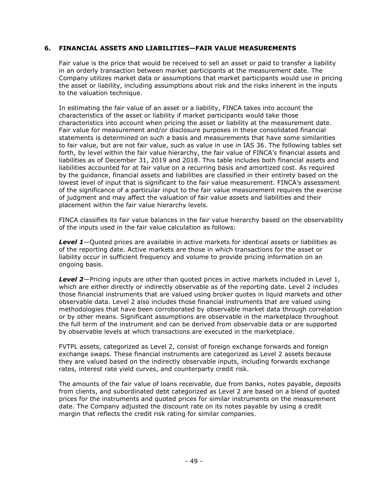### **6. FINANCIAL ASSETS AND LIABILITIES—FAIR VALUE MEASUREMENTS**

Fair value is the price that would be received to sell an asset or paid to transfer a liability in an orderly transaction between market participants at the measurement date. The Company utilizes market data or assumptions that market participants would use in pricing the asset or liability, including assumptions about risk and the risks inherent in the inputs to the valuation technique.

In estimating the fair value of an asset or a liability, FINCA takes into account the characteristics of the asset or liability if market participants would take those characteristics into account when pricing the asset or liability at the measurement date. Fair value for measurement and/or disclosure purposes in these consolidated financial statements is determined on such a basis and measurements that have some similarities to fair value, but are not fair value, such as value in use in IAS 36. The following tables set forth, by level within the fair value hierarchy, the fair value of FINCA's financial assets and liabilities as of December 31, 2019 and 2018. This table includes both financial assets and liabilities accounted for at fair value on a recurring basis and amortized cost. As required by the guidance, financial assets and liabilities are classified in their entirety based on the lowest level of input that is significant to the fair value measurement. FINCA's assessment of the significance of a particular input to the fair value measurement requires the exercise of judgment and may affect the valuation of fair value assets and liabilities and their placement within the fair value hierarchy levels.

FINCA classifies its fair value balances in the fair value hierarchy based on the observability of the inputs used in the fair value calculation as follows:

*Level 1*—Quoted prices are available in active markets for identical assets or liabilities as of the reporting date. Active markets are those in which transactions for the asset or liability occur in sufficient frequency and volume to provide pricing information on an ongoing basis.

*Level 2*—Pricing inputs are other than quoted prices in active markets included in Level 1, which are either directly or indirectly observable as of the reporting date. Level 2 includes those financial instruments that are valued using broker quotes in liquid markets and other observable data. Level 2 also includes those financial instruments that are valued using methodologies that have been corroborated by observable market data through correlation or by other means. Significant assumptions are observable in the marketplace throughout the full term of the instrument and can be derived from observable data or are supported by observable levels at which transactions are executed in the marketplace.

FVTPL assets, categorized as Level 2, consist of foreign exchange forwards and foreign exchange swaps. These financial instruments are categorized as Level 2 assets because they are valued based on the indirectly observable inputs, including forwards exchange rates, interest rate yield curves, and counterparty credit risk.

The amounts of the fair value of loans receivable, due from banks, notes payable, deposits from clients, and subordinated debt categorized as Level 2 are based on a blend of quoted prices for the instruments and quoted prices for similar instruments on the measurement date. The Company adjusted the discount rate on its notes payable by using a credit margin that reflects the credit risk rating for similar companies.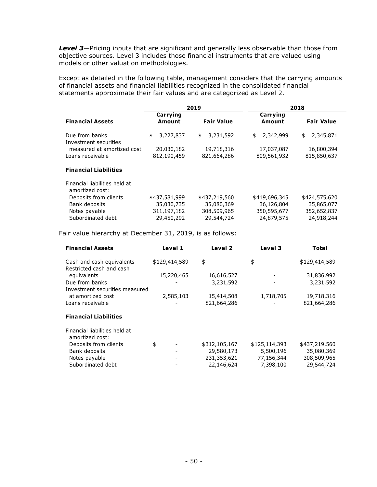*Level 3*—Pricing inputs that are significant and generally less observable than those from objective sources. Level 3 includes those financial instruments that are valued using models or other valuation methodologies.

Except as detailed in the following table, management considers that the carrying amounts of financial assets and financial liabilities recognized in the consolidated financial statements approximate their fair values and are categorized as Level 2.

|                                                  |                    | 2019              |                    | 2018              |
|--------------------------------------------------|--------------------|-------------------|--------------------|-------------------|
| <b>Financial Assets</b>                          | Carrying<br>Amount | <b>Fair Value</b> | Carrying<br>Amount | <b>Fair Value</b> |
| Due from banks<br>Investment securities          | 3,227,837<br>\$    | 3,231,592<br>\$   | 2,342,999<br>\$    | 2,345,871<br>\$   |
| measured at amortized cost                       | 20,030,182         | 19,718,316        | 17,037,087         | 16,800,394        |
| Loans receivable                                 | 812,190,459        | 821,664,286       | 809,561,932        | 815,850,637       |
| <b>Financial Liabilities</b>                     |                    |                   |                    |                   |
| Financial liabilities held at<br>amortized cost: |                    |                   |                    |                   |
| Deposits from clients                            | \$437,581,999      | \$437,219,560     | \$419,696,345      | \$424,575,620     |
| Bank deposits                                    | 35,030,735         | 35,080,369        | 36,126,804         | 35,865,077        |
| Notes payable                                    | 311,197,182        | 308,509,965       | 350,595,677        | 352,652,837       |
| Subordinated debt                                | 29,450,292         | 29,544,724        | 24,879,575         | 24,918,244        |

Fair value hierarchy at December 31, 2019, is as follows:

| <b>Financial Assets</b>                               | Level 1       | Level 2       | Level 3       | Total         |
|-------------------------------------------------------|---------------|---------------|---------------|---------------|
| Cash and cash equivalents<br>Restricted cash and cash | \$129,414,589 | \$            | \$            | \$129,414,589 |
| equivalents                                           | 15,220,465    | 16,616,527    |               | 31,836,992    |
| Due from banks                                        |               | 3,231,592     |               | 3,231,592     |
| Investment securities measured                        |               |               |               |               |
| at amortized cost                                     | 2,585,103     | 15,414,508    | 1,718,705     | 19,718,316    |
| Loans receivable                                      |               | 821,664,286   |               | 821,664,286   |
| <b>Financial Liabilities</b>                          |               |               |               |               |
| Financial liabilities held at<br>amortized cost:      |               |               |               |               |
| Deposits from clients                                 | \$            | \$312,105,167 | \$125,114,393 | \$437,219,560 |
| Bank deposits                                         |               | 29,580,173    | 5,500,196     | 35,080,369    |
| Notes payable                                         |               | 231,353,621   | 77,156,344    | 308,509,965   |
| Subordinated debt                                     |               | 22,146,624    | 7,398,100     | 29,544,724    |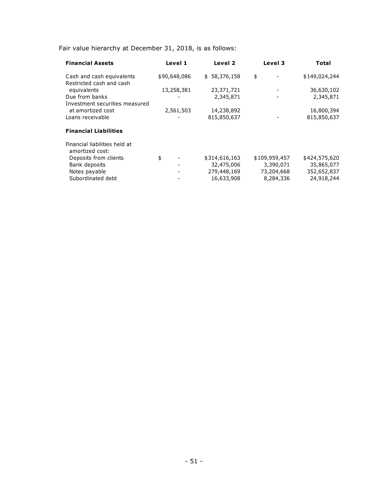Fair value hierarchy at December 31, 2018, is as follows:

| <b>Financial Assets</b>        | Level 1      | Level 2       | Level 3       | <b>Total</b>  |
|--------------------------------|--------------|---------------|---------------|---------------|
| Cash and cash equivalents      | \$90,648,086 | \$58,376,158  | \$            | \$149,024,244 |
| Restricted cash and cash       |              |               |               |               |
| equivalents                    | 13,258,381   | 23,371,721    |               | 36,630,102    |
| Due from banks                 |              | 2,345,871     |               | 2,345,871     |
| Investment securities measured |              |               |               |               |
| at amortized cost              | 2,561,503    | 14,238,892    |               | 16,800,394    |
| Loans receivable               |              | 815,850,637   |               | 815,850,637   |
| <b>Financial Liabilities</b>   |              |               |               |               |
| Financial liabilities held at  |              |               |               |               |
| amortized cost:                |              |               |               |               |
| Deposits from clients          | \$           | \$314,616,163 | \$109,959,457 | \$424,575,620 |
| Bank deposits                  |              | 32,475,006    | 3,390,071     | 35,865,077    |
| Notes payable                  |              | 279,448,169   | 73,204,668    | 352,652,837   |
| Subordinated debt              |              | 16,633,908    | 8,284,336     | 24,918,244    |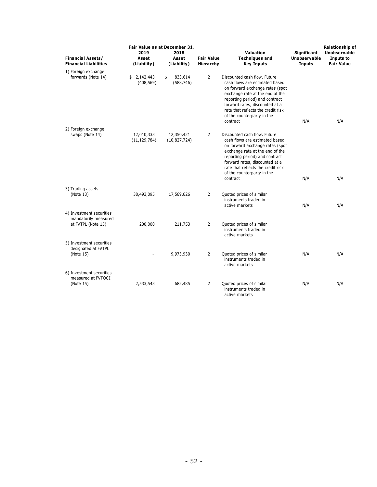|                                                                        |                              | Fair Value as at December 31, |                                |                                                                                                                                                                                                                                                                                          |                                      | <b>Relationship of</b>         |
|------------------------------------------------------------------------|------------------------------|-------------------------------|--------------------------------|------------------------------------------------------------------------------------------------------------------------------------------------------------------------------------------------------------------------------------------------------------------------------------------|--------------------------------------|--------------------------------|
|                                                                        | 2019                         | 2018                          |                                | <b>Valuation</b>                                                                                                                                                                                                                                                                         | <b>Significant</b>                   | <b>Unobservable</b>            |
| <b>Financial Assets/</b><br><b>Financial Liabilities</b>               | Asset<br>(Liability)         | Asset<br>(Liability)          | <b>Fair Value</b><br>Hierarchy | <b>Techniques and</b><br><b>Key Inputs</b>                                                                                                                                                                                                                                               | <b>Unobservable</b><br><b>Inputs</b> | Inputs to<br><b>Fair Value</b> |
| 1) Foreign exchange<br>forwards (Note 14)                              | \$2,142,443<br>(408, 569)    | 833,614<br>\$<br>(588, 746)   | $\overline{2}$                 | Discounted cash flow. Future<br>cash flows are estimated based<br>on forward exchange rates (spot<br>exchange rate at the end of the<br>reporting period) and contract<br>forward rates, discounted at a<br>rate that reflects the credit risk<br>of the counterparty in the<br>contract | N/A                                  | N/A                            |
| 2) Foreign exchange<br>swaps (Note 14)                                 | 12,010,333<br>(11, 129, 784) | 12,350,421<br>(10,827,724)    | $\overline{2}$                 | Discounted cash flow. Future<br>cash flows are estimated based<br>on forward exchange rates (spot<br>exchange rate at the end of the<br>reporting period) and contract<br>forward rates, discounted at a<br>rate that reflects the credit risk<br>of the counterparty in the<br>contract | N/A                                  | N/A                            |
| 3) Trading assets<br>(Note 13)                                         | 38,493,095                   | 17,569,626                    | 2                              | Quoted prices of similar<br>instruments traded in<br>active markets                                                                                                                                                                                                                      | N/A                                  | N/A                            |
| 4) Investment securities<br>mandatorily measured<br>at FVTPL (Note 15) | 200,000                      | 211,753                       | 2                              | Quoted prices of similar<br>instruments traded in<br>active markets                                                                                                                                                                                                                      |                                      |                                |
| 5) Investment securities<br>designated at FVTPL<br>(Note 15)           |                              | 9,973,930                     | $\overline{2}$                 | Quoted prices of similar<br>instruments traded in<br>active markets                                                                                                                                                                                                                      | N/A                                  | N/A                            |
| 6) Investment securities<br>measured at FVTOCI<br>(Note 15)            | 2,533,543                    | 682,485                       | 2                              | Quoted prices of similar<br>instruments traded in<br>active markets                                                                                                                                                                                                                      | N/A                                  | N/A                            |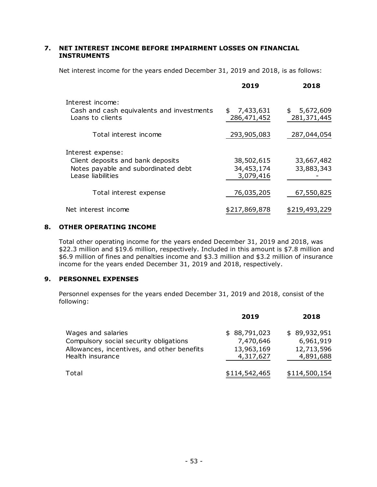### **7. NET INTEREST INCOME BEFORE IMPAIRMENT LOSSES ON FINANCIAL INSTRUMENTS**

Net interest income for the years ended December 31, 2019 and 2018, is as follows:

|                                                                                                                    | 2019                                  | 2018                       |
|--------------------------------------------------------------------------------------------------------------------|---------------------------------------|----------------------------|
| Interest income:<br>Cash and cash equivalents and investments<br>Loans to clients                                  | 7,433,631<br>\$<br>286,471,452        | \$5,672,609<br>281,371,445 |
| Total interest income                                                                                              | 293,905,083                           | 287,044,054                |
| Interest expense:<br>Client deposits and bank deposits<br>Notes payable and subordinated debt<br>Lease liabilities | 38,502,615<br>34,453,174<br>3,079,416 | 33,667,482<br>33,883,343   |
| Total interest expense                                                                                             | 76,035,205                            | 67,550,825                 |
| Net interest income                                                                                                | \$217,869,878                         | \$219,493,229              |

## **8. OTHER OPERATING INCOME**

Total other operating income for the years ended December 31, 2019 and 2018, was \$22.3 million and \$19.6 million, respectively. Included in this amount is \$7.8 million and \$6.9 million of fines and penalties income and \$3.3 million and \$3.2 million of insurance income for the years ended December 31, 2019 and 2018, respectively.

#### **9. PERSONNEL EXPENSES**

Personnel expenses for the years ended December 31, 2019 and 2018, consist of the following:

|                                                                | 2019                    | 2018                    |
|----------------------------------------------------------------|-------------------------|-------------------------|
| Wages and salaries                                             | \$88,791,023            | \$89,932,951            |
| Compulsory social security obligations                         | 7,470,646               | 6,961,919               |
| Allowances, incentives, and other benefits<br>Health insurance | 13,963,169<br>4,317,627 | 12,713,596<br>4,891,688 |
| Total                                                          | \$114,542,465           | \$114,500,154           |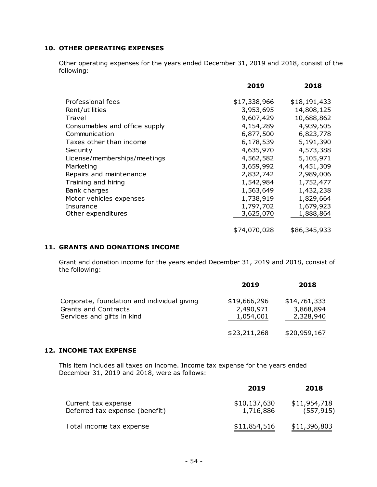## **10. OTHER OPERATING EXPENSES**

Other operating expenses for the years ended December 31, 2019 and 2018, consist of the following:

|                               | 2019         | 2018         |
|-------------------------------|--------------|--------------|
| Professional fees             | \$17,338,966 | \$18,191,433 |
| Rent/utilities                | 3,953,695    | 14,808,125   |
| Travel                        | 9,607,429    | 10,688,862   |
| Consumables and office supply | 4,154,289    | 4,939,505    |
| Communication                 | 6,877,500    | 6,823,778    |
| Taxes other than income       | 6,178,539    | 5,191,390    |
| Security                      | 4,635,970    | 4,573,388    |
| License/memberships/meetings  | 4,562,582    | 5,105,971    |
| Marketing                     | 3,659,992    | 4,451,309    |
| Repairs and maintenance       | 2,832,742    | 2,989,006    |
| Training and hiring           | 1,542,984    | 1,752,477    |
| Bank charges                  | 1,563,649    | 1,432,238    |
| Motor vehicles expenses       | 1,738,919    | 1,829,664    |
| Insurance                     | 1,797,702    | 1,679,923    |
| Other expenditures            | 3,625,070    | 1,888,864    |
|                               | \$74,070,028 | \$86,345,933 |

## **11. GRANTS AND DONATIONS INCOME**

Grant and donation income for the years ended December 31, 2019 and 2018, consist of the following:

|                                                    | 2019                   | 2018                   |
|----------------------------------------------------|------------------------|------------------------|
| Corporate, foundation and individual giving        | \$19,666,296           | \$14,761,333           |
| Grants and Contracts<br>Services and gifts in kind | 2,490,971<br>1,054,001 | 3,868,894<br>2,328,940 |
|                                                    | \$23,211,268           | \$20,959,167           |

#### **12. INCOME TAX EXPENSE**

This item includes all taxes on income. Income tax expense for the years ended December 31, 2019 and 2018, were as follows:

|                                                       | 2019                      | 2018                       |
|-------------------------------------------------------|---------------------------|----------------------------|
| Current tax expense<br>Deferred tax expense (benefit) | \$10,137,630<br>1,716,886 | \$11,954,718<br>(557, 915) |
| Total income tax expense                              | \$11,854,516              | \$11,396,803               |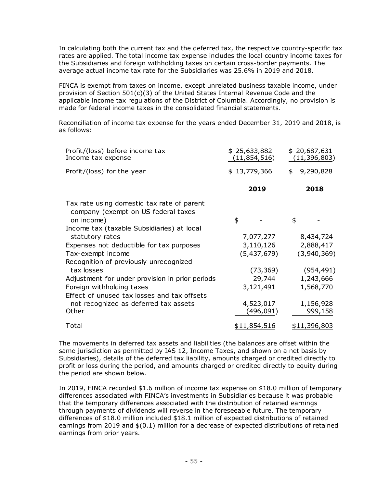In calculating both the current tax and the deferred tax, the respective country-specific tax rates are applied. The total income tax expense includes the local country income taxes for the Subsidiaries and foreign withholding taxes on certain cross-border payments. The average actual income tax rate for the Subsidiaries was 25.6% in 2019 and 2018.

FINCA is exempt from taxes on income, except unrelated business taxable income, under provision of Section 501(c)(3) of the United States Internal Revenue Code and the applicable income tax regulations of the District of Columbia. Accordingly, no provision is made for federal income taxes in the consolidated financial statements.

Reconciliation of income tax expense for the years ended December 31, 2019 and 2018, is as follows:

| Profit/(loss) before income tax<br>Income tax expense                                           | \$25,633,882<br>(11, 854, 516) | \$20,687,631<br>(11,396,803) |
|-------------------------------------------------------------------------------------------------|--------------------------------|------------------------------|
| Profit/(loss) for the year                                                                      | 13,779,366                     | 9,290,828                    |
|                                                                                                 | 2019                           | 2018                         |
| Tax rate using domestic tax rate of parent<br>company (exempt on US federal taxes<br>on income) | \$                             | \$                           |
| Income tax (taxable Subsidiaries) at local<br>statutory rates                                   | 7,077,277                      | 8,434,724                    |
| Expenses not deductible for tax purposes                                                        | 3,110,126                      | 2,888,417                    |
| Tax-exempt income<br>Recognition of previously unrecognized                                     | (5,437,679)                    | (3,940,369)                  |
| tax losses                                                                                      | (73, 369)                      | (954, 491)                   |
| Adjustment for under provision in prior periods                                                 | 29,744                         | 1,243,666                    |
| Foreign withholding taxes                                                                       | 3,121,491                      | 1,568,770                    |
| Effect of unused tax losses and tax offsets                                                     |                                |                              |
| not recognized as deferred tax assets                                                           | 4,523,017                      | 1,156,928                    |
| Other                                                                                           | (496,091)                      | 999,158                      |
| Total                                                                                           | <u>\$11,854,516</u>            | \$11,396,803                 |

The movements in deferred tax assets and liabilities (the balances are offset within the same jurisdiction as permitted by IAS 12, Income Taxes, and shown on a net basis by Subsidiaries), details of the deferred tax liability, amounts charged or credited directly to profit or loss during the period, and amounts charged or credited directly to equity during the period are shown below.

In 2019, FINCA recorded \$1.6 million of income tax expense on \$18.0 million of temporary differences associated with FINCA's investments in Subsidiaries because it was probable that the temporary differences associated with the distribution of retained earnings through payments of dividends will reverse in the foreseeable future. The temporary differences of \$18.0 million included \$18.1 million of expected distributions of retained earnings from 2019 and \$(0.1) million for a decrease of expected distributions of retained earnings from prior years.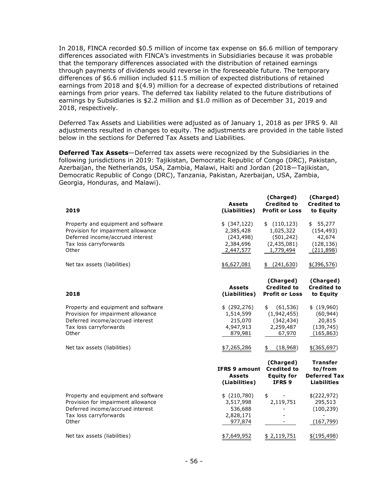In 2018, FINCA recorded \$0.5 million of income tax expense on \$6.6 million of temporary differences associated with FINCA's investments in Subsidiaries because it was probable that the temporary differences associated with the distribution of retained earnings through payments of dividends would reverse in the foreseeable future. The temporary differences of \$6.6 million included \$11.5 million of expected distributions of retained earnings from 2018 and \$(4.9) million for a decrease of expected distributions of retained earnings from prior years. The deferred tax liability related to the future distributions of earnings by Subsidiaries is \$2.2 million and \$1.0 million as of December 31, 2019 and 2018, respectively.

Deferred Tax Assets and Liabilities were adjusted as of January 1, 2018 as per IFRS 9. All adjustments resulted in changes to equity. The adjustments are provided in the table listed below in the sections for Deferred Tax Assets and Liabilities.

**Deferred Tax Assets**—Deferred tax assets were recognized by the Subsidiaries in the following jurisdictions in 2019: Tajikistan, Democratic Republic of Congo (DRC), Pakistan, Azerbaijan, the Netherlands, USA, Zambia, Malawi, Haiti and Jordan (2018—Tajikistan, Democratic Republic of Congo (DRC), Tanzania, Pakistan, Azerbaijan, USA, Zambia, Georgia, Honduras, and Malawi).

| 2019                                                                                                                                             | <b>Assets</b><br>(Liabilities)                                     | (Charged)<br><b>Credited to</b><br><b>Profit or Loss</b>                | (Charged)<br><b>Credited to</b><br>to Equity                            |
|--------------------------------------------------------------------------------------------------------------------------------------------------|--------------------------------------------------------------------|-------------------------------------------------------------------------|-------------------------------------------------------------------------|
| Property and equipment and software<br>Provision for impairment allowance<br>Deferred income/accrued interest<br>Tax loss carryforwards<br>Other | \$ (347, 122)<br>2,385,428<br>(243, 498)<br>2,384,696<br>2,447,577 | (110, 123)<br>\$<br>1,025,322<br>(501, 242)<br>(2,435,081)<br>1,779,494 | \$55,277<br>(154, 493)<br>42,674<br>(128, 136)<br>(211, 898)            |
| Net tax assets (liabilities)                                                                                                                     | \$6,627,081                                                        | (241, 630)                                                              | $$$ (396,576)                                                           |
| 2018                                                                                                                                             | <b>Assets</b><br>(Liabilities)                                     | (Charged)<br><b>Credited to</b><br><b>Profit or Loss</b>                | (Charged)<br><b>Credited to</b><br>to Equity                            |
| Property and equipment and software<br>Provision for impairment allowance<br>Deferred income/accrued interest<br>Tax loss carryforwards<br>Other | \$ (292, 276)<br>1,514,599<br>215,070<br>4,947,913<br>879,981      | (61, 536)<br>\$<br>(1,942,455)<br>(342, 434)<br>2,259,487<br>67,970     | \$ (19,960)<br>(60, 944)<br>20,815<br>(139, 745)<br>(165, 863)          |
| Net tax assets (liabilities)                                                                                                                     | \$7,265,286                                                        | (18,968)                                                                | $$$ (365,697)                                                           |
|                                                                                                                                                  | <b>IFRS 9 amount</b><br><b>Assets</b><br>(Liabilities)             | (Charged)<br><b>Credited to</b><br><b>Equity for</b><br>IFRS 9          | <b>Transfer</b><br>to/from<br><b>Deferred Tax</b><br><b>Liabilities</b> |
| Property and equipment and software<br>Provision for impairment allowance<br>Deferred income/accrued interest<br>Tax loss carryforwards<br>Other | \$ (210,780)<br>3,517,998<br>536,688<br>2,828,171<br>977,874       | \$<br>2,119,751                                                         | \$(222,972)<br>295,513<br>(100, 239)<br>(167, 799)                      |
| Net tax assets (liabilities)                                                                                                                     | \$7,649,952                                                        | \$2,119,751                                                             | <u>\$(195,498)</u>                                                      |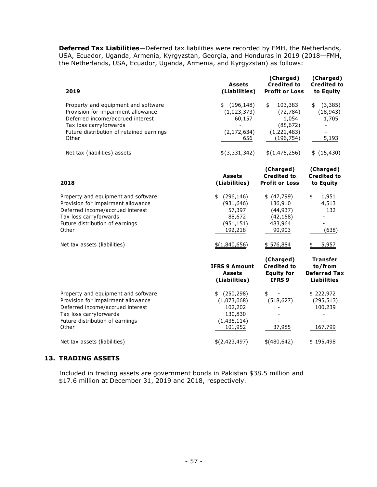**Deferred Tax Liabilities**—Deferred tax liabilities were recorded by FMH, the Netherlands, USA, Ecuador, Uganda, Armenia, Kyrgyzstan, Georgia, and Honduras in 2019 (2018—FMH, the Netherlands, USA, Ecuador, Uganda, Armenia, and Kyrgyzstan) as follows:

| 2019                                                                                                                                                                                         | <b>Assets</b><br>(Liabilities)                                                  | (Charged)<br><b>Credited to</b><br><b>Profit or Loss</b>                        | (Charged)<br><b>Credited to</b><br>to Equity                            |
|----------------------------------------------------------------------------------------------------------------------------------------------------------------------------------------------|---------------------------------------------------------------------------------|---------------------------------------------------------------------------------|-------------------------------------------------------------------------|
| Property and equipment and software<br>Provision for impairment allowance<br>Deferred income/accrued interest<br>Tax loss carryforwards<br>Future distribution of retained earnings<br>Other | (196, 148)<br>\$<br>(1,023,373)<br>60,157<br>(2, 172, 634)<br>656               | 103,383<br>\$<br>(72, 784)<br>1,054<br>(88, 672)<br>(1, 221, 483)<br>(196, 754) | \$<br>(3, 385)<br>(18, 943)<br>1,705<br>5,193                           |
| Net tax (liabilities) assets                                                                                                                                                                 | $$$ (3,331,342)                                                                 | \$(1,475,256)                                                                   | \$ (15, 430)                                                            |
| 2018                                                                                                                                                                                         | Assets<br>(Liabilities)                                                         | (Charged)<br><b>Credited to</b><br><b>Profit or Loss</b>                        | (Charged)<br><b>Credited to</b><br>to Equity                            |
| Property and equipment and software<br>Provision for impairment allowance<br>Deferred income/accrued interest<br>Tax loss carryforwards<br>Future distribution of earnings<br>Other          | (296, 146)<br>\$<br>(931, 646)<br>57,397<br>88,672<br>(951, 151)<br>192,218     | \$ (47,799)<br>136,910<br>(44, 937)<br>(42, 158)<br>483,964<br>90,903           | \$<br>1,951<br>4,513<br>132<br>(638)                                    |
| Net tax assets (liabilities)                                                                                                                                                                 | \$(1,840,656)                                                                   | \$576,884                                                                       | 5,957<br>\$                                                             |
|                                                                                                                                                                                              | <b>IFRS 9 Amount</b><br><b>Assets</b><br>(Liabilities)                          | (Charged)<br><b>Credited to</b><br><b>Equity for</b><br>IFRS 9                  | <b>Transfer</b><br>to/from<br><b>Deferred Tax</b><br><b>Liabilities</b> |
| Property and equipment and software<br>Provision for impairment allowance<br>Deferred income/accrued interest<br>Tax loss carryforwards<br>Future distribution of earnings<br>Other          | (250, 298)<br>\$<br>(1,073,068)<br>102,202<br>130,830<br>(1,435,114)<br>101,952 | \$<br>(518, 627)<br>37,985                                                      | \$222,972<br>(295, 513)<br>100,239<br>L,<br>167,799                     |
| Net tax assets (liabilities)                                                                                                                                                                 | \$(2,423,497)                                                                   | $$$ (480,642)                                                                   | \$195,498                                                               |

## **13. TRADING ASSETS**

Included in trading assets are government bonds in Pakistan \$38.5 million and \$17.6 million at December 31, 2019 and 2018, respectively.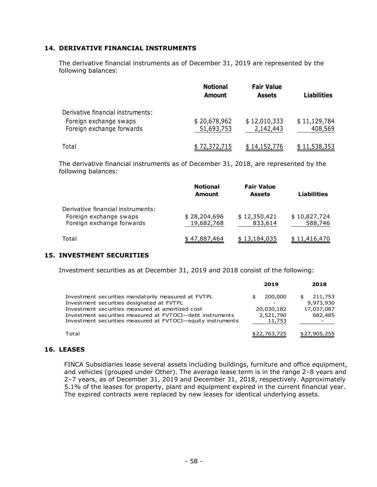## **14. DERIVATIVE FINANCIAL INSTRUMENTS**

The derivative financial instruments as of December 31, 2019 are represented by the following balances:

|                                                                                          | <b>Notional</b><br>Amount  | <b>Fair Value</b><br><b>Assets</b> | <b>Liabilities</b>      |
|------------------------------------------------------------------------------------------|----------------------------|------------------------------------|-------------------------|
| Derivative financial instruments:<br>Foreign exchange swaps<br>Foreign exchange forwards | \$20,678,962<br>51,693,753 | \$12,010,333<br>2,142,443          | \$11,129,784<br>408,569 |
| Total                                                                                    | \$72,372,715               | \$14,152,776                       | \$11,538,353            |

The derivative financial instruments as of December 31, 2018, are represented by the following balances:

|                                                                                          | <b>Notional</b><br>Amount  | <b>Fair Value</b><br><b>Assets</b> | <b>Liabilities</b>      |
|------------------------------------------------------------------------------------------|----------------------------|------------------------------------|-------------------------|
| Derivative financial instruments:<br>Foreign exchange swaps<br>Foreign exchange forwards | \$28,204,696<br>19,682,768 | \$12,350,421<br>833,614            | \$10,827,724<br>588,746 |
| Total                                                                                    | \$47,887,464               | \$13,184,035                       | \$11,416,470            |

## **15. INVESTMENT SECURITIES**

Investment securities as at December 31, 2019 and 2018 consist of the following:

|                                                             | 2019         | 2018         |
|-------------------------------------------------------------|--------------|--------------|
| Investment securities mandatorily measured at FVTPL         | 200,000      | 211,753      |
| Investment securities designated at FVTPL                   |              | 9,973,930    |
| Investment securities measured at amortized cost            | 20,030,182   | 17,037,087   |
| Investment securities measured at FVTOCI-debt instruments   | 2,521,790    | 682,485      |
| Investment securities measured at FVTOCI-equity instruments | 11,753       |              |
| Total                                                       | \$22,763,725 | \$27,905,255 |

#### **16. LEASES**

FINCA Subsidiaries lease several assets including buildings, furniture and office equipment, and vehicles (grouped under Other). The average lease term is in the range 2–8 years and 2–7 years, as of December 31, 2019 and December 31, 2018, respectively. Approximately 5.1% of the leases for property, plant and equipment expired in the current financial year. The expired contracts were replaced by new leases for identical underlying assets.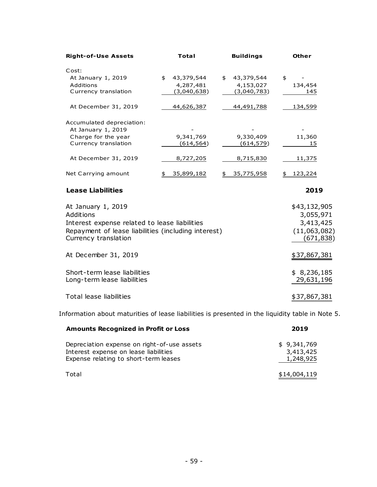| <b>Right-of-Use Assets</b>                                                                                                                                      | <b>Total</b>                                 | <b>Buildings</b>                             | <b>Other</b>                                                         |
|-----------------------------------------------------------------------------------------------------------------------------------------------------------------|----------------------------------------------|----------------------------------------------|----------------------------------------------------------------------|
| Cost:<br>At January 1, 2019<br><b>Additions</b><br>Currency translation                                                                                         | 43,379,544<br>\$<br>4,287,481<br>(3,040,638) | \$<br>43,379,544<br>4,153,027<br>(3,040,783) | \$<br>134,454<br>145                                                 |
| At December 31, 2019                                                                                                                                            | 44,626,387                                   | 44,491,788                                   | <u>134,599</u>                                                       |
| Accumulated depreciation:<br>At January 1, 2019<br>Charge for the year<br>Currency translation                                                                  | 9,341,769<br>(614, 564)                      | 9,330,409<br>(614, 579)                      | 11,360<br>15                                                         |
| At December 31, 2019                                                                                                                                            | 8,727,205                                    | 8,715,830                                    | 11,375                                                               |
| Net Carrying amount                                                                                                                                             | 35,899,182                                   | <u>35,775,958</u><br>\$                      | 123,224                                                              |
| <b>Lease Liabilities</b>                                                                                                                                        |                                              |                                              | 2019                                                                 |
| At January 1, 2019<br>Additions<br>Interest expense related to lease liabilities<br>Repayment of lease liabilities (including interest)<br>Currency translation |                                              |                                              | \$43,132,905<br>3,055,971<br>3,413,425<br>(11,063,082)<br>(671, 838) |
| At December 31, 2019                                                                                                                                            |                                              |                                              | \$37,867,381                                                         |
| Short-term lease liabilities<br>Long-term lease liabilities                                                                                                     |                                              |                                              | \$8,236,185<br>29,631,196                                            |
| Total lease liabilities                                                                                                                                         |                                              |                                              | \$37,867,381                                                         |

Information about maturities of lease liabilities is presented in the liquidity table in Note 5.

| <b>Amounts Recognized in Profit or Loss</b>                                                                                   | 2019                                  |
|-------------------------------------------------------------------------------------------------------------------------------|---------------------------------------|
| Depreciation expense on right-of-use assets<br>Interest expense on lease liabilities<br>Expense relating to short-term leases | \$9,341,769<br>3,413,425<br>1,248,925 |
| Total                                                                                                                         | \$14,004,119                          |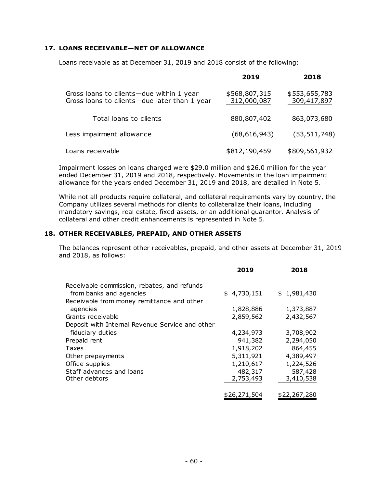## **17. LOANS RECEIVABLE—NET OF ALLOWANCE**

Loans receivable as at December 31, 2019 and 2018 consist of the following:

|                                                                                          | 2019                         | 2018                         |
|------------------------------------------------------------------------------------------|------------------------------|------------------------------|
| Gross loans to clients-due within 1 year<br>Gross loans to clients-due later than 1 year | \$568,807,315<br>312,000,087 | \$553,655,783<br>309,417,897 |
| Total loans to clients                                                                   | 880,807,402                  | 863,073,680                  |
| Less impairment allowance                                                                | (68, 616, 943)               | (53,511,748)                 |
| Loans receivable                                                                         | \$812,190,459                | \$809,561,932                |

Impairment losses on loans charged were \$29.0 million and \$26.0 million for the year ended December 31, 2019 and 2018, respectively. Movements in the loan impairment allowance for the years ended December 31, 2019 and 2018, are detailed in Note 5.

While not all products require collateral, and collateral requirements vary by country, the Company utilizes several methods for clients to collateralize their loans, including mandatory savings, real estate, fixed assets, or an additional guarantor. Analysis of collateral and other credit enhancements is represented in Note 5.

#### **18. OTHER RECEIVABLES, PREPAID, AND OTHER ASSETS**

The balances represent other receivables, prepaid, and other assets at December 31, 2019 and 2018, as follows:

|                                                 | 2019         | 2018         |
|-------------------------------------------------|--------------|--------------|
| Receivable commission, rebates, and refunds     |              |              |
| from banks and agencies                         | \$4,730,151  | \$1,981,430  |
| Receivable from money remittance and other      |              |              |
| agencies                                        | 1,828,886    | 1,373,887    |
| Grants receivable                               | 2,859,562    | 2,432,567    |
| Deposit with Internal Revenue Service and other |              |              |
| fiduciary duties                                | 4,234,973    | 3,708,902    |
| Prepaid rent                                    | 941,382      | 2,294,050    |
| Taxes                                           | 1,918,202    | 864,455      |
| Other prepayments                               | 5,311,921    | 4,389,497    |
| Office supplies                                 | 1,210,617    | 1,224,526    |
| Staff advances and loans                        | 482,317      | 587,428      |
| Other debtors                                   | 2,753,493    | 3,410,538    |
|                                                 | \$26,271,504 | \$22,267,280 |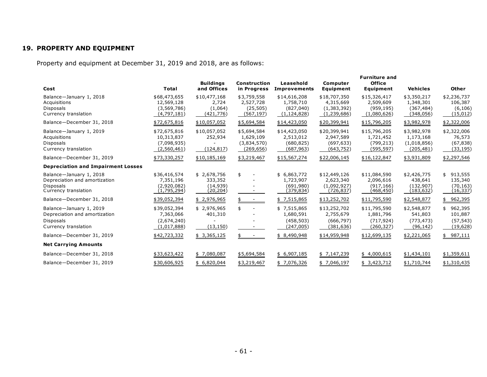## **19. PROPERTY AND EQUIPMENT**

Property and equipment at December 31, 2019 and 2018, are as follows:

| Cost                                                                                                 | <b>Total</b>                                               | <b>Buildings</b><br>and Offices                 | <b>Construction</b><br>in Progress                    | Leasehold<br><b>Improvements</b>                        | Computer<br>Equipment                                   | <b>Furniture and</b><br><b>Office</b><br>Equipment     | Vehicles                                              | <b>Other</b>                                    |
|------------------------------------------------------------------------------------------------------|------------------------------------------------------------|-------------------------------------------------|-------------------------------------------------------|---------------------------------------------------------|---------------------------------------------------------|--------------------------------------------------------|-------------------------------------------------------|-------------------------------------------------|
| Balance-January 1, 2018<br>Acquisitions<br><b>Disposals</b><br>Currency translation                  | \$68,473,655<br>12,569,128<br>(3,569,786)<br>(4,797,181)   | \$10,477,168<br>2,724<br>(1,064)<br>(421, 776)  | \$3,759,558<br>2,527,728<br>(25, 505)<br>(567, 197)   | \$14,616,208<br>1,758,710<br>(827,040)<br>(1, 124, 828) | \$18,707,350<br>4,315,669<br>(1,383,392)<br>(1,239,686) | \$15,326,417<br>2,509,609<br>(959, 195)<br>(1,080,626) | \$3,350,217<br>1,348,301<br>(367, 484)<br>(348, 056)  | \$2,236,737<br>106,387<br>(6, 106)<br>(15, 012) |
| Balance-December 31, 2018                                                                            | \$72,675,816                                               | \$10,057,052                                    | \$5,694,584                                           | \$14,423,050                                            | \$20,399,941                                            | \$15,796,205                                           | \$3,982,978                                           | \$2,322,006                                     |
| Balance-January 1, 2019<br>Acquisitions<br><b>Disposals</b><br>Currency translation                  | \$72,675,816<br>10,313,837<br>(7,098,935)<br>(2, 560, 461) | \$10,057,052<br>252,934<br>(124, 817)           | \$5,694,584<br>1,629,109<br>(3,834,570)<br>(269, 656) | \$14,423,050<br>2,513,012<br>(680, 825)<br>(687, 963)   | \$20,399,941<br>2,947,589<br>(697, 633)<br>(643, 752)   | \$15,796,205<br>1,721,452<br>(799, 213)<br>(595, 597)  | \$3,982,978<br>1,173,168<br>(1,018,856)<br>(205, 481) | \$2,322,006<br>76,573<br>(67, 838)<br>(33, 195) |
| Balance-December 31, 2019                                                                            | \$73,330,257                                               | \$10,185,169                                    | \$3,219,467                                           | \$15,567,274                                            | \$22,006,145                                            | \$16,122,847                                           | \$3,931,809                                           | \$2,297,546                                     |
| <b>Depreciation and Impairment Losses</b>                                                            |                                                            |                                                 |                                                       |                                                         |                                                         |                                                        |                                                       |                                                 |
| Balance-January 1, 2018<br>Depreciation and amortization<br><b>Disposals</b><br>Currency translation | \$36,416,574<br>7,351,196<br>(2,920,082)<br>1,795,294      | \$2,678,756<br>333,352<br>(14, 939)<br>(20,204) | \$                                                    | \$6,863,772<br>1,723,907<br>(691, 980)<br>(379,834)     | \$12,449,126<br>2,623,340<br>(1,092,927)<br>(726,837)   | \$11,084,590<br>2,096,616<br>(917, 166)<br>(468,450)   | \$2,426,775<br>438,641<br>(132, 907)<br>(183, 632)    | \$913,555<br>135,340<br>(70, 163)<br>(16, 337)  |
| Balance-December 31, 2018                                                                            | \$39,052,394                                               | \$2,976,965                                     | <u>\$</u><br>$\sim$                                   | \$7,515,865                                             | \$13,252,702                                            | \$11,795,590                                           | \$2,548,877                                           | \$962,395                                       |
| Balance-January 1, 2019<br>Depreciation and amortization<br><b>Disposals</b><br>Currency translation | \$39,052,394<br>7,363,066<br>(2,674,240)<br>(1,017,888)    | \$2,976,965<br>401,310<br>(13, 150)             | \$<br>$\overline{\phantom{a}}$                        | \$7,515,865<br>1,680,591<br>(458, 503)<br>(247, 005)    | \$13,252,702<br>2,755,679<br>(666, 797)<br>(381, 636)   | \$11,795,590<br>1,881,796<br>(717, 924)<br>(260,327)   | \$2,548,877<br>541,803<br>(773, 473)<br>(96, 142)     | \$962,395<br>101,887<br>(57, 543)<br>(19, 628)  |
| Balance-December 31, 2019                                                                            | \$42,723,332                                               | \$3,365,125                                     | \$                                                    | 8,490,948<br>\$                                         | \$14,959,948                                            | \$12,699,135                                           | \$2,221,065                                           | \$987,111                                       |
| <b>Net Carrying Amounts</b>                                                                          |                                                            |                                                 |                                                       |                                                         |                                                         |                                                        |                                                       |                                                 |
| Balance-December 31, 2018                                                                            | \$33,623,422                                               | \$7,080,087                                     | \$5,694,584                                           | \$6,907,185                                             | \$7,147,239                                             | \$4,000,615                                            | \$1,434,101                                           | \$1,359,611                                     |
| Balance-December 31, 2019                                                                            | \$30,606,925                                               | \$6,820,044                                     | \$3,219,467                                           | \$7,076,326                                             | \$7,046,197                                             | \$3,423,712                                            | \$1,710,744                                           | \$1,310,435                                     |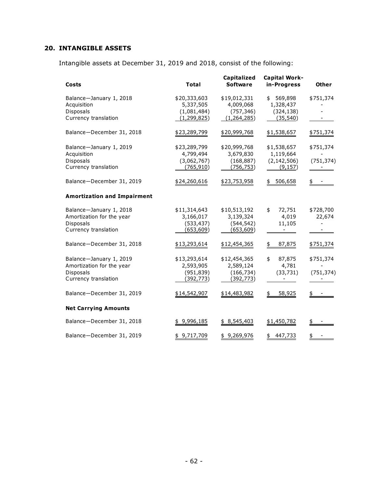# **20. INTANGIBLE ASSETS**

Intangible assets at December 31, 2019 and 2018, consist of the following:

| Costs                                                                                     | <b>Total</b>                                              | Capitalized<br><b>Software</b>                         | <b>Capital Work-</b><br>in-Progress                   | <b>Other</b>                                    |
|-------------------------------------------------------------------------------------------|-----------------------------------------------------------|--------------------------------------------------------|-------------------------------------------------------|-------------------------------------------------|
| Balance-January 1, 2018<br>Acquisition<br><b>Disposals</b><br>Currency translation        | \$20,333,603<br>5,337,505<br>(1,081,484)<br>(1, 299, 825) | \$19,012,331<br>4,009,068<br>(757, 346)<br>(1,264,285) | \$569,898<br>1,328,437<br>(324, 138)<br>(35, 540)     | \$751,374                                       |
| Balance-December 31, 2018                                                                 | \$23,289,799                                              | \$20,999,768                                           | \$1,538,657                                           | \$751,374                                       |
| Balance-January 1, 2019<br>Acquisition<br><b>Disposals</b><br>Currency translation        | \$23,289,799<br>4,799,494<br>(3,062,767)<br>(765, 910)    | \$20,999,768<br>3,679,830<br>(168, 887)<br>(756, 753)  | \$1,538,657<br>1,119,664<br>(2, 142, 506)<br>(9, 157) | \$751,374<br>(751, 374)                         |
| Balance-December 31, 2019                                                                 | \$24,260,616                                              | \$23,753,958                                           | 506,658<br>\$                                         | \$                                              |
| <b>Amortization and Impairment</b>                                                        |                                                           |                                                        |                                                       |                                                 |
| Balance-January 1, 2018<br>Amortization for the year<br>Disposals<br>Currency translation | \$11,314,643<br>3,166,017<br>(533, 437)<br>(653, 609)     | \$10,513,192<br>3,139,324<br>(544, 542)<br>(653, 609)  | 72,751<br>\$<br>4,019<br>11,105                       | \$728,700<br>22,674<br>$\overline{\phantom{a}}$ |
| Balance-December 31, 2018                                                                 | \$13,293,614                                              | \$12,454,365                                           | 87,875<br>\$                                          | \$751,374                                       |
| Balance-January 1, 2019<br>Amortization for the year<br>Disposals<br>Currency translation | \$13,293,614<br>2,593,905<br>(951, 839)<br>(392, 773)     | \$12,454,365<br>2,589,124<br>(166, 734)<br>(392, 773)  | \$<br>87,875<br>4,781<br>(33, 731)                    | \$751,374<br>(751, 374)                         |
| Balance-December 31, 2019                                                                 | \$14,542,907                                              | \$14,483,982                                           | 58,925<br>\$                                          |                                                 |
| <b>Net Carrying Amounts</b>                                                               |                                                           |                                                        |                                                       |                                                 |
| Balance-December 31, 2018                                                                 | \$9,996,185                                               | \$8,545,403                                            | \$1,450,782                                           |                                                 |
| Balance-December 31, 2019                                                                 | \$9,717,709                                               | \$9,269,976                                            | 447,733<br>\$                                         | \$                                              |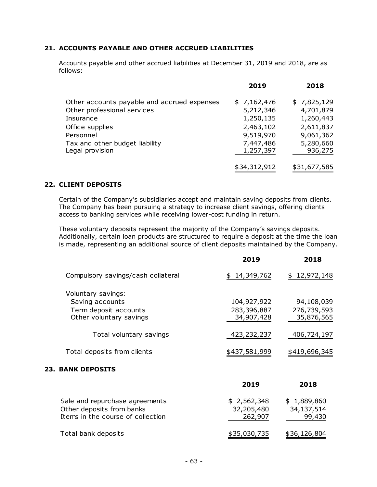### **21. ACCOUNTS PAYABLE AND OTHER ACCRUED LIABILITIES**

Accounts payable and other accrued liabilities at December 31, 2019 and 2018, are as follows:

|                                             | 2019         | 2018         |
|---------------------------------------------|--------------|--------------|
| Other accounts payable and accrued expenses | \$7,162,476  | \$7,825,129  |
| Other professional services                 | 5,212,346    | 4,701,879    |
| Insurance                                   | 1,250,135    | 1,260,443    |
| Office supplies                             | 2,463,102    | 2,611,837    |
| Personnel                                   | 9,519,970    | 9,061,362    |
| Tax and other budget liability              | 7,447,486    | 5,280,660    |
| Legal provision                             | 1,257,397    | 936,275      |
|                                             | \$34,312,912 | \$31,677,585 |

## **22. CLIENT DEPOSITS**

Certain of the Company's subsidiaries accept and maintain saving deposits from clients. The Company has been pursuing a strategy to increase client savings, offering clients access to banking services while receiving lower-cost funding in return.

These voluntary deposits represent the majority of the Company's savings deposits. Additionally, certain loan products are structured to require a deposit at the time the loan is made, representing an additional source of client deposits maintained by the Company.

|                                    | 2019             | 2018          |
|------------------------------------|------------------|---------------|
| Compulsory savings/cash collateral | 14,349,762<br>\$ | \$12,972,148  |
| Voluntary savings:                 |                  |               |
| Saving accounts                    | 104,927,922      | 94,108,039    |
| Term deposit accounts              | 283,396,887      | 276,739,593   |
| Other voluntary savings            | 34,907,428       | 35,876,565    |
| Total voluntary savings            | 423,232,237      | 406,724,197   |
| Total deposits from clients        | \$437,581,999    | \$419,696,345 |
| <b>23. BANK DEPOSITS</b>           |                  |               |
|                                    | 2019             | 2018          |
| Sale and repurchase agreements     | \$2,562,348      | \$1,889,860   |
| Other deposits from banks          | 32,205,480       | 34, 137, 514  |
| Items in the course of collection  | 262,907          | 99,430        |
| Total bank deposits                | \$35,030,735     | \$36,126,804  |
|                                    |                  |               |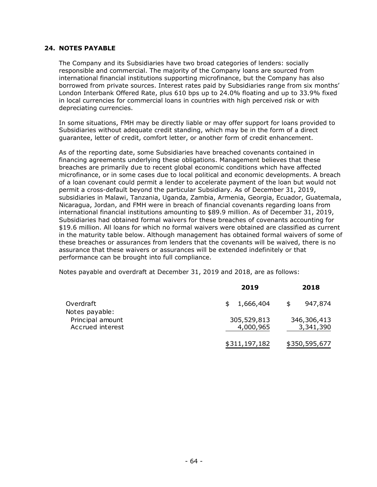#### **24. NOTES PAYABLE**

The Company and its Subsidiaries have two broad categories of lenders: socially responsible and commercial. The majority of the Company loans are sourced from international financial institutions supporting microfinance, but the Company has also borrowed from private sources. Interest rates paid by Subsidiaries range from six months' London Interbank Offered Rate, plus 610 bps up to 24.0% floating and up to 33.9% fixed in local currencies for commercial loans in countries with high perceived risk or with depreciating currencies.

In some situations, FMH may be directly liable or may offer support for loans provided to Subsidiaries without adequate credit standing, which may be in the form of a direct guarantee, letter of credit, comfort letter, or another form of credit enhancement.

As of the reporting date, some Subsidiaries have breached covenants contained in financing agreements underlying these obligations. Management believes that these breaches are primarily due to recent global economic conditions which have affected microfinance, or in some cases due to local political and economic developments. A breach of a loan covenant could permit a lender to accelerate payment of the loan but would not permit a cross-default beyond the particular Subsidiary. As of December 31, 2019, subsidiaries in Malawi, Tanzania, Uganda, Zambia, Armenia, Georgia, Ecuador, Guatemala, Nicaragua, Jordan, and FMH were in breach of financial covenants regarding loans from international financial institutions amounting to \$89.9 million. As of December 31, 2019, Subsidiaries had obtained formal waivers for these breaches of covenants accounting for \$19.6 million. All loans for which no formal waivers were obtained are classified as current in the maturity table below. Although management has obtained formal waivers of some of these breaches or assurances from lenders that the covenants will be waived, there is no assurance that these waivers or assurances will be extended indefinitely or that performance can be brought into full compliance.

Notes payable and overdraft at December 31, 2019 and 2018, are as follows:

|                                                        | 2019                     | 2018                     |
|--------------------------------------------------------|--------------------------|--------------------------|
| Overdraft                                              | 1,666,404<br>\$          | 947,874<br>\$            |
| Notes payable:<br>Principal amount<br>Accrued interest | 305,529,813<br>4,000,965 | 346,306,413<br>3,341,390 |
|                                                        | \$311,197,182            | \$350,595,677            |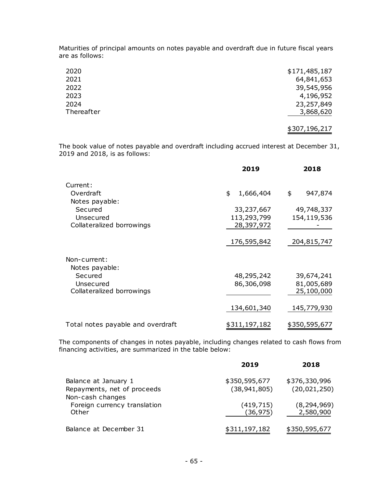Maturities of principal amounts on notes payable and overdraft due in future fiscal years are as follows:

| 2020       | \$171,485,187 |
|------------|---------------|
| 2021       | 64,841,653    |
| 2022       | 39,545,956    |
| 2023       | 4,196,952     |
| 2024       | 23,257,849    |
| Thereafter | 3,868,620     |
|            | \$307,196,217 |

The book value of notes payable and overdraft including accrued interest at December 31, 2019 and 2018, is as follows:

|                                        | 2019            | 2018                     |
|----------------------------------------|-----------------|--------------------------|
| Current:                               |                 |                          |
| Overdraft<br>Notes payable:            | \$<br>1,666,404 | \$<br>947,874            |
| Secured                                | 33,237,667      | 49,748,337               |
| Unsecured                              | 113,293,799     | 154,119,536              |
| Collateralized borrowings              | 28,397,972      |                          |
|                                        | 176,595,842     | 204,815,747              |
| Non-current:                           |                 |                          |
| Notes payable:                         |                 |                          |
| Secured                                | 48,295,242      | 39,674,241               |
| Unsecured<br>Collateralized borrowings | 86,306,098      | 81,005,689<br>25,100,000 |
|                                        |                 |                          |
|                                        | 134,601,340     | 145,779,930              |
| Total notes payable and overdraft      | \$311,197,182   | \$350,595,677            |

The components of changes in notes payable, including changes related to cash flows from financing activities, are summarized in the table below:

|                                                 | 2019                    | 2018                       |
|-------------------------------------------------|-------------------------|----------------------------|
| Balance at January 1                            | \$350,595,677           | \$376,330,996              |
| Repayments, net of proceeds<br>Non-cash changes | (38, 941, 805)          | (20, 021, 250)             |
| Foreign currency translation<br>Other           | (419, 715)<br>(36, 975) | (8, 294, 969)<br>2,580,900 |
| Balance at December 31                          | \$311,197,182           | \$350,595,677              |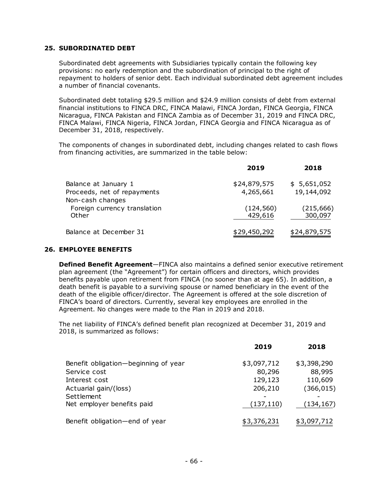#### **25. SUBORDINATED DEBT**

Subordinated debt agreements with Subsidiaries typically contain the following key provisions: no early redemption and the subordination of principal to the right of repayment to holders of senior debt. Each individual subordinated debt agreement includes a number of financial covenants.

Subordinated debt totaling \$29.5 million and \$24.9 million consists of debt from external financial institutions to FINCA DRC, FINCA Malawi, FINCA Jordan, FINCA Georgia, FINCA Nicaragua, FINCA Pakistan and FINCA Zambia as of December 31, 2019 and FINCA DRC, FINCA Malawi, FINCA Nigeria, FINCA Jordan, FINCA Georgia and FINCA Nicaragua as of December 31, 2018, respectively.

The components of changes in subordinated debt, including changes related to cash flows from financing activities, are summarized in the table below:

|                                                           | 2019                      | 2018                      |
|-----------------------------------------------------------|---------------------------|---------------------------|
| Balance at January 1<br>Proceeds, net of repayments       | \$24,879,575<br>4,265,661 | \$5,651,052<br>19,144,092 |
| Non-cash changes<br>Foreign currency translation<br>Other | (124, 560)<br>429,616     | (215, 666)<br>300,097     |
| Balance at December 31                                    | \$29,450,292              | \$24,879,575              |

#### **26. EMPLOYEE BENEFITS**

**Defined Benefit Agreement**—FINCA also maintains a defined senior executive retirement plan agreement (the "Agreement") for certain officers and directors, which provides benefits payable upon retirement from FINCA (no sooner than at age 65). In addition, a death benefit is payable to a surviving spouse or named beneficiary in the event of the death of the eligible officer/director. The Agreement is offered at the sole discretion of FINCA's board of directors. Currently, several key employees are enrolled in the Agreement. No changes were made to the Plan in 2019 and 2018.

The net liability of FINCA's defined benefit plan recognized at December 31, 2019 and 2018, is summarized as follows:

|                                      | 2019              | 2018              |
|--------------------------------------|-------------------|-------------------|
| Benefit obligation-beginning of year | \$3,097,712       | \$3,398,290       |
| Service cost<br>Interest cost        | 80,296<br>129,123 | 88,995<br>110,609 |
| Actuarial gain/(loss)<br>Settlement  | 206,210           | (366, 015)        |
| Net employer benefits paid           | (137, 110)        | (134, 167)        |
| Benefit obligation-end of year       | \$3,376,231       | \$3,097,712       |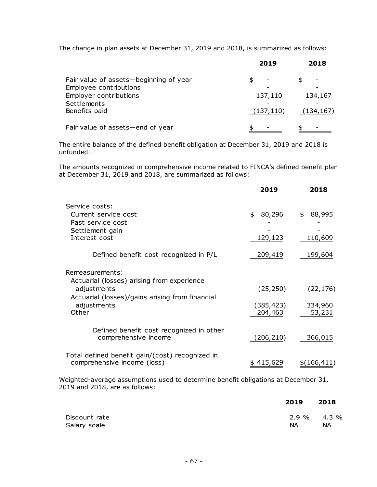The change in plan assets at December 31, 2019 and 2018, is summarized as follows:

|                                        | 2019       | 2018                     |
|----------------------------------------|------------|--------------------------|
| Fair value of assets—beginning of year | \$         | $\overline{\phantom{a}}$ |
| Employee contributions                 |            |                          |
| <b>Employer contributions</b>          | 137,110    | 134,167                  |
| Settlements<br>Benefits paid           | (137, 110) | (134, 167)               |
| Fair value of assets-end of year       |            |                          |

The entire balance of the defined benefit obligation at December 31, 2019 and 2018 is unfunded.

The amounts recognized in comprehensive income related to FINCA's defined benefit plan at December 31, 2019 and 2018, are summarized as follows:

|                                                                                                              | 2019                 | 2018              |
|--------------------------------------------------------------------------------------------------------------|----------------------|-------------------|
| Service costs:                                                                                               |                      |                   |
| Current service cost                                                                                         | 80,296<br>\$         | 88,995<br>\$      |
| Past service cost<br>Settlement gain                                                                         |                      |                   |
| Interest cost                                                                                                | 129,123              | 110,609           |
| Defined benefit cost recognized in P/L                                                                       | 209,419              | 199,604           |
| Remeasurements:                                                                                              |                      |                   |
| Actuarial (losses) arising from experience<br>adjustments<br>Actuarial (losses)/gains arising from financial | (25, 250)            | (22, 176)         |
| adjustments<br>Other                                                                                         | (385,423)<br>204,463 | 334,960<br>53,231 |
| Defined benefit cost recognized in other<br>comprehensive income                                             | (206, 210)           | 366,015           |
| Total defined benefit gain/(cost) recognized in<br>comprehensive income (loss)                               | 415,629              | \$(166, 411)      |

Weighted-average assumptions used to determine benefit obligations at December 31, 2019 and 2018, are as follows:

|               | 2019 | 2018          |
|---------------|------|---------------|
| Discount rate |      | $2.9\%$ 4.3 % |
| Salary scale  | NA   | NA            |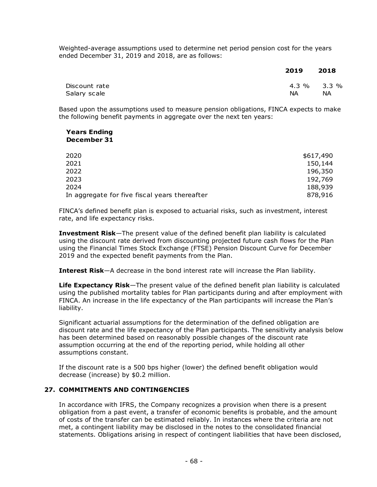Weighted-average assumptions used to determine net period pension cost for the years ended December 31, 2019 and 2018, are as follows:

|               | 2019 | 2018        |
|---------------|------|-------------|
| Discount rate |      | 4.3 % 3.3 % |
| Salary scale  | ΝA   | NА          |

Based upon the assumptions used to measure pension obligations, FINCA expects to make the following benefit payments in aggregate over the next ten years:

#### **Years Ending December 31**

| 2020                                          | \$617,490 |
|-----------------------------------------------|-----------|
| 2021                                          | 150,144   |
| 2022                                          | 196,350   |
| 2023                                          | 192,769   |
| 2024                                          | 188,939   |
| In aggregate for five fiscal years thereafter | 878,916   |

FINCA's defined benefit plan is exposed to actuarial risks, such as investment, interest rate, and life expectancy risks.

**Investment Risk**—The present value of the defined benefit plan liability is calculated using the discount rate derived from discounting projected future cash flows for the Plan using the Financial Times Stock Exchange (FTSE) Pension Discount Curve for December 2019 and the expected benefit payments from the Plan.

**Interest Risk**—A decrease in the bond interest rate will increase the Plan liability.

**Life Expectancy Risk**—The present value of the defined benefit plan liability is calculated using the published mortality tables for Plan participants during and after employment with FINCA. An increase in the life expectancy of the Plan participants will increase the Plan's liability.

Significant actuarial assumptions for the determination of the defined obligation are discount rate and the life expectancy of the Plan participants. The sensitivity analysis below has been determined based on reasonably possible changes of the discount rate assumption occurring at the end of the reporting period, while holding all other assumptions constant.

If the discount rate is a 500 bps higher (lower) the defined benefit obligation would decrease (increase) by \$0.2 million.

## **27. COMMITMENTS AND CONTINGENCIES**

In accordance with IFRS, the Company recognizes a provision when there is a present obligation from a past event, a transfer of economic benefits is probable, and the amount of costs of the transfer can be estimated reliably. In instances where the criteria are not met, a contingent liability may be disclosed in the notes to the consolidated financial statements. Obligations arising in respect of contingent liabilities that have been disclosed,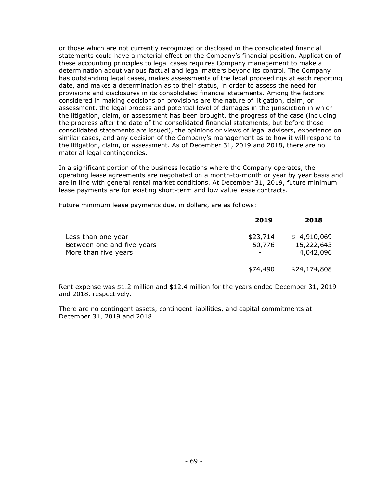or those which are not currently recognized or disclosed in the consolidated financial statements could have a material effect on the Company's financial position. Application of these accounting principles to legal cases requires Company management to make a determination about various factual and legal matters beyond its control. The Company has outstanding legal cases, makes assessments of the legal proceedings at each reporting date, and makes a determination as to their status, in order to assess the need for provisions and disclosures in its consolidated financial statements. Among the factors considered in making decisions on provisions are the nature of litigation, claim, or assessment, the legal process and potential level of damages in the jurisdiction in which the litigation, claim, or assessment has been brought, the progress of the case (including the progress after the date of the consolidated financial statements, but before those consolidated statements are issued), the opinions or views of legal advisers, experience on similar cases, and any decision of the Company's management as to how it will respond to the litigation, claim, or assessment. As of December 31, 2019 and 2018, there are no material legal contingencies.

In a significant portion of the business locations where the Company operates, the operating lease agreements are negotiated on a month-to-month or year by year basis and are in line with general rental market conditions. At December 31, 2019, future minimum lease payments are for existing short-term and low value lease contracts.

Future minimum lease payments due, in dollars, are as follows:

|                                                    | 2019     | 2018                    |
|----------------------------------------------------|----------|-------------------------|
| Less than one year                                 | \$23,714 | \$4,910,069             |
| Between one and five years<br>More than five years | 50,776   | 15,222,643<br>4,042,096 |
|                                                    | \$74,490 | \$24,174,808            |

Rent expense was \$1.2 million and \$12.4 million for the years ended December 31, 2019 and 2018, respectively.

There are no contingent assets, contingent liabilities, and capital commitments at December 31, 2019 and 2018.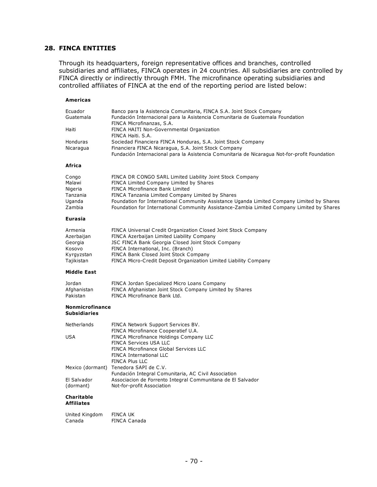### **28. FINCA ENTITIES**

Through its headquarters, foreign representative offices and branches, controlled subsidiaries and affiliates, FINCA operates in 24 countries. All subsidiaries are controlled by FINCA directly or indirectly through FMH. The microfinance operating subsidiaries and controlled affiliates of FINCA at the end of the reporting period are listed below:

#### **Americas**

| Ecuador<br>Guatemala                                                   | Banco para la Asistencia Comunitaria, FINCA S.A. Joint Stock Company<br>Fundación Internacional para la Asistencia Comunitaria de Guatemala Foundation<br>FINCA Microfinanzas, S.A.                                                                                                                                                                                                     |
|------------------------------------------------------------------------|-----------------------------------------------------------------------------------------------------------------------------------------------------------------------------------------------------------------------------------------------------------------------------------------------------------------------------------------------------------------------------------------|
| Haiti                                                                  | FINCA HAITI Non-Governmental Organization<br>FINCA Haiti, S.A.                                                                                                                                                                                                                                                                                                                          |
| Honduras<br>Nicaragua                                                  | Sociedad Financiera FINCA Honduras, S.A. Joint Stock Company<br>Financiera FINCA Nicaragua, S.A. Joint Stock Company<br>Fundación Internacional para la Asistencia Comunitaria de Nicaragua Not-for-profit Foundation                                                                                                                                                                   |
| Africa                                                                 |                                                                                                                                                                                                                                                                                                                                                                                         |
| Congo<br>Malawi<br>Nigeria<br>Tanzania<br>Uganda<br>Zambia             | FINCA DR CONGO SARL Limited Liability Joint Stock Company<br>FINCA Limited Company Limited by Shares<br>FINCA Microfinance Bank Limited<br>FINCA Tanzania Limited Company Limited by Shares<br>Foundation for International Community Assistance Uganda Limited Company Limited by Shares<br>Foundation for International Community Assistance-Zambia Limited Company Limited by Shares |
| <b>Eurasia</b>                                                         |                                                                                                                                                                                                                                                                                                                                                                                         |
| Armenia<br>Azerbaijan<br>Georgia<br>Kosovo<br>Kyrgyzstan<br>Tajikistan | FINCA Universal Credit Organization Closed Joint Stock Company<br>FINCA Azerbaijan Limited Liability Company<br>JSC FINCA Bank Georgia Closed Joint Stock Company<br>FINCA International, Inc. (Branch)<br>FINCA Bank Closed Joint Stock Company<br>FINCA Micro-Credit Deposit Organization Limited Liability Company                                                                   |
| <b>Middle East</b>                                                     |                                                                                                                                                                                                                                                                                                                                                                                         |
| Jordan<br>Afghanistan<br>Pakistan                                      | FINCA Jordan Specialized Micro Loans Company<br>FINCA Afghanistan Joint Stock Company Limited by Shares<br>FINCA Microfinance Bank Ltd.                                                                                                                                                                                                                                                 |
| Nonmicrofinance<br><b>Subsidiaries</b>                                 |                                                                                                                                                                                                                                                                                                                                                                                         |
| Netherlands<br><b>USA</b>                                              | FINCA Network Support Services BV.<br>FINCA Microfinance Cooperatief U.A.<br>FINCA Microfinance Holdings Company LLC<br>FINCA Services USA LLC<br>FINCA Microfinance Global Services LLC<br><b>FINCA International LLC</b><br><b>FINCA Plus LLC</b>                                                                                                                                     |
| Mexico (dormant)                                                       | Tenedora SAPI de C.V.<br>Fundación Integral Comunitaria, AC Civil Association                                                                                                                                                                                                                                                                                                           |
| El Salvador<br>(dormant)                                               | Associacion de Forrento Integral Communitana de El Salvador<br>Not-for-profit Association                                                                                                                                                                                                                                                                                               |
| Charitable                                                             |                                                                                                                                                                                                                                                                                                                                                                                         |
| <b>Affiliates</b>                                                      |                                                                                                                                                                                                                                                                                                                                                                                         |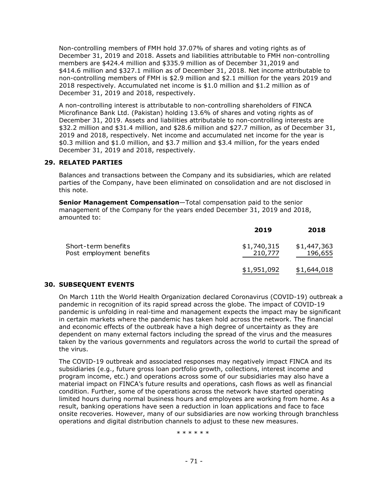Non-controlling members of FMH hold 37.07% of shares and voting rights as of December 31, 2019 and 2018. Assets and liabilities attributable to FMH non-controlling members are \$424.4 million and \$335.9 million as of December 31,2019 and \$414.6 million and \$327.1 million as of December 31, 2018. Net income attributable to non-controlling members of FMH is \$2.9 million and \$2.1 million for the years 2019 and 2018 respectively. Accumulated net income is \$1.0 million and \$1.2 million as of December 31, 2019 and 2018, respectively.

A non-controlling interest is attributable to non-controlling shareholders of FINCA Microfinance Bank Ltd. (Pakistan) holding 13.6% of shares and voting rights as of December 31, 2019. Assets and liabilities attributable to non-controlling interests are \$32.2 million and \$31.4 million, and \$28.6 million and \$27.7 million, as of December 31, 2019 and 2018, respectively. Net income and accumulated net income for the year is \$0.3 million and \$1.0 million, and \$3.7 million and \$3.4 million, for the years ended December 31, 2019 and 2018, respectively.

### **29. RELATED PARTIES**

Balances and transactions between the Company and its subsidiaries, which are related parties of the Company, have been eliminated on consolidation and are not disclosed in this note.

**Senior Management Compensation**—Total compensation paid to the senior management of the Company for the years ended December 31, 2019 and 2018, amounted to:

|                                                 | 2019                   | 2018                   |
|-------------------------------------------------|------------------------|------------------------|
| Short-term benefits<br>Post employment benefits | \$1,740,315<br>210,777 | \$1,447,363<br>196,655 |
|                                                 | \$1,951,092            | \$1,644,018            |

### **30. SUBSEQUENT EVENTS**

On March 11th the World Health Organization declared Coronavirus (COVID-19) outbreak a pandemic in recognition of its rapid spread across the globe. The impact of COVID-19 pandemic is unfolding in real-time and management expects the impact may be significant in certain markets where the pandemic has taken hold across the network. The financial and economic effects of the outbreak have a high degree of uncertainty as they are dependent on many external factors including the spread of the virus and the measures taken by the various governments and regulators across the world to curtail the spread of the virus.

The COVID-19 outbreak and associated responses may negatively impact FINCA and its subsidiaries (e.g., future gross loan portfolio growth, collections, interest income and program income, etc.) and operations across some of our subsidiaries may also have a material impact on FINCA's future results and operations, cash flows as well as financial condition. Further, some of the operations across the network have started operating limited hours during normal business hours and employees are working from home. As a result, banking operations have seen a reduction in loan applications and face to face onsite recoveries. However, many of our subsidiaries are now working through branchless operations and digital distribution channels to adjust to these new measures.

\*\*\*\*\*\*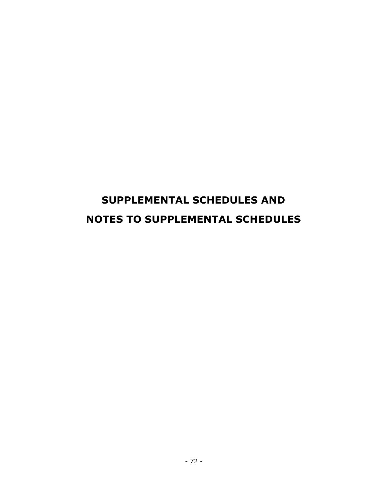# **SUPPLEMENTAL SCHEDULES AND NOTES TO SUPPLEMENTAL SCHEDULES**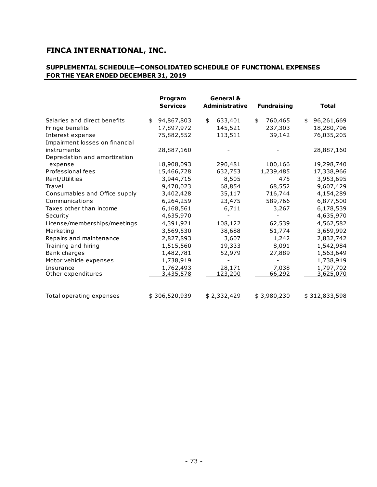### **SUPPLEMENTAL SCHEDULE—CONSOLIDATED SCHEDULE OF FUNCTIONAL EXPENSES FOR THE YEAR ENDED DECEMBER 31, 2019**

|                                | Program<br><b>Services</b> | <b>General &amp;</b><br><b>Administrative</b> | <b>Fundraising</b> | <b>Total</b>     |
|--------------------------------|----------------------------|-----------------------------------------------|--------------------|------------------|
| Salaries and direct benefits   | \$<br>94,867,803           | \$<br>633,401                                 | \$<br>760,465      | \$<br>96,261,669 |
| Fringe benefits                | 17,897,972                 | 145,521                                       | 237,303            | 18,280,796       |
| Interest expense               | 75,882,552                 | 113,511                                       | 39,142             | 76,035,205       |
| Impairment losses on financial |                            |                                               |                    |                  |
| instruments                    | 28,887,160                 |                                               |                    | 28,887,160       |
| Depreciation and amortization  |                            |                                               |                    |                  |
| expense                        | 18,908,093                 | 290,481                                       | 100,166            | 19,298,740       |
| Professional fees              | 15,466,728                 | 632,753                                       | 1,239,485          | 17,338,966       |
| Rent/Utilities                 | 3,944,715                  | 8,505                                         | 475                | 3,953,695        |
| Travel                         | 9,470,023                  | 68,854                                        | 68,552             | 9,607,429        |
| Consumables and Office supply  | 3,402,428                  | 35,117                                        | 716,744            | 4,154,289        |
| Communications                 | 6,264,259                  | 23,475                                        | 589,766            | 6,877,500        |
| Taxes other than income        | 6,168,561                  | 6,711                                         | 3,267              | 6,178,539        |
| Security                       | 4,635,970                  |                                               |                    | 4,635,970        |
| License/memberships/meetings   | 4,391,921                  | 108,122                                       | 62,539             | 4,562,582        |
| Marketing                      | 3,569,530                  | 38,688                                        | 51,774             | 3,659,992        |
| Repairs and maintenance        | 2,827,893                  | 3,607                                         | 1,242              | 2,832,742        |
| Training and hiring            | 1,515,560                  | 19,333                                        | 8,091              | 1,542,984        |
| Bank charges                   | 1,482,781                  | 52,979                                        | 27,889             | 1,563,649        |
| Motor vehicle expenses         | 1,738,919                  |                                               |                    | 1,738,919        |
| Insurance                      | 1,762,493                  | 28,171                                        | 7,038              | 1,797,702        |
| Other expenditures             | 3,435,578                  | 123,200                                       | <u>66,292</u>      | 3,625,070        |
| Total operating expenses       | \$306,520,939              | \$2,332,429                                   | \$3,980,230        | \$312,833,598    |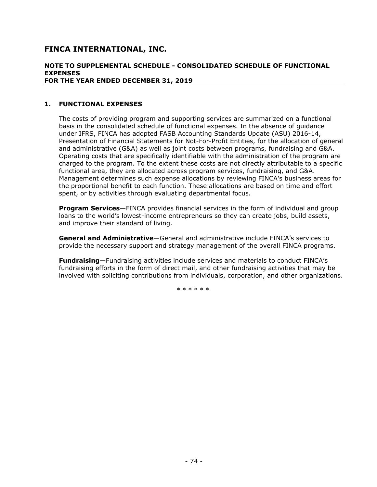#### **NOTE TO SUPPLEMENTAL SCHEDULE - CONSOLIDATED SCHEDULE OF FUNCTIONAL EXPENSES FOR THE YEAR ENDED DECEMBER 31, 2019**

### **1. FUNCTIONAL EXPENSES**

The costs of providing program and supporting services are summarized on a functional basis in the consolidated schedule of functional expenses. In the absence of guidance under IFRS, FINCA has adopted FASB Accounting Standards Update (ASU) 2016-14, Presentation of Financial Statements for Not-For-Profit Entities, for the allocation of general and administrative (G&A) as well as joint costs between programs, fundraising and G&A. Operating costs that are specifically identifiable with the administration of the program are charged to the program. To the extent these costs are not directly attributable to a specific functional area, they are allocated across program services, fundraising, and G&A. Management determines such expense allocations by reviewing FINCA's business areas for the proportional benefit to each function. These allocations are based on time and effort spent, or by activities through evaluating departmental focus.

**Program Services**—FINCA provides financial services in the form of individual and group loans to the world's lowest-income entrepreneurs so they can create jobs, build assets, and improve their standard of living.

**General and Administrative**—General and administrative include FINCA's services to provide the necessary support and strategy management of the overall FINCA programs.

**Fundraising**—Fundraising activities include services and materials to conduct FINCA's fundraising efforts in the form of direct mail, and other fundraising activities that may be involved with soliciting contributions from individuals, corporation, and other organizations.

\*\*\*\*\*\*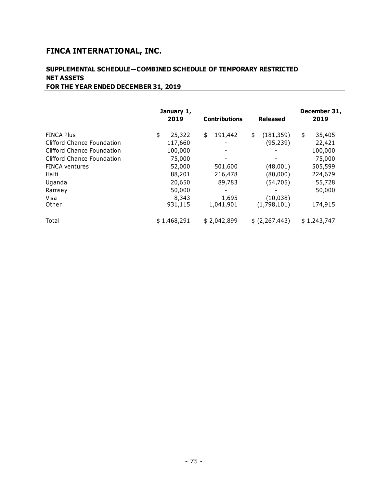### **SUPPLEMENTAL SCHEDULE—COMBINED SCHEDULE OF TEMPORARY RESTRICTED NET ASSETS FOR THE YEAR ENDED DECEMBER 31, 2019**

|                                                        | January 1,<br>2019      | <b>Contributions</b> | <b>Released</b>               | December 31,<br>2019   |
|--------------------------------------------------------|-------------------------|----------------------|-------------------------------|------------------------|
| <b>FINCA Plus</b><br><b>Clifford Chance Foundation</b> | \$<br>25,322<br>117,660 | \$<br>191,442        | \$<br>(181, 359)<br>(95, 239) | 35,405<br>\$<br>22,421 |
| Clifford Chance Foundation                             | 100,000                 |                      |                               | 100,000                |
| Clifford Chance Foundation                             | 75,000                  |                      |                               | 75,000                 |
| <b>FINCA</b> ventures                                  | 52,000                  | 501,600              | (48,001)                      | 505,599                |
| Haiti                                                  | 88,201                  | 216,478              | (80,000)                      | 224,679                |
| Uganda                                                 | 20,650                  | 89,783               | (54, 705)                     | 55,728                 |
| Ramsey                                                 | 50,000                  |                      |                               | 50,000                 |
| Visa<br>Other                                          | 8,343<br>931,115        | 1,695<br>1,041,901   | (10, 038)<br>(1,798,101)      | 174,915                |
| Total                                                  | \$1,468,291             | \$2,042,899          | \$ (2,267,443)                | \$1,243,747            |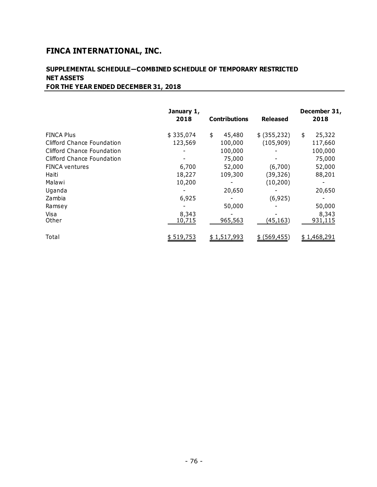## **SUPPLEMENTAL SCHEDULE—COMBINED SCHEDULE OF TEMPORARY RESTRICTED NET ASSETS FOR THE YEAR ENDED DECEMBER 31, 2018**

|                                                                                                                                                                                                        | January 1,<br>2018                                                            | <b>Contributions</b>                                                                             | <b>Released</b>                                                                        | December 31,<br>2018                                                                                     |
|--------------------------------------------------------------------------------------------------------------------------------------------------------------------------------------------------------|-------------------------------------------------------------------------------|--------------------------------------------------------------------------------------------------|----------------------------------------------------------------------------------------|----------------------------------------------------------------------------------------------------------|
| <b>FINCA Plus</b><br>Clifford Chance Foundation<br>Clifford Chance Foundation<br>Clifford Chance Foundation<br><b>FINCA</b> ventures<br>Haiti<br>Malawi<br>Uganda<br>Zambia<br>Ramsey<br>Visa<br>Other | \$335,074<br>123,569<br>6,700<br>18,227<br>10,200<br>6,925<br>8,343<br>10,715 | \$<br>45,480<br>100,000<br>100,000<br>75,000<br>52,000<br>109,300<br>20,650<br>50,000<br>965,563 | \$ (355,232)<br>(105,909)<br>(6,700)<br>(39, 326)<br>(10, 200)<br>(6,925)<br>(45, 163) | 25,322<br>\$<br>117,660<br>100,000<br>75,000<br>52,000<br>88,201<br>20,650<br>50,000<br>8,343<br>931,115 |
| Total                                                                                                                                                                                                  | \$519,753                                                                     | \$1,517,993                                                                                      | \$ (569, 455)                                                                          | \$1,468,291                                                                                              |